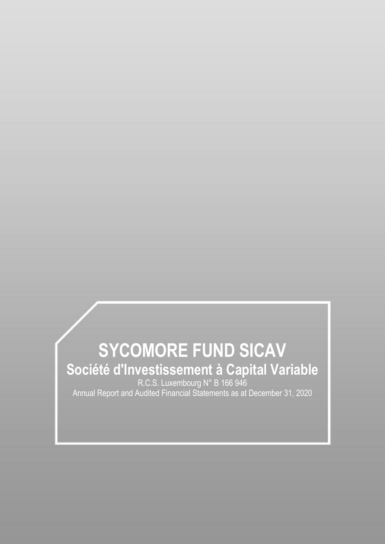# **SYCOMORE FUND SICAV Société d'Investissement à Capital Variable** R.C.S. Luxembourg N° B 166 946 Annual Report and Audited Financial Statements as at December 31, 2020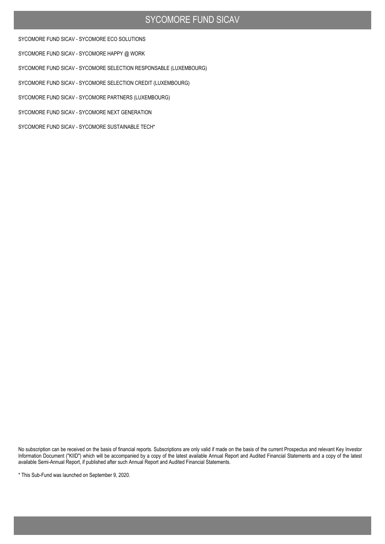SYCOMORE FUND SICAV - SYCOMORE ECO SOLUTIONS

SYCOMORE FUND SICAV - SYCOMORE HAPPY @ WORK

SYCOMORE FUND SICAV - SYCOMORE SELECTION RESPONSABLE (LUXEMBOURG)

SYCOMORE FUND SICAV - SYCOMORE SELECTION CREDIT (LUXEMBOURG)

SYCOMORE FUND SICAV - SYCOMORE PARTNERS (LUXEMBOURG)

SYCOMORE FUND SICAV - SYCOMORE NEXT GENERATION

SYCOMORE FUND SICAV - SYCOMORE SUSTAINABLE TECH\*

No subscription can be received on the basis of financial reports. Subscriptions are only valid if made on the basis of the current Prospectus and relevant Key Investor Information Document ("KIID") which will be accompanied by a copy of the latest available Annual Report and Audited Financial Statements and a copy of the latest available Semi-Annual Report, if published after such Annual Report and Audited Financial Statements.

\* This Sub-Fund was launched on September 9, 2020.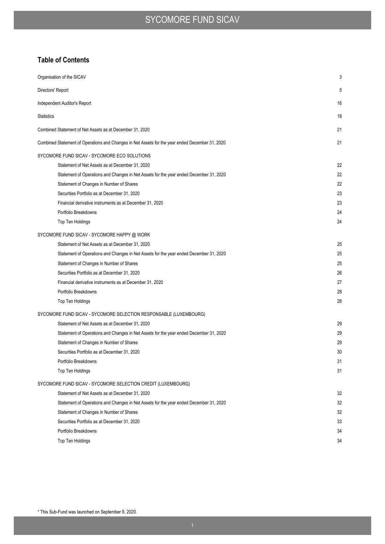### **Table of Contents**

| Organisation of the SICAV                                                                       | 3  |
|-------------------------------------------------------------------------------------------------|----|
| Directors' Report                                                                               | 5  |
| Independent Auditor's Report                                                                    | 16 |
| <b>Statistics</b>                                                                               | 18 |
| Combined Statement of Net Assets as at December 31, 2020                                        | 21 |
| Combined Statement of Operations and Changes in Net Assets for the year ended December 31, 2020 | 21 |
| SYCOMORE FUND SICAV - SYCOMORE ECO SOLUTIONS                                                    |    |
| Statement of Net Assets as at December 31, 2020                                                 | 22 |
| Statement of Operations and Changes in Net Assets for the year ended December 31, 2020          | 22 |
| Statement of Changes in Number of Shares                                                        | 22 |
| Securities Portfolio as at December 31, 2020                                                    | 23 |
| Financial derivative instruments as at December 31, 2020                                        | 23 |
| Portfolio Breakdowns                                                                            | 24 |
| Top Ten Holdings                                                                                | 24 |
| SYCOMORE FUND SICAV - SYCOMORE HAPPY @ WORK                                                     |    |
| Statement of Net Assets as at December 31, 2020                                                 | 25 |
| Statement of Operations and Changes in Net Assets for the year ended December 31, 2020          | 25 |
| Statement of Changes in Number of Shares                                                        | 25 |
| Securities Portfolio as at December 31, 2020                                                    | 26 |
| Financial derivative instruments as at December 31, 2020                                        | 27 |
| Portfolio Breakdowns                                                                            | 28 |
| Top Ten Holdings                                                                                | 28 |
| SYCOMORE FUND SICAV - SYCOMORE SELECTION RESPONSABLE (LUXEMBOURG)                               |    |
| Statement of Net Assets as at December 31, 2020                                                 | 29 |
| Statement of Operations and Changes in Net Assets for the year ended December 31, 2020          | 29 |
| Statement of Changes in Number of Shares                                                        | 29 |
| Securities Portfolio as at December 31, 2020                                                    | 30 |
| Portfolio Breakdowns                                                                            | 31 |
| Top Ten Holdings                                                                                | 31 |
| SYCOMORE FUND SICAV - SYCOMORE SELECTION CREDIT (LUXEMBOURG)                                    |    |
| Statement of Net Assets as at December 31, 2020                                                 | 32 |
| Statement of Operations and Changes in Net Assets for the year ended December 31, 2020          | 32 |
| Statement of Changes in Number of Shares                                                        | 32 |
| Securities Portfolio as at December 31, 2020                                                    | 33 |
| Portfolio Breakdowns                                                                            | 34 |
| Top Ten Holdings                                                                                | 34 |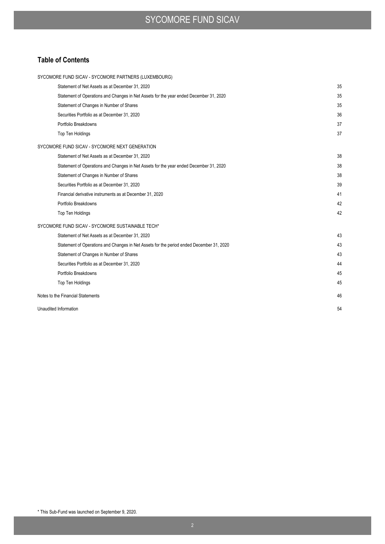### **Table of Contents**

| SYCOMORE FUND SICAV - SYCOMORE PARTNERS (LUXEMBOURG)                                     |    |
|------------------------------------------------------------------------------------------|----|
| Statement of Net Assets as at December 31, 2020                                          | 35 |
| Statement of Operations and Changes in Net Assets for the year ended December 31, 2020   | 35 |
| Statement of Changes in Number of Shares                                                 | 35 |
| Securities Portfolio as at December 31, 2020                                             | 36 |
| Portfolio Breakdowns                                                                     | 37 |
| Top Ten Holdings                                                                         | 37 |
| SYCOMORE FUND SICAV - SYCOMORE NEXT GENERATION                                           |    |
| Statement of Net Assets as at December 31, 2020                                          | 38 |
| Statement of Operations and Changes in Net Assets for the year ended December 31, 2020   | 38 |
| Statement of Changes in Number of Shares                                                 | 38 |
| Securities Portfolio as at December 31, 2020                                             | 39 |
| Financial derivative instruments as at December 31, 2020                                 | 41 |
| Portfolio Breakdowns                                                                     | 42 |
| <b>Top Ten Holdings</b>                                                                  | 42 |
| SYCOMORE FUND SICAV - SYCOMORE SUSTAINABLE TECH*                                         |    |
| Statement of Net Assets as at December 31, 2020                                          | 43 |
| Statement of Operations and Changes in Net Assets for the period ended December 31, 2020 | 43 |
| Statement of Changes in Number of Shares                                                 | 43 |
| Securities Portfolio as at December 31, 2020                                             | 44 |
| Portfolio Breakdowns                                                                     | 45 |
| <b>Top Ten Holdings</b>                                                                  | 45 |
| Notes to the Financial Statements                                                        | 46 |
| Unaudited Information                                                                    | 54 |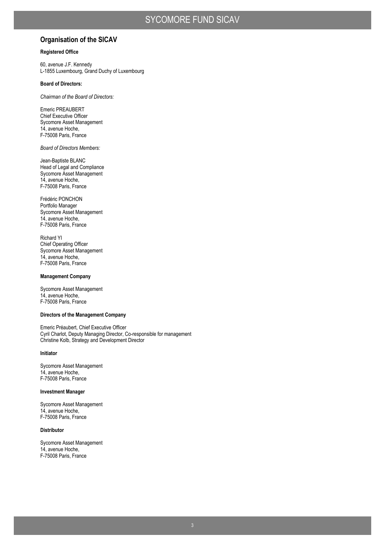### **Organisation of the SICAV**

### **Registered Office**

60, avenue J.F. Kennedy L-1855 Luxembourg, Grand Duchy of Luxembourg

### **Board of Directors:**

*Chairman of the Board of Directors:* 

Emeric PREAUBERT Chief Executive Officer Sycomore Asset Management 14, avenue Hoche, F-75008 Paris, France

*Board of Directors Members:* 

Jean-Baptiste BLANC Head of Legal and Compliance Sycomore Asset Management 14, avenue Hoche, F-75008 Paris, France

Frédéric PONCHON Portfolio Manager Sycomore Asset Management 14, avenue Hoche, F-75008 Paris, France

Richard YI Chief Operating Officer Sycomore Asset Management 14, avenue Hoche, F-75008 Paris, France

#### **Management Company**

Sycomore Asset Management 14, avenue Hoche, F-75008 Paris, France

#### **Directors of the Management Company**

Emeric Préaubert, Chief Executive Officer Cyril Charlot, Deputy Managing Director, Co-responsible for management Christine Kolb, Strategy and Development Director

#### **Initiator**

Sycomore Asset Management 14, avenue Hoche, F-75008 Paris, France

### **Investment Manager**

Sycomore Asset Management 14, avenue Hoche, F-75008 Paris, France

### **Distributor**

Sycomore Asset Management 14, avenue Hoche, F-75008 Paris, France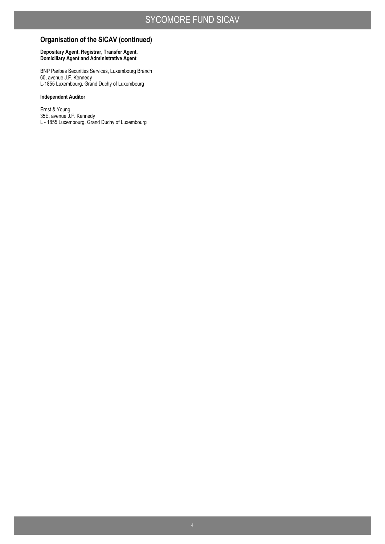### **Organisation of the SICAV (continued)**

### **Depositary Agent, Registrar, Transfer Agent, Domiciliary Agent and Administrative Agent**

BNP Paribas Securities Services, Luxembourg Branch 60, avenue J.F. Kennedy L-1855 Luxembourg, Grand Duchy of Luxembourg

### **Independent Auditor**

Ernst & Young 35E, avenue J.F. Kennedy L - 1855 Luxembourg, Grand Duchy of Luxembourg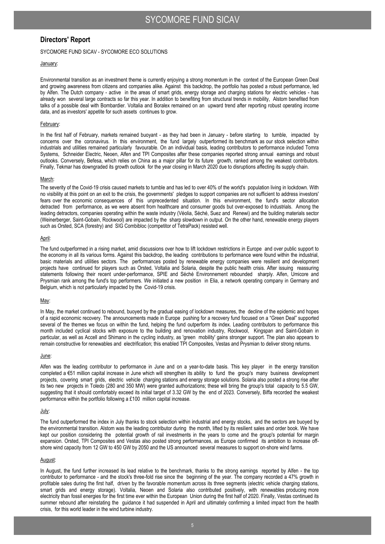### **Directors' Report**

### SYCOMORE FUND SICAV - SYCOMORE ECO SOLUTIONS

### January:

Environmental transition as an investment theme is currently enjoying a strong momentum in the context of the European Green Deal and growing awareness from citizens and companies alike. Against this backdrop, the portfolio has posted a robust performance, led by Alfen. The Dutch company - active in the areas of smart grids, energy storage and charging stations for electric vehicles - has already won several large contracts so far this year. In addition to benefiting from structural trends in mobility, Alstom benefited from talks of a possible deal with Bombardier. Voltalia and Boralex remained on an upward trend after reporting robust operating income data, and as investors' appetite for such assets continues to grow.

#### February:

In the first half of February, markets remained buoyant - as they had been in January - before starting to tumble, impacted by concerns over the coronavirus. In this environment, the fund largely outperformed its benchmark as our stock selection within industrials and utilities remained particularly favourable. On an individual basis, leading contributors to performance included Tomra Systems, Schneider Electric, Neoen, Alfen and TPI Composites after these companies reported strong annual earnings and robust outlooks. Conversely, Befesa, which relies on China as a major pillar for its future growth, ranked among the weakest contributors. Finally, Tekmar has downgraded its growth outlook for the year closing in March 2020 due to disruptions affecting its supply chain.

#### March:

The severity of the Covid-19 crisis caused markets to tumble and has led to over 40% of the world's population living in lockdown. With no visibility at this point on an exit to the crisis, the governments' pledges to support companies are not sufficient to address investors' fears over the economic consequences of this unprecedented situation. In this environment, the fund's sector allocation detracted from performance, as we were absent from healthcare and consumer goods but over-exposed to industrials. Among the leading detractors, companies operating within the waste industry (Véolia, Séché, Suez and Renewi) and the building materials sector (Weinerberger, Saint-Gobain, Rockwool) are impacted by the sharp slowdown in output. On the other hand, renewable energy players such as Orsted, SCA (forestry) and SIG Combibloc (competitor of TetraPack) resisted well.

#### April:

The fund outperformed in a rising market, amid discussions over how to lift lockdown restrictions in Europe and over public support to the economy in all its various forms. Against this backdrop, the leading contributions to performance were found within the industrial, basic materials and utilities sectors. The performances posted by renewable energy companies were resilient and development projects have continued for players such as Orsted, Voltalia and Solaria, despite the public health crisis. After issuing reassuring statements following their recent under-performance, SPIE and Séché Environnement rebounded sharply. Alfen, Umicore and Prysmian rank among the fund's top performers. We initiated a new position in Elia, a network operating company in Germany and Belgium, which is not particularly impacted by the Covid-19 crisis.

#### May:

In May, the market continued to rebound, buoyed by the gradual easing of lockdown measures, the decline of the epidemic and hopes of a rapid economic recovery. The announcements made in Europe pushing for a recovery fund focused on a "Green Deal" supported several of the themes we focus on within the fund, helping the fund outperform its index. Leading contributors to performance this month included cyclical stocks with exposure to the building and renovation industry, Rockwool, Kingspan and Saint-Gobain in particular, as well as Accell and Shimano in the cycling industry, as 'green mobility' gains stronger support. The plan also appears to remain constructive for renewables and electrification; this enabled TPI Composites, Vestas and Prysmian to deliver strong returns.

#### June:

Alfen was the leading contributor to performance in June and on a year-to-date basis. This key player in the energy transition completed a €51 million capital increase in June which will strengthen its ability to fund the group's many business development projects, covering smart grids, electric vehicle charging stations and energy storage solutions. Solaria also posted a strong rise after its two new projects in Toledo (280 and 350 MW) were granted authorizations; these will bring the group's total capacity to 5.5 GW, suggesting that it should comfortably exceed its initial target of 3.32 GW by the end of 2023. Conversely, Biffa recorded the weakest performance within the portfolio following a £100 million capital increase.

#### July:

The fund outperformed the index in July thanks to stock selection within industrial and energy stocks, and the sectors are buoyed by the environmental transition. Alstom was the leading contributor during the month, lifted by its resilient sales and order book. We have kept our position considering the potential growth of rail investments in the years to come and the group's potential for margin expansion. Orsted, TPI Composites and Vestas also posted strong performances, as Europe confirmed its ambition to increase offshore wind capacity from 12 GW to 450 GW by 2050 and the US announced several measures to support on-shore wind farms.

#### August:

In August, the fund further increased its lead relative to the benchmark, thanks to the strong earnings reported by Alfen - the top contributor to performance - and the stock's three-fold rise since the beginning of the year. The company recorded a 47% growth in profitable sales during the first half, driven by the favorable momentum across its three segments (electric vehicle charging stations, smart grids and energy storage). Voltalia, Neoen and Solaria also contributed positively, with renewables producing more electricity than fossil energies for the first time ever within the European Union during the first half of 2020. Finally, Vestas continued its summer rebound after reinstating the guidance it had suspended in April and ultimately confirming a limited impact from the health crisis, for this world leader in the wind turbine industry.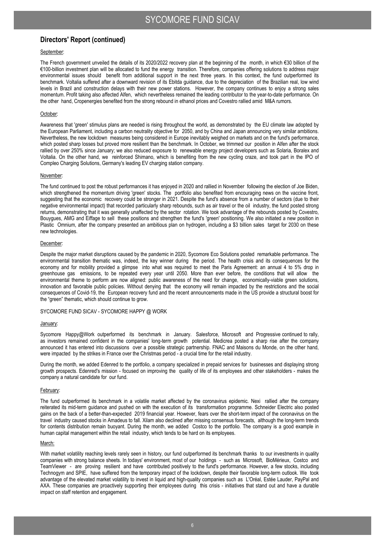### September:

The French government unveiled the details of its 2020/2022 recovery plan at the beginning of the month, in which €30 billion of the €100-billion investment plan will be allocated to fund the energy transition. Therefore, companies offering solutions to address major environmental issues should benefit from additional support in the next three years. In this context, the fund outperformed its benchmark. Voltalia suffered after a downward revision of its Ebitda guidance, due to the depreciation of the Brazilian real, low wind levels in Brazil and construction delays with their new power stations. However, the company continues to enjoy a strong sales momentum. Profit taking also affected Alfen, which nevertheless remained the leading contributor to the year-to-date performance. On the other hand, Cropenergies benefited from the strong rebound in ethanol prices and Covestro rallied amid M&A rumors.

#### October:

Awareness that 'green' stimulus plans are needed is rising throughout the world, as demonstrated by the EU climate law adopted by the European Parliament, including a carbon neutrality objective for 2050, and by China and Japan announcing very similar ambitions. Nevertheless, the new lockdown measures being considered in Europe inevitably weighed on markets and on the fund's performance, which posted sharp losses but proved more resilient than the benchmark. In October, we trimmed our position in Alfen after the stock rallied by over 250% since January; we also reduced exposure to renewable energy project developers such as Solaria, Boralex and Voltalia. On the other hand, we reinforced Shimano, which is benefiting from the new cycling craze, and took part in the IPO of Compleo Charging Solutions, Germany's leading EV charging station company.

#### November:

The fund continued to post the robust performances it has enjoyed in 2020 and rallied in November following the election of Joe Biden, which strengthened the momentum driving 'green' stocks. The portfolio also benefited from encouraging news on the vaccine front, suggesting that the economic recovery could be stronger in 2021. Despite the fund's absence from a number of sectors (due to their negative environmental impact) that recorded particularly sharp rebounds, such as air travel or the oil industry, the fund posted strong returns, demonstrating that it was generally unaffected by the sector rotation. We took advantage of the rebounds posted by Covestro, Bouygues, AMG and Eiffage to sell these positions and strengthen the fund's 'green' positioning. We also initiated a new position in Plastic Omnium, after the company presented an ambitious plan on hydrogen, including a \$3 billion sales target for 2030 on these new technologies.

### December:

Despite the major market disruptions caused by the pandemic in 2020, Sycomore Eco Solutions posted remarkable performance. The environmental transition thematic was, indeed, the key winner during the period. The health crisis and its consequences for the economy and for mobility provided a glimpse into what was required to meet the Paris Agreement: an annual 4 to 5% drop in greenhouse gas emissions, to be repeated every year until 2050. More than ever before, the conditions that will allow the environmental theme to perform are now aligned: public awareness of the need for change, economically-viable green solutions, innovation and favorable public policies. Without denying that the economy will remain impacted by the restrictions and the social consequences of Covid-19, the European recovery fund and the recent announcements made in the US provide a structural boost for the "green" thematic, which should continue to grow.

#### SYCOMORE FUND SICAV - SYCOMORE HAPPY @ WORK

#### January:

Sycomore Happy@Work outperformed its benchmark in January. Salesforce, Microsoft and Progressive continued to rally, as investors remained confident in the companies' long-term growth potential. Medicrea posted a sharp rise after the company announced it has entered into discussions over a possible strategic partnership. FNAC and Maisons du Monde, on the other hand, were impacted by the strikes in France over the Christmas period - a crucial time for the retail industry.

During the month, we added Edenred to the portfolio, a company specialized in prepaid services for businesses and displaying strong growth prospects. Edenred's mission - focused on improving the quality of life of its employees and other stakeholders - makes the company a natural candidate for our fund.

#### February:

The fund outperformed its benchmark in a volatile market affected by the coronavirus epidemic. Nexi rallied after the company reiterated its mid-term guidance and pushed on with the execution of its transformation programme. Schneider Electric also posted gains on the back of a better-than-expected 2019 financial year. However, fears over the short-term impact of the coronavirus on the travel industry caused stocks in Amadeus to fall. Xilam also declined after missing consensus forecasts, although the long-term trends for contents distribution remain buoyant. During the month, we added Costco to the portfolio. The company is a good example in human capital management within the retail industry, which tends to be hard on its employees.

#### March:

With market volatility reaching levels rarely seen in history, our fund outperformed its benchmark thanks to our investments in quality companies with strong balance sheets. In todays' environment, most of our holdings - such as Microsoft, BioMérieux, Costco and TeamViewer - are proving resilient and have contributed positively to the fund's performance. However, a few stocks, including Technogym and SPIE, have suffered from the temporary impact of the lockdown, despite their favorable long-term outlook. We took advantage of the elevated market volatility to invest in liquid and high-quality companies such as L'Oréal, Estée Lauder, PayPal and AXA. These companies are proactively supporting their employees during this crisis - initiatives that stand out and have a durable impact on staff retention and engagement.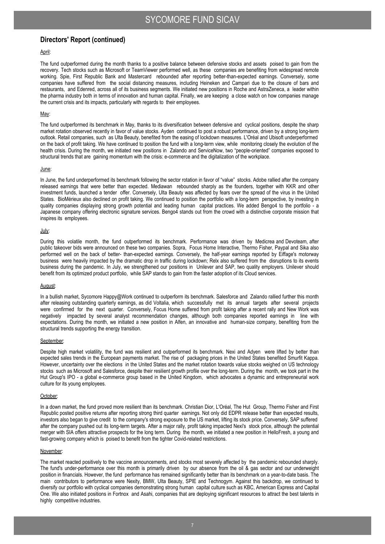### April:

The fund outperformed during the month thanks to a positive balance between defensive stocks and assets poised to gain from the recovery. Tech stocks such as Microsoft or TeamViewer performed well, as these companies are benefiting from widespread remote working. Spie, First Republic Bank and Mastercard rebounded after reporting better-than-expected earnings. Conversely, some companies have suffered from the social distancing measures, including Heineken and Campari due to the closure of bars and restaurants, and Edenred, across all of its business segments. We initiated new positions in Roche and AstraZeneca, a leader within the pharma industry both in terms of innovation and human capital. Finally, we are keeping a close watch on how companies manage the current crisis and its impacts, particularly with regards to their employees.

#### May:

The fund outperformed its benchmark in May, thanks to its diversification between defensive and cyclical positions, despite the sharp market rotation observed recently in favor of value stocks. Ayden continued to post a robust performance, driven by a strong long-term outlook. Retail companies, such as Ulta Beauty, benefited from the easing of lockdown measures. L'Oréal and Ubisoft underperformed on the back of profit taking. We have continued to position the fund with a long-term view, while monitoring closely the evolution of the health crisis. During the month, we initiated new positions in Zalando and ServiceNow, two "people-oriented" companies exposed to structural trends that are gaining momentum with the crisis: e-commerce and the digitalization of the workplace.

#### June:

In June, the fund underperformed its benchmark following the sector rotation in favor of "value" stocks. Adobe rallied after the company released earnings that were better than expected. Mediawan rebounded sharply as the founders, together with KKR and other investment funds, launched a tender offer. Conversely, Ulta Beauty was affected by fears over the spread of the virus in the United States. BioMérieux also declined on profit taking. We continued to position the portfolio with a long-term perspective, by investing in quality companies displaying strong growth potential and leading human capital practices. We added Bengo4 to the portfolio - a Japanese company offering electronic signature services. Bengo4 stands out from the crowd with a distinctive corporate mission that inspires its employees.

#### July:

During this volatile month, the fund outperformed its benchmark. Performance was driven by Medicrea and Devoteam, after public takeover bids were announced on these two companies. Sopra, Focus Home Interactive, Thermo Fisher, Paypal and Sika also performed well on the back of better- than-expected earnings. Conversely, the half-year earnings reported by Eiffage's motorway business were heavily impacted by the dramatic drop in traffic during lockdown; Relx also suffered from the disruptions to its events business during the pandemic. In July, we strengthened our positions in Unilever and SAP, two quality employers. Unilever should benefit from its optimized product portfolio, while SAP stands to gain from the faster adoption of its Cloud services.

#### August:

In a bullish market, Sycomore Happy@Work continued to outperform its benchmark. Salesforce and Zalando rallied further this month after releasing outstanding quarterly earnings, as did Voltalia, which successfully met its annual targets after several projects were confirmed for the next quarter. Conversely, Focus Home suffered from profit taking after a recent rally and New Work was negatively impacted by several analyst recommendation changes, although both companies reported earnings in line with expectations. During the month, we initiated a new position in Alfen, an innovative and human-size company, benefiting from the structural trends supporting the energy transition.

#### September:

Despite high market volatility, the fund was resilient and outperformed its benchmark. Nexi and Adyen were lifted by better than expected sales trends in the European payments market. The rise of packaging prices in the United States benefited Smurfit Kappa. However, uncertainty over the elections in the United States and the market rotation towards value stocks weighed on US technology stocks such as Microsoft and Salesforce, despite their resilient growth profile over the long-term. During the month, we took part in the Hut Group's IPO - a global e-commerce group based in the United Kingdom, which advocates a dynamic and entrepreneurial work culture for its young employees.

#### October:

In a down market, the fund proved more resilient than its benchmark. Christian Dior, L'Oréal, The Hut Group, Thermo Fisher and First Republic posted positive returns after reporting strong third quarter earnings. Not only did EDPR release better than expected results, investors also began to give credit to the company's strong exposure to the US market, lifting its stock price. Conversely, SAP suffered after the company pushed out its long-term targets. After a major rally, profit taking impacted Nexi's stock price, although the potential merger with SIA offers attractive prospects for the long term. During the month, we initiated a new position in HelloFresh, a young and fast-growing company which is poised to benefit from the tighter Covid-related restrictions.

#### November:

The market reacted positively to the vaccine announcements, and stocks most severely affected by the pandemic rebounded sharply. The fund's under-performance over this month is primarily driven by our absence from the oil & gas sector and our underweight position in financials. However, the fund performance has remained significantly better than its benchmark on a year-to-date basis. The main contributors to performance were Nexity, BMW, Ulta Beauty, SPIE and Technogym. Against this backdrop, we continued to diversify our portfolio with cyclical companies demonstrating strong human capital culture such as KBC, American Express and Capital One. We also initiated positions in Fortnox and Asahi, companies that are deploying significant resources to attract the best talents in highly competitive industries.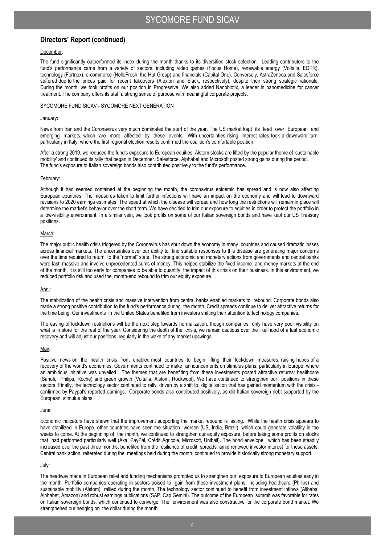#### December:

The fund significantly outperformed its index during the month thanks to its diversified stock selection. Leading contributors to the fund's performance came from a variety of sectors, including video games (Focus Home), renewable energy (Voltalia, EDPR), technology (Fortnox), e-commerce (HelloFresh, the Hut Group) and financials (Capital One). Conversely, AstraZeneca and Salesforce suffered due to the prices paid for recent takeovers (Alexion and Slack, respectively), despite their strong strategic rationale. During the month, we took profits on our position in Progressive. We also added Nanobiotix, a leader in nanomedicine for cancer treatment. The company offers its staff a strong sense of purpose with meaningful corporate projects.

#### SYCOMORE FUND SICAV - SYCOMORE NEXT GENERATION

### January**:**

News from Iran and the Coronavirus very much dominated the start of the year. The US market kept its lead over European and emerging markets, which are more affected by these events. With uncertainties rising, interest rates took a downward turn, particularly in Italy, where the first regional election results confirmed the coalition's comfortable position.

After a strong 2019, we reduced the fund's exposure to European equities. Alstom stocks are lifted by the popular theme of 'sustainable mobility' and continued its rally that began in December. Salesforce, Alphabet and Microsoft posted strong gains during the period. The fund's exposure to Italian sovereign bonds also contributed positively to the fund's performance**.** 

#### February:

Although it had seemed contained at the beginning the month, the coronavirus epidemic has spread and is now also affecting European countries. The measures taken to limit further infections will have an impact on the economy and will lead to downward revisions to 2020 earnings estimates. The speed at which the disease will spread and how long the restrictions will remain in place will determine the market's behavior over the short term. We have decided to trim our exposure to equities in order to protect the portfolio in a low-visibility environment. In a similar vein, we took profits on some of our Italian sovereign bonds and have kept our US Treasury positions.

### March:

The major public health crisis triggered by the Coronavirus has shut down the economy in many countries and caused dramatic losses across financial markets. The uncertainties over our ability to find suitable responses to this disease are generating major concerns over the time required to return to the "normal" state. The strong economic and monetary actions from governments and central banks were fast, massive and involve unprecedented sums of money. This helped stabilize the fixed income and money markets at the end of the month. It is still too early for companies to be able to quantify the impact of this crisis on their business. In this environment, we reduced portfolio risk and used the month-end rebound to trim our equity exposure.

#### April:

The stabilization of the health crisis and massive intervention from central banks enabled markets to rebound. Corporate bonds also made a strong positive contribution to the fund's performance during the month. Credit spreads continue to deliver attractive returns for the time being. Our investments in the United States benefited from investors shifting their attention to technology companies.

The easing of lockdown restrictions will be the next step towards normalization, though companies only have very poor visibility on what is in store for the rest of the year. Considering the depth of the crisis, we remain cautious over the likelihood of a fast economic recovery and will adjust our positions regularly in the wake of any market upswings.

#### May:

Positive news on the health crisis front enabled most countries to begin lifting their lockdown measures, raising hopes of a recovery of the world's economies. Governments continued to make announcements on stimulus plans, particularly in Europe, where an ambitious initiative was unveiled. The themes that are benefiting from these investments posted attractive returns: healthcare (Sanofi, Philips, Roche) and green growth (Voltalia, Alstom, Rockwool). We have continued to strengthen our positions in these sectors. Finally, the technology sector continued to rally, driven by a shift to digitalisation that has gained momentum with the crisis confirmed by Paypal's reported earnings. Corporate bonds also contributed positively, as did Italian sovereign debt supported by the European stimulus plans.

#### June:

Economic indicators have shown that the improvement supporting the market rebound is lasting. While the health crisis appears to have stabilized in Europe, other countries have seen the situation worsen (US, India, Brazil), which could generate volatility in the weeks to come. At the beginning of the month, we continued to strengthen our equity exposure, before taking some profits on stocks that had performed particularly well (Axa, PayPal, Crédit Agricole, Microsoft, Unibail). The bond envelope, which has been steadily increased over the past three months, benefited from the resilience of credit spreads, amid renewed investor interest for these assets. Central bank action, reiterated during the meetings held during the month, continued to provide historically strong monetary support.

### July:

The headway made in European relief and funding mechanisms prompted us to strengthen our exposure to European equities early in the month. Portfolio companies operating in sectors poised to gain from these investment plans, including healthcare (Philips) and sustainable mobility (Alstom) rallied during the month. The technology sector continued to benefit from investment inflows (Alibaba, Alphabet, Amazon) and robust earnings publications (SAP, Cap Gemini). The outcome of the European summit was favorable for rates on Italian sovereign bonds, which continued to converge. The environment was also constructive for the corporate bond market. We strengthened our hedging on the dollar during the month.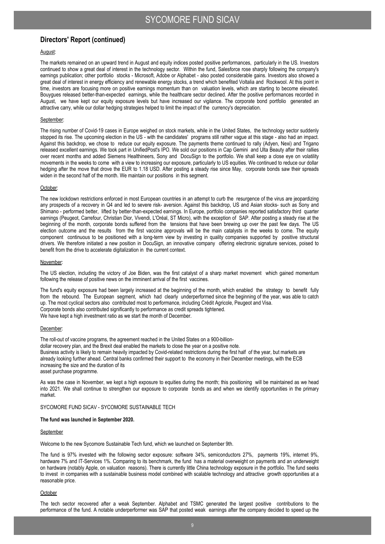### August:

The markets remained on an upward trend in August and equity indices posted positive performances, particularly in the US. Investors continued to show a great deal of interest in the technology sector. Within the fund, Salesforce rose sharply following the company's earnings publication; other portfolio stocks - Microsoft, Adobe or Alphabet - also posted considerable gains. Investors also showed a great deal of interest in energy efficiency and renewable energy stocks, a trend which benefited Voltalia and Rockwool. At this point in time, investors are focusing more on positive earnings momentum than on valuation levels, which are starting to become elevated. Bouygues released better-than-expected earnings, while the healthcare sector declined. After the positive performances recorded in August, we have kept our equity exposure levels but have increased our vigilance. The corporate bond portfolio generated an attractive carry, while our dollar hedging strategies helped to limit the impact of the currency's depreciation.

#### September:

The rising number of Covid-19 cases in Europe weighed on stock markets, while in the United States, the technology sector suddenly stopped its rise. The upcoming election in the US - with the candidates' programs still rather vague at this stage - also had an impact. Against this backdrop, we chose to reduce our equity exposure. The payments theme continued to rally (Adyen, Nexi) and Trigano released excellent earnings. We took part in UnifiedPost's IPO. We sold our positions in Cap Gemini and Ulta Beauty after their rallies over recent months and added Siemens Healthineers, Sony and DocuSign to the portfolio. We shall keep a close eye on volatility movements in the weeks to come with a view to increasing our exposure, particularly to US equities. We continued to reduce our dollar hedging after the move that drove the EUR to 1.18 USD. After posting a steady rise since May, corporate bonds saw their spreads widen in the second half of the month. We maintain our positions in this segment.

#### October:

The new lockdown restrictions enforced in most European countries in an attempt to curb the resurgence of the virus are jeopardizing any prospects of a recovery in Q4 and led to severe risk- aversion. Against this backdrop, US and Asian stocks- such as Sony and Shimano - performed better, lifted by better-than-expected earnings. In Europe, portfolio companies reported satisfactory third quarter earnings (Peugeot, Carrefour, Christian Dior, Vivendi, L'Oréal, ST Micro), with the exception of SAP. After posting a steady rise at the beginning of the month, corporate bonds suffered from the tensions that have been brewing up over the past few days. The US election outcome and the results from the first vaccine approvals will be the main catalysts in the weeks to come. The equity component continuous to be positioned with a long-term view by investing in quality companies supported by positive structural drivers. We therefore initiated a new position in DocuSign, an innovative company offering electronic signature services, poised to benefit from the drive to accelerate digitalization in the current context.

#### November:

The US election, including the victory of Joe Biden, was the first catalyst of a sharp market movement which gained momentum following the release of positive news on the imminent arrival of the first vaccines.

The fund's equity exposure had been largely increased at the beginning of the month, which enabled the strategy to benefit fully from the rebound. The European segment, which had clearly underperformed since the beginning of the year, was able to catch up. The most cyclical sectors also contributed most to performance, including Crédit Agricole, Peugeot and Visa. Corporate bonds also contributed significantly to performance as credit spreads tightened. We have kept a high investment ratio as we start the month of December.

#### December:

The roll-out of vaccine programs, the agreement reached in the United States on a 900-billiondollar recovery plan, and the Brexit deal enabled the markets to close the year on a positive note. Business activity is likely to remain heavily impacted by Covid-related restrictions during the first half of the year, but markets are already looking further ahead. Central banks confirmed their support to the economy in their December meetings, with the ECB increasing the size and the duration of its asset purchase programme.

As was the case in November, we kept a high exposure to equities during the month; this positioning will be maintained as we head into 2021. We shall continue to strengthen our exposure to corporate bonds as and when we identify opportunities in the primary market.

SYCOMORE FUND SICAV - SYCOMORE SUSTAINABLE TECH

#### **The fund was launched in September 2020.**

#### September

Welcome to the new Sycomore Sustainable Tech fund, which we launched on September 9th.

The fund is 97% invested with the following sector exposure: software 34%, semiconductors 27%, payments 19%, internet 9%, hardware 7% and IT-Services 1%. Comparing to its benchmark, the fund has a material overweight on payments and an underweight on hardware (notably Apple, on valuation reasons). There is currently little China technology exposure in the portfolio. The fund seeks to invest in companies with a sustainable business model combined with scalable technology and attractive growth opportunities at a reasonable price.

#### **October**

The tech sector recovered after a weak September. Alphabet and TSMC generated the largest positive contributions to the performance of the fund. A notable underperformer was SAP that posted weak earnings after the company decided to speed up the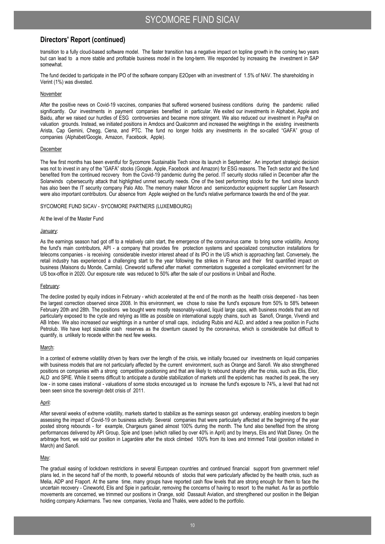transition to a fully cloud-based software model. The faster transition has a negative impact on topline growth in the coming two years but can lead to a more stable and profitable business model in the long-term. We responded by increasing the investment in SAP somewhat.

The fund decided to participate in the IPO of the software company E2Open with an investment of 1.5% of NAV. The shareholding in Verint (1%) was divested.

### **November**

After the positive news on Covid-19 vaccines, companies that suffered worsened business conditions during the pandemic rallied significantly. Our investments in payment companies benefited in particular. We exited our investments in Alphabet, Apple and Baidu, after we raised our hurdles of ESG controversies and became more stringent. We also reduced our investment in PayPal on valuation grounds. Instead, we initiated positions in Amdocs and Qualcomm and increased the weightings in the existing investments Arista, Cap Gemini, Chegg, Ciena, and PTC. The fund no longer holds any investments in the so-called "GAFA" group of companies (Alphabet/Google, Amazon, Facebook, Apple).

#### December

The few first months has been eventful for Sycomore Sustainable Tech since its launch in September. An important strategic decision was not to invest in any of the "GAFA" stocks (Google, Apple, Facebook and Amazon) for ESG reasons. The Tech sector and the fund benefited from the continued recovery from the Covid-19 pandemic during the period. IT security stocks rallied in December after the Solarwinds cybersecurity attack that highlighted unmet security needs. One of the best performing stocks for the fund since launch has also been the IT security company Palo Alto. The memory maker Micron and semiconductor equipment supplier Lam Research were also important contributors. Our absence from Apple weighed on the fund's relative performance towards the end of the year.

### SYCOMORE FUND SICAV - SYCOMORE PARTNERS (LUXEMBOURG)

### At the level of the Master Fund

### January:

As the earnings season had got off to a relatively calm start, the emergence of the coronavirus came to bring some volatility. Among the fund's main contributors, API - a company that provides fire protection systems and specialized construction installations for telecoms companies - is receiving considerable investor interest ahead of its IPO in the US which is approaching fast. Conversely, the retail industry has experienced a challenging start to the year following the strikes in France and their first quantified impact on business (Maisons du Monde, Carmila). Cineworld suffered after market commentators suggested a complicated environment for the US box-office in 2020. Our exposure rate was reduced to 50% after the sale of our positions in Unibail and Roche.

#### February:

The decline posted by equity indices in February - which accelerated at the end of the month as the health crisis deepened - has been the largest correction observed since 2008. In this environment, we chose to raise the fund's exposure from 50% to 58% between February 20th and 28th. The positions we bought were mostly reasonably-valued, liquid large caps, with business models that are not particularly exposed to the cycle and relying as little as possible on international supply chains, such as Sanofi, Orange, Vivendi and AB Inbev. We also increased our weightings in a number of small caps, including Rubis and ALD, and added a new position in Fuchs Petrolub. We have kept sizeable cash reserves as the downturn caused by the coronavirus, which is considerable but difficult to quantify, is unlikely to recede within the next few weeks.

#### March:

In a context of extreme volatility driven by fears over the length of the crisis, we initially focused our investments on liquid companies with business models that are not particularly affected by the current environment, such as Orange and Sanofi. We also strengthened positions on companies with a strong competitive positioning and that are likely to rebound sharply after the crisis, such as Elis, Elior, ALD and SPIE. While it seems difficult to anticipate a durable stabilization of markets until the epidemic has reached its peak, the very low - in some cases irrational - valuations of some stocks encouraged us to increase the fund's exposure to 74%, a level that had not been seen since the sovereign debt crisis of 2011.

#### April:

After several weeks of extreme volatility, markets started to stabilize as the earnings season got underway, enabling investors to begin assessing the impact of Covid-19 on business activity. Several companies that were particularly affected at the beginning of the year posted strong rebounds - for example, Chargeurs gained almost 100% during the month. The fund also benefited from the strong performances delivered by API Group, Spie and Ipsen (which rallied by over 40% in April) and by Imerys, Elis and Walt Disney. On the arbitrage front, we sold our position in Lagardère after the stock climbed 100% from its lows and trimmed Total (position initiated in March) and Sanofi.

### May:

The gradual easing of lockdown restrictions in several European countries and continued financial support from government relief plans led, in the second half of the month, to powerful rebounds of stocks that were particularly affected by the health crisis, such as Melia, ADP and Fraport. At the same time, many groups have reported cash flow levels that are strong enough for them to face the uncertain recovery - Cineworld, Elis and Spie in particular, removing the concerns of having to resort to the market. As far as portfolio movements are concerned, we trimmed our positions in Orange, sold Dassault Aviation, and strengthened our position in the Belgian holding company Ackermans. Two new companies, Veolia and Thalès, were added to the portfolio.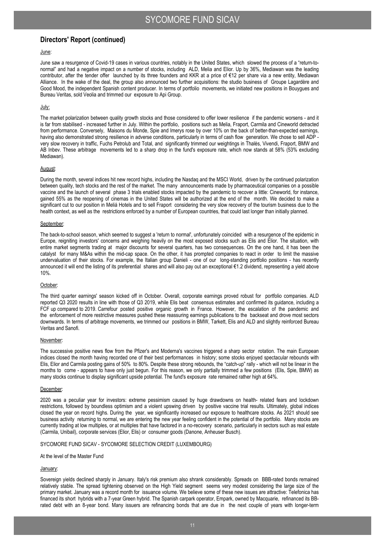### June:

June saw a resurgence of Covid-19 cases in various countries, notably in the United States, which slowed the process of a "return-tonormal" and had a negative impact on a number of stocks, including ALD, Melia and Elior. Up by 36%, Mediawan was the leading contributor, after the tender offer launched by its three founders and KKR at a price of €12 per share via a new entity, Mediawan Alliance. In the wake of the deal, the group also announced two further acquisitions: the studio business of Groupe Lagardère and Good Mood, the independent Spanish content producer. In terms of portfolio movements, we initiated new positions in Bouygues and Bureau Veritas, sold Veolia and trimmed our exposure to Api Group.

### July:

The market polarization between quality growth stocks and those considered to offer lower resilience if the pandemic worsens - and it is far from stabilised - increased further in July. Within the portfolio, positions such as Melia, Fraport, Carmila and Cineworld detracted from performance. Conversely, Maisons du Monde, Spie and Imerys rose by over 10% on the back of better-than-expected earnings, having also demonstrated strong resilience in adverse conditions, particularly in terms of cash flow generation. We chose to sell ADP very slow recovery in traffic, Fuchs Petrolub and Total, and significantly trimmed our weightings in Thalès, Vivendi, Fraport, BMW and AB Inbev. These arbitrage movements led to a sharp drop in the fund's exposure rate, which now stands at 58% (53% excluding Mediawan).

#### August:

During the month, several indices hit new record highs, including the Nasdaq and the MSCI World, driven by the continued polarization between quality, tech stocks and the rest of the market. The many announcements made by pharmaceutical companies on a possible vaccine and the launch of several phase 3 trials enabled stocks impacted by the pandemic to recover a little: Cineworld, for instance, gained 55% as the reopening of cinemas in the United States will be authorized at the end of the month. We decided to make a significant cut to our position in Meliá Hotels and to sell Fraport considering the very slow recovery of the tourism business due to the health context, as well as the restrictions enforced by a number of European countries, that could last longer than initially planned.

#### September:

The back-to-school season, which seemed to suggest a 'return to normal', unfortunately coincided with a resurgence of the epidemic in Europe, reigniting investors' concerns and weighing heavily on the most exposed stocks such as Elis and Elior. The situation, with entire market segments trading at major discounts for several quarters, has two consequences. On the one hand, it has been the catalyst for many M&As within the mid-cap space. On the other, it has prompted companies to react in order to limit the massive undervaluation of their stocks. For example, the Italian group Danieli - one of our long-standing portfolio positions - has recently announced it will end the listing of its preferential shares and will also pay out an exceptional €1.2 dividend, representing a yield above 10%.

### October:

The third quarter earnings' season kicked off in October. Overall, corporate earnings proved robust for portfolio companies. ALD reported Q3 2020 results in line with those of Q3 2019, while Elis beat consensus estimates and confirmed its guidance, including a FCF up compared to 2019. Carrefour posted positive organic growth in France. However, the escalation of the pandemic and the enforcement of more restrictive measures pushed these reassuring earnings publications to the backseat and drove most sectors downwards. In terms of arbitrage movements, we trimmed our positions in BMW, Tarkett, Elis and ALD and slightly reinforced Bureau Veritas and Sanofi.

#### November:

The successive positive news flow from the Pfizer's and Moderna's vaccines triggered a sharp sector rotation. The main European indices closed the month having recorded one of their best performances in history; some stocks enjoyed spectacular rebounds with Elis, Elior and Carmila posting gains of 50% to 80%. Despite these strong rebounds, the "catch-up" rally - which will not be linear in the months to come - appears to have only just begun. For this reason, we only partially trimmed a few positions (Elis, Spie, BMW) as many stocks continue to display significant upside potential. The fund's exposure rate remained rather high at 64%.

#### December:

2020 was a peculiar year for investors: extreme pessimism caused by huge drawdowns on health- related fears and lockdown restrictions, followed by boundless optimism and a violent upswing driven by positive vaccine trial results. Ultimately, global indices closed the year on record highs. During the year, we significantly increased our exposure to healthcare stocks. As 2021 should see business activity returning to normal, we are entering the new year feeling confident in the potential of the portfolio. Many stocks are currently trading at low multiples, or at multiples that have factored in a no-recovery scenario, particularly in sectors such as real estate (Carmila, Unibail), corporate services (Elior, Elis) or consumer goods (Danone, Anheuser Busch).

#### SYCOMORE FUND SICAV - SYCOMORE SELECTION CREDIT (LUXEMBOURG)

#### At the level of the Master Fund

#### January:

Sovereign yields declined sharply in January. Italy's risk premium also shrank considerably. Spreads on BBB-rated bonds remained relatively stable. The spread tightening observed on the High Yield segment seems very modest considering the large size of the primary market. January was a record month for issuance volume. We believe some of these new issues are attractive: Telefonica has financed its short hybrids with a 7-year Green hybrid. The Spanish carpark operator, Empark, owned by Macquarie, refinanced its BBrated debt with an 8-year bond. Many issuers are refinancing bonds that are due in the next couple of years with longer-term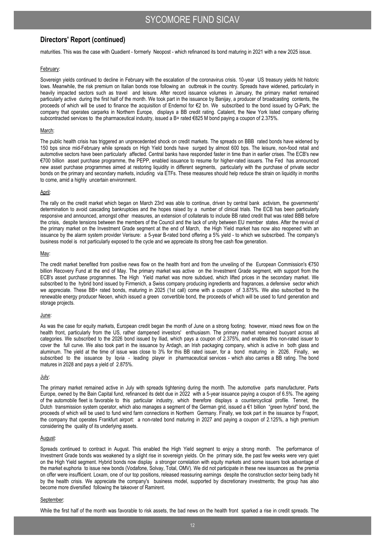maturities. This was the case with Quadient - formerly Neopost - which refinanced its bond maturing in 2021 with a new 2025 issue.

#### February:

Sovereign yields continued to decline in February with the escalation of the coronavirus crisis. 10-year US treasury yields hit historic lows. Meanwhile, the risk premium on Italian bonds rose following an outbreak in the country. Spreads have widened, particularly in heavily impacted sectors such as travel and leisure. After record issuance volumes in January, the primary market remained particularly active during the first half of the month. We took part in the issuance by Banijay, a producer of broadcasting contents, the proceeds of which will be used to finance the acquisition of Endemol for €2 bn. We subscribed to the bond issued by Q-Park; the company that operates carparks in Northern Europe, displays a BB credit rating. Catalent, the New York listed company offering subcontracted services to the pharmaceutical industry, issued a B+ rated €825 M bond paying a coupon of 2.375%.

#### March:

The public health crisis has triggered an unprecedented shock on credit markets. The spreads on BBB rated bonds have widened by 150 bps since mid-February while spreads on High Yield bonds have surged by almost 600 bps. The leisure, non-food retail and automotive sectors have been particularly affected. Central banks have responded faster in time than in earlier crises. The ECB's new €700 billion asset purchase programme, the PEPP, enabled issuance to resume for higher-rated issuers. The Fed has announced new asset purchase programmes aimed at restoring liquidity in different segments, particularly with the purchase of private sector bonds on the primary and secondary markets, including via ETFs. These measures should help reduce the strain on liquidity in months to come, amid a highly uncertain environment.

#### April:

The rally on the credit market which began on March 23rd was able to continue, driven by central bank activism, the governments' determination to avoid cascading bankruptcies and the hopes raised by a number of clinical trials. The ECB has been particularly responsive and announced, amongst other measures, an extension of collaterals to include BB rated credit that was rated BBB before the crisis, despite tensions between the members of the Council and the lack of unity between EU member states. After the revival of the primary market on the Investment Grade segment at the end of March, the High Yield market has now also reopened with an issuance by the alarm system provider Verisure: a 5-year B-rated bond offering a 5% yield - to which we subscribed. The company's business model is not particularly exposed to the cycle and we appreciate its strong free cash flow generation.

#### May:

The credit market benefited from positive news flow on the health front and from the unveiling of the European Commission's €750 billion Recovery Fund at the end of May. The primary market was active on the Investment Grade segment, with support from the ECB's asset purchase programmes. The High Yield market was more subdued, which lifted prices in the secondary market. We subscribed to the hybrid bond issued by Firmenich, a Swiss company producing ingredients and fragrances, a defensive sector which we appreciate. These BB+ rated bonds, maturing in 2025 (1st call) come with a coupon of 3.875%. We also subscribed to the renewable energy producer Neoen, which issued a green convertible bond, the proceeds of which will be used to fund generation and storage projects.

#### June:

As was the case for equity markets, European credit began the month of June on a strong footing; however, mixed news flow on the health front, particularly from the US, rather dampened investors' enthusiasm. The primary market remained buoyant across all categories. We subscribed to the 2026 bond issued by Iliad, which pays a coupon of 2.375%, and enables this non-rated issuer to cover the full curve. We also took part in the issuance by Ardagh, an Irish packaging company, which is active in both glass and aluminum. The yield at the time of issue was close to 3% for this BB rated issuer, for a bond maturing in 2026. Finally, we subscribed to the issuance by Iqvia - leading player in pharmaceutical services - which also carries a BB rating. The bond matures in 2028 and pays a yield of 2.875%.

#### July:

The primary market remained active in July with spreads tightening during the month. The automotive parts manufacturer, Parts Europe, owned by the Bain Capital fund, refinanced its debt due in 2022 with a 5-year issuance paying a coupon of 6.5%. The ageing of the automobile fleet is favorable to this particular industry, which therefore displays a countercyclical profile. Tennet, the Dutch transmission system operator, which also manages a segment of the German grid, issued a €1 billion "green hybrid" bond, the proceeds of which will be used to fund wind farm connections in Northern Germany. Finally, we took part in the issuance by Fraport, the company that operates Frankfurt airport: a non-rated bond maturing in 2027 and paying a coupon of 2.125%, a high premium considering the quality of its underlying assets.

#### August:

Spreads continued to contract in August. This enabled the High Yield segment to enjoy a strong month. The performance of Investment Grade bonds was weakened by a slight rise in sovereign yields. On the primary side, the past few weeks were very quiet on the High Yield segment. Hybrid bonds now display a stronger correlation with equity markets and some issuers took advantage of the market euphoria to issue new bonds (Vodafone, Solvay, Total, OMV). We did not participate in these new issuances as the premia on offer were insufficient. Loxam, one of our top positions, released reassuring earnings despite the construction sector being badly hit by the health crisis. We appreciate the company's business model, supported by discretionary investments; the group has also become more diversified following the takeover of Ramirent.

#### September:

While the first half of the month was favorable to risk assets, the bad news on the health front sparked a rise in credit spreads. The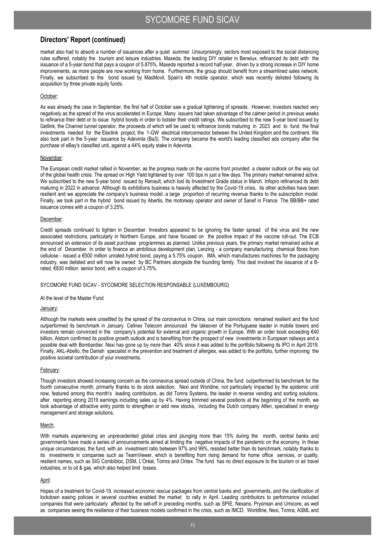market also had to absorb a number of issuances after a quiet summer. Unsurprisingly, sectors most exposed to the social distancing rules suffered, notably the tourism and leisure industries. Maxeda, the leading DIY retailer in Benelux, refinanced its debt with the issuance of a 5-year bond that pays a coupon of 5.875%. Maxeda reported a record half-year, driven by a strong increase in DIY home improvements, as more people are now working from home. Furthermore, the group should benefit from a streamlined sales network. Finally, we subscribed to the bond issued by MasMovil, Spain's 4th mobile operator, which was recently delisted following its acquisition by three private equity funds.

### October:

As was already the case in September, the first half of October saw a gradual tightening of spreads. However, investors reacted very negatively as the spread of the virus accelerated in Europe. Many issuers had taken advantage of the calmer period in previous weeks to refinance their debt or to issue hybrid bonds in order to bolster their credit ratings. We subscribed to the new 5-year bond issued by Getlink, the Channel tunnel operator, the proceeds of which will be used to refinance bonds maturing in 2023 and to fund the final investments needed for the Eleclink project, the 1-GW electrical interconnector between the United Kingdom and the continent. We also took part in the 5-year issuance by Adevinta (Ba3). The company became the world's leading classified ads company after the purchase of eBay's classified unit, against a 44% equity stake in Adevinta.

#### November:

The European credit market rallied in November, as the progress made on the vaccine front provided a clearer outlook on the way out of the global health crisis. The spread on High Yield tightened by over 100 bps in just a few days. The primary market remained active. We subscribed to the new 5-year bond issued by Renault, which lost its Investment Grade status in March. Infopro refinanced its debt maturing in 2022 in advance. Although its exhibitions business is heavily affected by the Covid-19 crisis, its other activities have been resilient and we appreciate the company's business model: a large proportion of recurring revenue thanks to the subscription model. Finally, we took part in the hybrid bond issued by Abertis, the motorway operator and owner of Sanef in France. The BB/BB+ rated issuance comes with a coupon of 3.25%.

### December:

Credit spreads continued to tighten in December. Investors appeared to be ignoring the faster spread of the virus and the new associated restrictions, particularly in Northern Europe, and have focused on the positive impact of the vaccine roll-out. The ECB announced an extension of its asset purchase programmes as planned. Unlike previous years, the primary market remained active at the end of December. In order to finance an ambitious development plan, Lenzing - a company manufacturing chemical fibres from cellulose - issued a €500 million unrated hybrid bond, paying a 5.75% coupon. IMA, which manufactures machines for the packaging industry, was delisted and will now be owned by BC Partners alongside the founding family. This deal involved the issuance of a Brated, €830 million senior bond, with a coupon of 3.75%.

### SYCOMORE FUND SICAV - SYCOMORE SELECTION RESPONSABLE (LUXEMBOURG)

#### At the level of the Master Fund

#### January:

Although the markets were unsettled by the spread of the coronavirus in China, our main convictions remained resilient and the fund outperformed its benchmark in January. Cellnex Telecom announced the takeover of the Portuguese leader in mobile towers and investors remain convinced in the company's potential for external and organic growth in Europe. With an order book exceeding €40 billion, Alstom confirmed its positive growth outlook and is benefiting from the prospect of new investments in European railways and a possible deal with Bombardier. Nexi has gone up by more than 40% since it was added to the portfolio following its IPO in April 2019. Finally, AKL-Abello, the Danish specialist in the prevention and treatment of allergies, was added to the portfolio, further improving the positive societal contribution of your investments.

#### February:

Though investors showed increasing concern as the coronavirus spread outside of China, the fund outperformed its benchmark for the fourth consecutive month, primarily thanks to its stock selection. Nexi and Worldine, not particularly impacted by the epidemic until now, featured among this month's leading contributors, as did Tomra Systems, the leader in reverse vending and sorting solutions, after reporting strong 2019 earnings including sales up by 4%. Having trimmed several positions at the beginning of the month, we took advantage of attractive entry points to strengthen or add new stocks, including the Dutch company Alfen, specialised in energy management and storage solutions.

#### March:

With markets experiencing an unprecedented global crisis and plunging more than 15% during the month, central banks and governments have made a series of announcements aimed at limiting the negative impacts of the pandemic on the economy. In these unique circumstances, the fund, with an investment ratio between 97% and 99%, resisted better than its benchmark, notably thanks to its investments in companies such as TeamViewer, which is benefiting from rising demand for home office services, or quality, resilient names, such as SIG Combibloc, DSM, L'Oréal, Tomra and Ontex. The fund has no direct exposure to the tourism or air travel industries, or to oil & gas, which also helped limit losses.

### April:

Hopes of a treatment for Covid-19, increased economic rescue packages from central banks and governments, and the clarification of lockdown easing policies in several countries enabled the market to rally in April. Leading contributors to performance included companies that were particularly affected by the sell-off in preceding months, such as SPIE, Nexans, Prysmian and Umicore, as well as companies seeing the resilience of their business models confirmed in the crisis, such as IMCD, Worldline, Nexi, Tomra, ASML and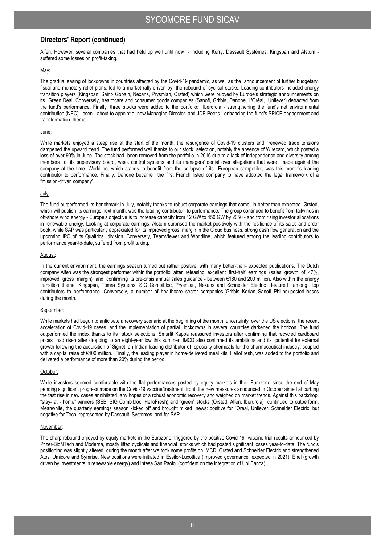Alfen. However, several companies that had held up well until now - including Kerry, Dassault Systèmes, Kingspan and Alstom suffered some losses on profit-taking.

#### May:

The gradual easing of lockdowns in countries affected by the Covid-19 pandemic, as well as the announcement of further budgetary, fiscal and monetary relief plans, led to a market rally driven by the rebound of cyclical stocks. Leading contributors included energy transition players (Kingspan, Saint- Gobain, Nexans, Prysmian, Orsted) which were buoyed by Europe's strategic announcements on its Green Deal. Conversely, healthcare and consumer goods companies (Sanofi, Grifols, Danone, L'Oréal, Unilever) detracted from the fund's performance. Finally, three stocks were added to the portfolio: Iberdrola - strengthening the fund's net environmental contribution (NEC), Ipsen - about to appoint a new Managing Director, and JDE Peet's - enhancing the fund's SPICE engagement and transformation theme.

#### June:

While markets enjoyed a steep rise at the start of the month, the resurgence of Covid-19 clusters and renewed trade tensions dampened the upward trend. The fund performed well thanks to our stock selection, notably the absence of Wirecard, which posted a loss of over 90% in June. The stock had been removed from the portfolio in 2016 due to a lack of independence and diversity among members of its supervisory board, weak control systems and its managers' denial over allegations that were made against the company at the time. Worldline, which stands to benefit from the collapse of its European competitor, was this month's leading contributor to performance. Finally, Danone became the first French listed company to have adopted the legal framework of a "mission-driven company".

### July

The fund outperformed its benchmark in July, notably thanks to robust corporate earnings that came in better than expected. Ørsted, which will publish its earnings next month, was the leading contributor to performance. The group continued to benefit from tailwinds in off-shore wind energy - Europe's objective is to increase capacity from 12 GW to 450 GW by 2050 - and from rising investor allocations in renewable energy. Looking at corporate earnings, Alstom surprised the market positively with the resilience of its sales and order book, while SAP was particularly appreciated for its improved gross margin in the Cloud business, strong cash flow generation and the upcoming IPO of its Qualtrics division. Conversely, TeamViewer and Worldline, which featured among the leading contributors to performance year-to-date, suffered from profit taking.

#### August:

In the current environment, the earnings season turned out rather positive, with many better-than- expected publications. The Dutch company Alfen was the strongest performer within the portfolio after releasing excellent first-half earnings (sales growth of 47%, improved gross margin) and confirming its pre-crisis annual sales guidance - between €180 and 200 million. Also within the energy transition theme, Kingspan, Tomra Systems, SIG Combibloc, Prysmian, Nexans and Schneider Electric featured among top contributors to performance. Conversely, a number of healthcare sector companies (Grifols, Korian, Sanofi, Philips) posted losses during the month.

### September:

While markets had begun to anticipate a recovery scenario at the beginning of the month, uncertainty over the US elections, the recent acceleration of Covid-19 cases, and the implementation of partial lockdowns in several countries darkened the horizon. The fund outperformed the index thanks to its stock selections. Smurfit Kappa reassured investors after confirming that recycled cardboard prices had risen after dropping to an eight-year low this summer. IMCD also confirmed its ambitions and its potential for external growth following the acquisition of Signet, an Indian leading distributor of specialty chemicals for the pharmaceutical industry, coupled with a capital raise of €400 million. Finally, the leading player in home-delivered meal kits, HelloFresh, was added to the portfolio and delivered a performance of more than 20% during the period.

#### October:

While investors seemed comfortable with the flat performances posted by equity markets in the Eurozone since the end of May pending significant progress made on the Covid-19 vaccine/treatment front, the new measures announced in October aimed at curbing the fast rise in new cases annihilated any hopes of a robust economic recovery and weighed on market trends. Against this backdrop, "stay- at - home" winners (SEB, SIG Combibloc, HelloFresh) and "green" stocks (Orsted, Alfen, Iberdrola) continued to outperform. Meanwhile, the quarterly earnings season kicked off and brought mixed news: positive for l'Oréal, Unilever, Schneider Electric, but negative for Tech, represented by Dassault Systèmes, and for SAP.

#### November:

The sharp rebound enjoyed by equity markets in the Eurozone, triggered by the positive Covid-19 vaccine trial results announced by Pfizer-BioNTech and Moderna, mostly lifted cyclicals and financial stocks which had posted significant losses year-to-date. The fund's positioning was slightly altered during the month after we took some profits on IMCD, Orsted and Schneider Electric and strengthened Atos, Umicore and Symrise. New positions were initiated in Essilor-Luxottica (improved governance expected in 2021), Enel (growth driven by investments in renewable energy) and Intesa San Paolo (confident on the integration of Ubi Banca).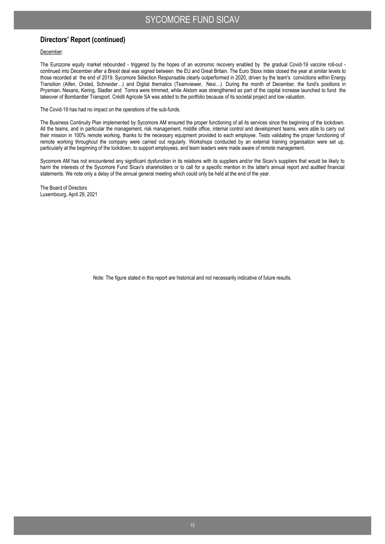December:

The Eurozone equity market rebounded - triggered by the hopes of an economic recovery enabled by the gradual Covid-19 vaccine roll-out continued into December after a Brexit deal was signed between the EU and Great Britain. The Euro Stoxx index closed the year at similar levels to those recorded at the end of 2019. Sycomore Sélection Responsable clearly outperformed in 2020, driven by the team's convictions within Energy Transition (Alfen, Orsted, Schneider…) and Digital thematics (Teamviewer, Nexi…). During the month of December, the fund's positions in Prysmian, Nexans, Kering, Stadler and Tomra were trimmed, while Alstom was strengthened as part of the capital increase launched to fund the takeover of Bombardier Transport. Crédit Agricole SA was added to the portfolio because of its societal project and low valuation.

The Covid-19 has had no impact on the operations of the sub-funds.

The Business Continuity Plan implemented by Sycomore AM ensured the proper functioning of all its services since the beginning of the lockdown. All the teams, and in particular the management, risk management, middle office, internal control and development teams, were able to carry out their mission in 100% remote working, thanks to the necessary equipment provided to each employee. Tests validating the proper functioning of remote working throughout the company were carried out regularly. Workshops conducted by an external training organisation were set up, particularly at the beginning of the lockdown, to support employees, and team leaders were made aware of remote management.

Sycomore AM has not encountered any significant dysfunction in its relations with its suppliers and/or the Sicav's suppliers that would be likely to harm the interests of the Sycomore Fund Sicav's shareholders or to call for a specific mention in the latter's annual report and audited financial statements. We note only a delay of the annual general meeting which could only be held at the end of the year.

The Board of Directors Luxembourg, April 29, 2021

Note: The figure stated in this report are historical and not necessarily indicative of future results.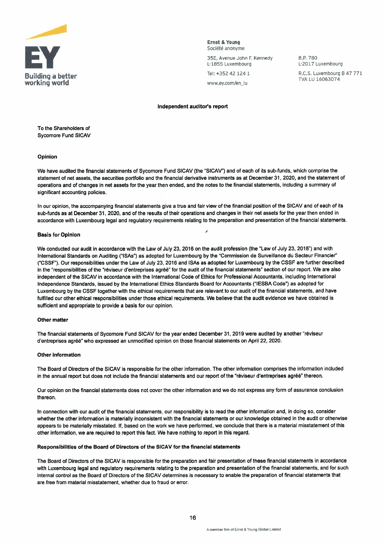

Ernst & Young Société anonyme

35E, Avenue John F. Kennedy L-1855 Luxembourg

Tel: +352 42 124 1

B.P.780 L-2017 Luxembourg **Ruilding a better building a better and the set of the set of the set of the set of the set of the set of the set of the set of the set of the set of the set of the set of the set of the set of the set of the set of t** 

#### Independent auditor's report

To the Shareholders of Sycomore Fund SICAV

#### Opinion

We have audited the financial statements of Sycomore Fund SICAV (the "SICAV") and of each of its sub-funds, which comprise the statement of net assets, the securities portfolio and the financial derivative instruments as at December 31, 2020, and the statement of operations and of changes in net assets for the year then ended, and the notes to the financial statements, including a summary of significant accounting policies.

In our opinion, the accompanying financial statements give a true and fair view of the financial position of the SICAV and of each of its sub-funds as at December 31, 2020, and of the results of their operations and changes in their net assets for the year then ended in accordance with Luxembourg legal and regulatory requirements relating to the preparation and presentation of the financial statements.

#### Basis for Opinion

We conducted our audit in accordance with the Law of July 23, 2016 on the audit profession (the "Law of July 23, 2016") and with International Standards on Auditing ("ISAs") as adopted for Luxembourg by the "Commission de Surveillance du Secteur Financier" ("CSSF"). Our responsibilities under the Law of July 23, 2016 and ISAs as adopted for Luxembourg by the CSSF are further described in the "responsibilities of the "réviseur d'entreprises agréé" for the audit of the financial statements" section of our report. We are also independent of the SICAV in accordance with the International Code of Ethics for Professional Accountants, including International Independence Standards, issued by the International Ethics Standards Board for Accountants ("IESBA Code") as adopted for Luxembourg by the CSSF together with the ethical requirements that are relevant to our audit of the financial statements, and have fulfilled our other ethical responsibilities under those ethical requirements. We believe that the audit evidence we have obtained is sufficient and appropriate to provide a basis for our opinion.

#### Other matter

The financial statements of Sycomore Fund SICAV for the year ended December 31, 2019 were audited by another "reviseur d'entreprises agréé" who expressed an unmodified opinion on those financial statements on April 22, 2020.

#### Other information

The Board of Directors of the SICAV is responsible for the other information. The other information comprises the information included in the annual report but does not include the financial statements and our report of the "réviseur d'entreprises agréé" thereon.

Our opinion on the financial statements does not cover the other information and we do not express any form of assurance conclusion thereon.

In connection with our audit of the financial statements, our responsibility is to read the other information and, in doing so, consider whether the other information is materially inconsistent with the financial statements or our knowledge obtained in the audit or otherwise appears to be materially misstated. If, based on the work we have performed, we conclude that there is a material misstatement of this other information, we are required to report this fact. We have nothing to report in this regard.

#### Responsibilities of the Board of Directors of the SICAV for the financial statements

The Board of Directors of the SICAV is responsible for the preparation and fair presentation of these financial statements in accordance with Luxembourg legal and regulatory requirements relating to the preparation and presentation of the financial statements, and for such internal control as the Board of Directors of the SICAV determines is necessary to enable the preparation of financial statements that are free from material misstatement, whether due to fraud or error.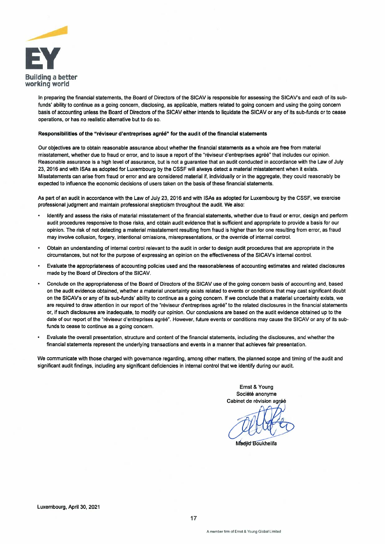

In preparing the financial statements, the Board of Directors of the SICAV is responsible for assessing the SICAV's and each of its subfunds' ability to continue as a going concern, disclosing, as applicable, matters related to going concern and using the going concern basis of accounting unless the Board of Directors of the SICAV either intends to liquidate the SICAV or any of its sub-funds or to cease operations, or has no realistic alternative but to do so.

#### Responsibilities of the "réviseur d'entreprises agréé" for the audit of the financial statements

Our objectives are to obtain reasonable assurance about whether the financial statements as a whole are free from material misstatement, whether due to fraud or error, and to issue a report of the "réviseur d'entreprises agréé" that includes our opinion. Reasonable assurance is a high level of assurance, but is not a guarantee that an audit conducted in accordance with the Law of July 23, 2016 and with ISAs as adopted for Luxembourg by the CSSF will always detect a material misstatement when it exists. Misstatements can arise from fraud or error and are considered material if, individually or in the aggregate, they could reasonably be expected to influence the economic decisions of users taken on the basis of these financial statements.

As part of an audit in accordance with the Law of July 23, 2016 and with ISAs as adopted for Luxembourg by the CSSF, we exercise professional judgment and maintain professional skepticism throughout the audit. We also:

- Identify and assess the risks of material misstatement of the financial statements, whether due to fraud or error, design and perform audit procedures responsive to those risks, and obtain audit evidence that is sufficient and appropriate to provide a basis for our opinion. The risk of not detecting a material misstatement resulting from fraud is higher than for one resulting from error, as fraud may involve collusion, forgery, intentional omissions, misrepresentations, or the override of internal control.
- Obtain an understanding of internal control relevant to the audit in order to design audit procedures that are appropriate in the circumstances, but not for the purpose of expressing an opinion on the effectiveness of the SICAV's internal control.
- Evaluate the appropriateness of accounting policies used and the reasonableness of accounting estimates and related disclosures made by the Board of Directors of the SICAV.
- Conclude on the appropriateness of the Board of Directors of the SICAV use of the going concern basis of accounting and, based on the audit evidence obtained, whether a material uncertainty exists related to events or conditions that may cast significant doubt on the SICAV's or any of its sub-funds' ability to continue as a going concern. If we conclude that a material uncertainty exists, we are required to draw attention in our report of the "réviseur d'entreprises agréé" to the related disclosures in the financial statements or, if such disclosures are inadequate, to modify our opinion. Our conclusions are based on the audit evidence obtained up to the date of our report of the "réviseur d'entreprises agréé". However, future events or conditions may cause the SICAV or any of its subfunds to cease to continue as a going concern.
- Evaluate the overall presentation, structure and content of the financial statements, including the disclosures, and whether the financial statements represent the underlying transactions and events in a manner that achieves fair presentation.

We communicate with those charged with governance regarding, among other matters, the planned scope and timing of the audit and significant audit findings, including any significant deficiencies in internal control that we identify during our audit.

> Ernst & Young Société anonyme Cabinet de révision agréé

Madiid Boukhelifa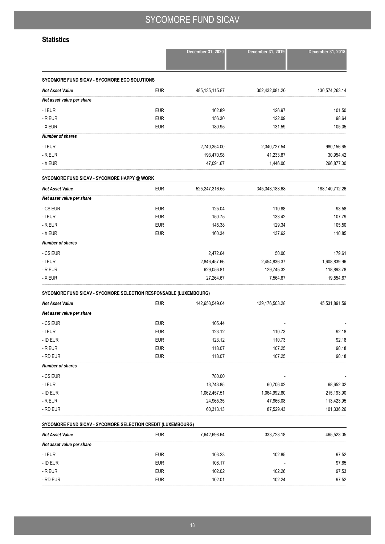### **Statistics**

|                                                                   |            | December 31, 2020 | December 31, 2019 | December 31, 2018 |
|-------------------------------------------------------------------|------------|-------------------|-------------------|-------------------|
| SYCOMORE FUND SICAV - SYCOMORE ECO SOLUTIONS                      |            |                   |                   |                   |
| <b>Net Asset Value</b>                                            | <b>EUR</b> | 485, 135, 115.87  | 302,432,081.20    | 130,574,263.14    |
| Net asset value per share                                         |            |                   |                   |                   |
| $-$ I EUR                                                         | <b>EUR</b> | 162.89            | 126.97            | 101.50            |
| - R EUR                                                           | <b>EUR</b> | 156.30            | 122.09            | 98.64             |
| - X EUR                                                           | <b>EUR</b> | 180.95            | 131.59            | 105.05            |
| <b>Number of shares</b>                                           |            |                   |                   |                   |
| $-$ I EUR                                                         |            | 2,740,354.00      | 2,340,727.54      | 980,156.65        |
| - R EUR                                                           |            | 193,470.98        | 41,233.87         | 30,954.42         |
| - X EUR                                                           |            | 47,091.67         | 1,446.00          | 266,877.00        |
| SYCOMORE FUND SICAV - SYCOMORE HAPPY @ WORK                       |            |                   |                   |                   |
| <b>Net Asset Value</b>                                            | <b>EUR</b> | 525,247,316.65    | 345,348,188.68    | 188,140,712.26    |
| Net asset value per share                                         |            |                   |                   |                   |
| - CS EUR                                                          | <b>EUR</b> | 125.04            | 110.88            | 93.58             |
| $-$ I EUR                                                         | <b>EUR</b> | 150.75            | 133.42            | 107.79            |
| - R EUR                                                           | <b>EUR</b> | 145.38            | 129.34            | 105.50            |
| - X EUR                                                           | <b>EUR</b> | 160.34            | 137.62            | 110.85            |
| <b>Number of shares</b>                                           |            |                   |                   |                   |
| - CS EUR                                                          |            | 2,472.64          | 50.00             | 179.61            |
| $-$ I EUR                                                         |            | 2,846,457.66      | 2,454,836.37      | 1,608,839.96      |
| - R EUR                                                           |            | 629,056.81        | 129,745.32        | 118,893.78        |
| - X EUR                                                           |            | 27,264.67         | 7,564.67          | 19,554.67         |
| SYCOMORE FUND SICAV - SYCOMORE SELECTION RESPONSABLE (LUXEMBOURG) |            |                   |                   |                   |
| <b>Net Asset Value</b>                                            | <b>EUR</b> | 142,653,549.04    | 139,176,503.28    | 45,531,891.59     |
| Net asset value per share                                         |            |                   |                   |                   |
| - CS EUR                                                          | <b>EUR</b> | 105.44            |                   |                   |
| $-$ I EUR                                                         | <b>EUR</b> | 123.12            | 110.73            | 92.18             |
| - ID EUR                                                          | <b>EUR</b> | 123.12            | 110.73            | 92.18             |
| - R EUR                                                           | <b>EUR</b> | 118.07            | 107.25            | 90.18             |
| - RD EUR                                                          | <b>EUR</b> | 118.07            | 107.25            | 90.18             |
| <b>Number of shares</b>                                           |            |                   |                   |                   |
| - CS EUR                                                          |            | 780.00            |                   |                   |
| $-$ I EUR                                                         |            | 13,743.85         | 60,706.02         | 68,652.02         |
| - ID EUR                                                          |            | 1,062,457.51      | 1,064,992.80      | 215,193.90        |
| - R EUR                                                           |            | 24,965.35         | 47,966.08         | 113,423.95        |
| - RD EUR                                                          |            | 60,313.13         | 87,529.43         | 101,336.26        |
| SYCOMORE FUND SICAV - SYCOMORE SELECTION CREDIT (LUXEMBOURG)      |            |                   |                   |                   |
| <b>Net Asset Value</b>                                            | <b>EUR</b> | 7,642,698.64      | 333,723.18        | 465,523.05        |
| Net asset value per share                                         |            |                   |                   |                   |
| $-$ I EUR                                                         | <b>EUR</b> | 103.23            | 102.85            | 97.52             |
| - ID EUR                                                          | <b>EUR</b> | 108.17            |                   | 97.65             |
| - R EUR                                                           | <b>EUR</b> | 102.02            | 102.26            | 97.53             |
| - RD EUR                                                          | <b>EUR</b> | 102.01            | 102.24            | 97.52             |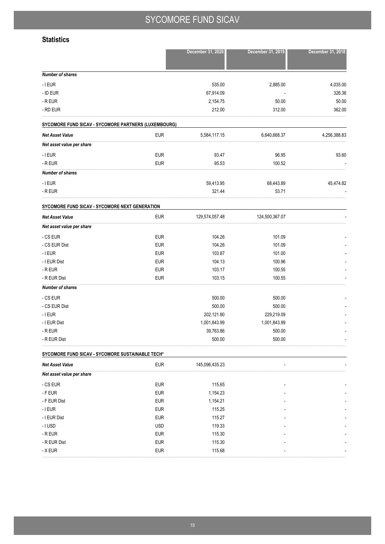### **Statistics**

|                                                      |             | December 31, 2020 | December 31, 2019 | December 31, 2018 |
|------------------------------------------------------|-------------|-------------------|-------------------|-------------------|
| <b>Number of shares</b>                              |             |                   |                   |                   |
| $ I$ EUR                                             |             | 535.00            | 2,885.00          | 4,035.00          |
| - ID EUR                                             |             | 67,914.09         |                   | 326.36            |
| - R EUR                                              |             | 2,154.75          | 50.00             | 50.00             |
| - RD EUR                                             |             | 212.00            | 312.00            | 362.00            |
| SYCOMORE FUND SICAV - SYCOMORE PARTNERS (LUXEMBOURG) |             |                   |                   |                   |
| <b>Net Asset Value</b>                               | <b>EUR</b>  | 5,584,117.15      | 6,640,668.37      | 4,256,388.83      |
| Net asset value per share                            |             |                   |                   |                   |
| $-$ I EUR                                            | <b>EUR</b>  | 93.47             | 96.95             | 93.60             |
| - R EUR                                              | <b>EUR</b>  | 95.53             | 100.52            |                   |
| <b>Number of shares</b>                              |             |                   |                   |                   |
| $ I$ EUR                                             |             | 59,413.95         | 68,443.89         | 45,474.82         |
| - R EUR                                              |             | 321.44            | 53.71             |                   |
| SYCOMORE FUND SICAV - SYCOMORE NEXT GENERATION       |             |                   |                   |                   |
| <b>Net Asset Value</b>                               | <b>EUR</b>  | 129,574,057.48    | 124,500,367.07    |                   |
| Net asset value per share                            |             |                   |                   |                   |
| - CS EUR                                             | <b>EUR</b>  | 104.26            | 101.09            |                   |
| - CS EUR Dist                                        | <b>EUR</b>  | 104.26            | 101.09            |                   |
| $-$ I EUR                                            | <b>EUR</b>  | 103.87            | 101.00            |                   |
| - I EUR Dist                                         | <b>EUR</b>  | 104.13            | 100.96            |                   |
| - R EUR                                              | <b>EUR</b>  | 103.17            | 100.55            |                   |
| - R EUR Dist                                         | <b>EUR</b>  | 103.15            | 100.55            |                   |
| <b>Number of shares</b>                              |             |                   |                   |                   |
| - CS EUR                                             |             | 500.00            | 500.00            |                   |
| - CS EUR Dist                                        |             | 500.00            | 500.00            |                   |
| - I EUR                                              |             | 202,121.80        | 229,219.09        |                   |
| - I EUR Dist                                         |             | 1,001,843.99      | 1,001,843.99      |                   |
| - R EUR                                              |             | 39,763.86         | 500.00            |                   |
| - R EUR Dist                                         |             | 500.00            | 500.00            |                   |
| SYCOMORE FUND SICAV - SYCOMORE SUSTAINABLE TECH*     |             |                   |                   |                   |
| Not Accot Value                                      | <b>ELID</b> | 115 006 135 23    |                   |                   |

| <b>Net Asset Value</b>    | <b>EUR</b> | 145,096,435.23 | $\overline{\phantom{a}}$ | $\overline{\phantom{a}}$ |
|---------------------------|------------|----------------|--------------------------|--------------------------|
| Net asset value per share |            |                |                          |                          |
| - CS EUR                  | <b>EUR</b> | 115.65         | $\overline{\phantom{a}}$ | $\overline{\phantom{a}}$ |
| - F EUR                   | <b>EUR</b> | 1,154.23       | $\overline{\phantom{a}}$ | $\overline{\phantom{a}}$ |
| - F EUR Dist              | <b>EUR</b> | 1,154.21       | $\overline{\phantom{a}}$ | $\overline{\phantom{a}}$ |
| - I EUR                   | <b>EUR</b> | 115.25         | $\overline{\phantom{a}}$ | $\overline{\phantom{a}}$ |
| - I EUR Dist              | <b>EUR</b> | 115.27         | $\overline{\phantom{a}}$ | $\overline{\phantom{a}}$ |
| $-1$ USD                  | <b>USD</b> | 119.33         | $\overline{\phantom{a}}$ | $\overline{\phantom{a}}$ |
| - R EUR                   | <b>EUR</b> | 115.30         | $\overline{\phantom{a}}$ | $\overline{\phantom{a}}$ |
| - R EUR Dist              | <b>EUR</b> | 115.30         | $\overline{\phantom{a}}$ | $\overline{\phantom{a}}$ |
| - X EUR                   | <b>EUR</b> | 115.68         | $\overline{\phantom{a}}$ | $\overline{\phantom{a}}$ |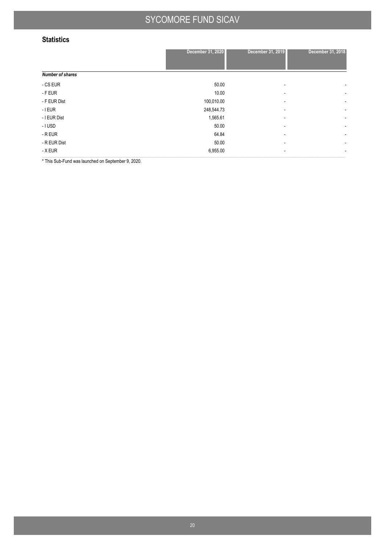### **Statistics**

|                         | December 31, 2020 | December 31, 2019        | December 31, 2018        |
|-------------------------|-------------------|--------------------------|--------------------------|
| <b>Number of shares</b> |                   |                          |                          |
| - CS EUR                | 50.00             | $\overline{\phantom{a}}$ | $\overline{\phantom{a}}$ |
| - F EUR                 | 10.00             | $\overline{\phantom{a}}$ | $\overline{\phantom{a}}$ |
| - F EUR Dist            | 100,010.00        | $\overline{\phantom{a}}$ | $\overline{\phantom{a}}$ |
| - I EUR                 | 248,544.73        | ۰                        | $\overline{\phantom{a}}$ |
| - I EUR Dist            | 1,565.61          | $\overline{\phantom{a}}$ | $\overline{\phantom{a}}$ |
| - I USD                 | 50.00             | $\overline{\phantom{a}}$ | $\overline{\phantom{a}}$ |
| - R EUR                 | 64.84             | $\overline{\phantom{a}}$ | $\overline{\phantom{a}}$ |
| - R EUR Dist            | 50.00             | $\overline{\phantom{a}}$ | $\overline{\phantom{a}}$ |
| - X EUR                 | 6,955.00          | $\overline{\phantom{a}}$ | $\overline{\phantom{a}}$ |

\* This Sub-Fund was launched on September 9, 2020.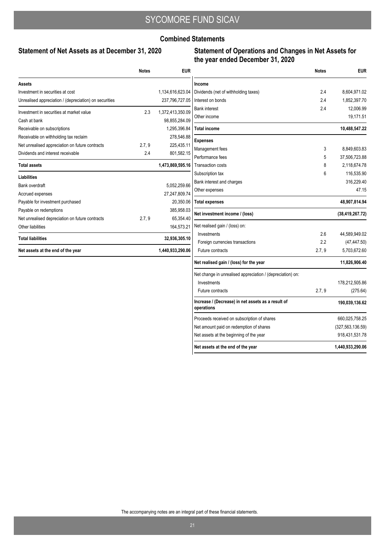### **Combined Statements**

### **Statement of Net Assets as at December 31, 2020**

### **Statement of Operations and Changes in Net Assets for the year ended December 31, 2020**

|                                                        | <b>Notes</b> | <b>EUR</b>       |
|--------------------------------------------------------|--------------|------------------|
| Assets                                                 |              |                  |
| Investment in securities at cost                       |              | 1,134,616,623.04 |
| Unrealised appreciation / (depreciation) on securities |              | 237,796,727.05   |
| Investment in securities at market value               | 2.3          | 1,372,413,350.09 |
| Cash at bank                                           |              | 98,855,284.09    |
| Receivable on subscriptions                            |              | 1,295,396.84     |
| Receivable on withholding tax reclaim                  |              | 278,546.88       |
| Net unrealised appreciation on future contracts        | 2.7, 9       | 225,435.11       |
| Dividends and interest receivable                      | 24           | 801,582.15       |
| <b>Total assets</b>                                    |              | 1,473,869,595.16 |
| <b>Liabilities</b>                                     |              |                  |
| Bank overdraft                                         |              | 5,052,259.66     |
| Accrued expenses                                       |              | 27,247,809.74    |
| Payable for investment purchased                       |              | 20,350.06        |
| Payable on redemptions                                 |              | 385,958.03       |
| Net unrealised depreciation on future contracts        | 2.7, 9       | 65,354.40        |
| Other liabilities                                      |              | 164,573.21       |
| <b>Total liabilities</b>                               |              | 32,936,305.10    |
| Net assets at the end of the year                      |              | 1.440.933.290.06 |

|                                                                  | <b>Notes</b> | EUR                |
|------------------------------------------------------------------|--------------|--------------------|
| Income                                                           |              |                    |
| Dividends (net of withholding taxes)                             | 2.4          | 8,604,971.02       |
| Interest on bonds                                                | 2.4          | 1,852,397.70       |
| <b>Bank interest</b>                                             | 2.4          | 12,006.99          |
| Other income                                                     |              | 19,171.51          |
| Total income                                                     |              | 10,488,547.22      |
| Expenses                                                         |              |                    |
| Management fees                                                  | 3            | 8,849,603.83       |
| Performance fees                                                 | 5            | 37,506,723.88      |
| <b>Transaction costs</b>                                         | 8            | 2,118,674.78       |
| Subscription tax                                                 | 6            | 116,535.90         |
| Bank interest and charges                                        |              | 316,229.40         |
| Other expenses                                                   |              | 47.15              |
| Total expenses                                                   |              | 48,907,814.94      |
| Net investment income / (loss)                                   |              | (38, 419, 267.72)  |
| Net realised gain / (loss) on:                                   |              |                    |
| Investments                                                      | 2.6          | 44,589,949.02      |
| Foreign currencies transactions                                  | 2.2          | (47, 447.50)       |
| <b>Future contracts</b>                                          | 2.7, 9       | 5,703,672.60       |
| Net realised gain / (loss) for the year                          |              | 11,826,906.40      |
| Net change in unrealised appreciation / (depreciation) on:       |              |                    |
| Investments                                                      |              | 178,212,505.86     |
| <b>Future contracts</b>                                          | 2.7, 9       | (275.64)           |
| Increase / (Decrease) in net assets as a result of<br>operations |              | 190,039,136.62     |
| Proceeds received on subscription of shares                      |              | 660,025,758.25     |
| Net amount paid on redemption of shares                          |              | (327, 563, 136.59) |
| Net assets at the beginning of the year                          |              | 918,431,531.78     |
| Net assets at the end of the year                                |              | 1,440,933,290.06   |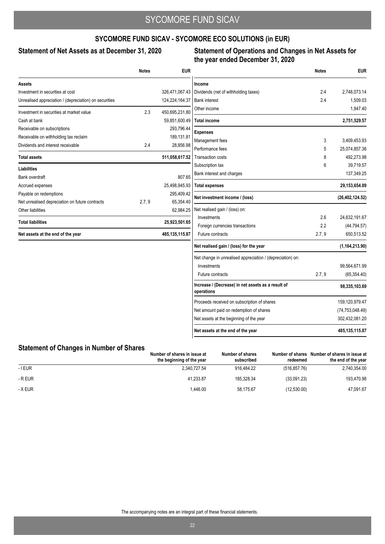### **SYCOMORE FUND SICAV - SYCOMORE ECO SOLUTIONS (in EUR)**

### Statement of Net Assets as at December 31, 2020

### **Statement of Operations and Changes in Net Assets for the year ended December 31, 2020**

|                                                        | <b>Notes</b> | <b>EUR</b>       |                                                                  | <b>Notes</b> | <b>EUR</b>        |
|--------------------------------------------------------|--------------|------------------|------------------------------------------------------------------|--------------|-------------------|
| Assets                                                 |              |                  | Income                                                           |              |                   |
| Investment in securities at cost                       |              | 326,471,067.43   | Dividends (net of withholding taxes)                             | 2.4          | 2,748,073.14      |
| Unrealised appreciation / (depreciation) on securities |              | 124,224,164.37   | <b>Bank interest</b>                                             | 2.4          | 1,509.03          |
| Investment in securities at market value               | 2.3          | 450,695,231.80   | Other income                                                     |              | 1,947.40          |
| Cash at bank                                           |              | 59,851,600.49    | <b>Total income</b>                                              |              | 2,751,529.57      |
| Receivable on subscriptions                            |              | 293,796.44       | <b>Expenses</b>                                                  |              |                   |
| Receivable on withholding tax reclaim                  |              | 189,131.81       | Management fees                                                  | 3            | 3,409,453.93      |
| Dividends and interest receivable                      | 2.4          | 28,856.98        | Performance fees                                                 | 5            | 25,074,857.36     |
| <b>Total assets</b>                                    |              | 511,058,617.52   | <b>Transaction costs</b>                                         | 8            | 492,273.98        |
|                                                        |              |                  | Subscription tax                                                 | 6            | 39,719.57         |
| <b>Liabilities</b><br><b>Bank overdraft</b>            |              | 807.65           | Bank interest and charges                                        |              | 137,349.25        |
| Accrued expenses                                       |              | 25,498,945.93    | <b>Total expenses</b>                                            |              | 29,153,654.09     |
| Payable on redemptions                                 |              | 295,409.42       |                                                                  |              |                   |
| Net unrealised depreciation on future contracts        | 2.7, 9       | 65,354.40        | Net investment income / (loss)                                   |              | (26, 402, 124.52) |
| Other liabilities                                      |              | 62,984.25        | Net realised gain / (loss) on:                                   |              |                   |
| <b>Total liabilities</b>                               |              | 25,923,501.65    | Investments                                                      | 2.6          | 24,632,191.67     |
|                                                        |              |                  | Foreign currencies transactions                                  | 2.2          | (44, 794.57)      |
| Net assets at the end of the year                      |              | 485, 135, 115.87 | Future contracts                                                 | 2.7, 9       | 650,513.52        |
|                                                        |              |                  | Net realised gain / (loss) for the year                          |              | (1, 164, 213.90)  |
|                                                        |              |                  | Net change in unrealised appreciation / (depreciation) on:       |              |                   |
|                                                        |              |                  | Investments                                                      |              | 99,564,671.99     |
|                                                        |              |                  | Future contracts                                                 | 2.7, 9       | (65, 354.40)      |
|                                                        |              |                  | Increase / (Decrease) in net assets as a result of<br>operations |              | 98,335,103.69     |
|                                                        |              |                  | Proceeds received on subscription of shares                      |              | 159,120,979.47    |
|                                                        |              |                  | Net amount paid on redemption of shares                          |              | (74, 753, 048.49) |
|                                                        |              |                  | Net assets at the beginning of the year                          |              | 302,432,081.20    |
|                                                        |              |                  | Net assets at the end of the year                                |              | 485, 135, 115.87  |

### **Statement of Changes in Number of Shares**

|           | Number of shares in issue at<br>the beginning of the year | Number of shares<br>subscribed | Number of shares<br>redeemed | Number of shares in issue at<br>the end of the year |
|-----------|-----------------------------------------------------------|--------------------------------|------------------------------|-----------------------------------------------------|
| $-$ I EUR | 2.340.727.54                                              | 916.484.22                     | (516.857.76)                 | 2,740,354.00                                        |
| - R EUR   | 41.233.87                                                 | 185.328.34                     | (33,091.23)                  | 193,470.98                                          |
| - X EUR   | 1.446.00                                                  | 58.175.67                      | (12,530.00)                  | 47,091.67                                           |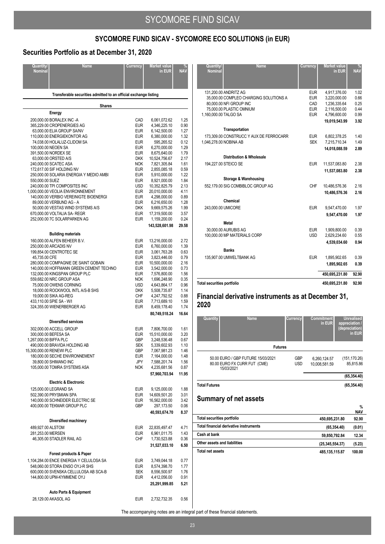## **SYCOMORE FUND SICAV - SYCOMORE ECO SOLUTIONS (in EUR)**

### **Securities Portfolio as at December 31, 2020**

| Quantity/<br><b>Nominal</b> | <b>Name</b>                                                                 | Currency                 | <b>Market value</b><br>in EUR | <b>NAV</b>   |
|-----------------------------|-----------------------------------------------------------------------------|--------------------------|-------------------------------|--------------|
|                             | Transferable securities admitted to an official exchange listing            |                          |                               |              |
|                             | <b>Shares</b>                                                               |                          |                               |              |
|                             | Energy                                                                      |                          |                               |              |
|                             | 200,000.00 BORALEX INC -A                                                   | CAD                      | 6,061,072.62<br>4,346,225.10  | 1.25<br>0.90 |
|                             | 365,229.00 CROPENERGIES AG<br>63,000.00 ELIA GROUP SA/NV                    | <b>EUR</b><br><b>EUR</b> | 6,142,500.00                  | 1.27         |
|                             | 110,000.00 ENERGIEKONTOR AG                                                 | <b>EUR</b>               | 6,380,000.00                  | 1.32         |
|                             | 74,038.00 HOLALUZ-CLIDOM SA                                                 | <b>EUR</b>               | 595,265.52                    | 0.12<br>1.29 |
|                             | 100,000.00 NEOEN SA<br>391,500.00 NORDEX SE                                 | <b>EUR</b><br><b>EUR</b> | 6,270,000.00<br>8,675,640.00  | 1.79         |
|                             | 63,000.00 ORSTED A/S                                                        | <b>DKK</b>               | 10,524,756.67                 | 2.17         |
|                             | 240,000.00 SCATEC ASA                                                       | <b>NOK</b>               | 7,821,305.84                  | 1.61         |
|                             | 172,617.00 SIF HOLDING NV<br>250,000.00 SOLARIA ENERGIA Y MEDIO AMBI        | <b>EUR</b><br><b>EUR</b> | 2,855,085.18<br>5,910,000.00  | 0.59<br>1.22 |
| 550,000.00 SUEZ             |                                                                             | <b>EUR</b>               | 8,921,000.00                  | 1.84         |
|                             | 240,000.00 TPI COMPOSITES INC                                               | <b>USD</b>               | 10,352,825.79                 | 2.13         |
|                             | 1,000,000.00 VEOLIA ENVIRONNEMENT<br>140,000.00 VERBIO VEREINIGTE BIOENERGI | <b>EUR</b><br><b>EUR</b> | 20,010,000.00<br>4,298,000.00 | 4.11<br>0.89 |
|                             | 89,000.00 VERBUND AG - A                                                    | <b>EUR</b>               | 6,216,650.00                  | 1.28         |
|                             | 50,000.00 VESTAS WIND SYSTEMS A/S                                           | <b>DKK</b>               | 9,669,575.26                  | 1.99         |
|                             | 670,000.00 VOLTALIA SA-REGR<br>252,000.00 7C SOLARPARKEN AG                 | <b>EUR</b><br><b>EUR</b> | 17,319,500.00<br>1,159,200.00 | 3.57<br>0.24 |
|                             |                                                                             |                          | 143,528,601.98                | 29.58        |
|                             | <b>Building materials</b>                                                   |                          |                               |              |
|                             | 160,000.00 ALFEN BEHEER B.V.                                                | <b>EUR</b>               | 13,216,000.00                 | 2.72         |
|                             | 250,000.00 ARCADIS NV<br>199,854.00 CENTROTEC SE                            | <b>EUR</b><br><b>EUR</b> | 6,760,000.00<br>3,061,763.28  | 1.39<br>0.63 |
| 45,735.00 CFE               |                                                                             | <b>EUR</b>               | 3,823,446.00                  | 0.79         |
|                             | 280,000.00 COMPAGNIE DE SAINT GOBAIN                                        | <b>EUR</b>               | 10,500,000.00                 | 2.16         |
|                             | 140,000.00 HOFFMANN GREEN CEMENT TECHNO                                     | <b>EUR</b>               | 3,542,000.00                  | 0.73         |
|                             | 132,000.00 KINGSPAN GROUP PLC<br>559,682.00 NRC GROUP ASA                   | <b>EUR</b><br><b>NOK</b> | 7,576,800.00<br>1,696,248.90  | 1.56<br>0.35 |
|                             | 75,000.00 OWENS CORNING                                                     | <b>USD</b>               | 4,643,864.17                  | 0.96         |
|                             | 18,000.00 ROCKWOOL INTL A/S-B SHS<br>19,000.00 SIKA AG-REG                  | <b>DKK</b><br><b>CHF</b> | 5,508,735.87                  | 1.14<br>0.88 |
|                             | 433,110.00 SPIE SA - W/I                                                    | <b>EUR</b>               | 4,247,792.52<br>7,713,689.10  | 1.59         |
|                             | 324,355.00 WIENERBERGER AG                                                  | <b>EUR</b>               | 8,459,178.40                  | 1.74         |
|                             |                                                                             |                          | 80,749,518.24                 | 16.64        |
|                             | <b>Diversified services</b>                                                 |                          |                               |              |
|                             | 302,000.00 ACCELL GROUP<br>300,000.00 BEFESA SA                             | <b>EUR</b><br><b>EUR</b> | 7,806,700.00<br>15,510,000.00 | 1.61<br>3.20 |
| 1,267,000.00 BIFFA PLC      |                                                                             | GBP                      | 3,248,536.48                  | 0.67         |
|                             | 490,000.00 BRAVIDA HOLDING AB                                               | <b>SEK</b>               | 5,339,602.93                  | 1.10         |
|                             | 15,300,000.00 RENEWI PLC<br>180,000.00 SECHE ENVIRONNEMENT                  | GBP<br>EUR               | 7,067,981.23<br>7,164,000.00  | 1.46<br>1.48 |
|                             | 39,800.00 SHIMANO INC                                                       | JPY                      | 7,588,201.74                  | 1.56         |
|                             | 105,000.00 TOMRA SYSTEMS ASA                                                | <b>NOK</b>               | 4,235,681.56                  | 0.87         |
|                             |                                                                             |                          | 57,960,703.94                 | 11.95        |
|                             | <b>Electric &amp; Electronic</b>                                            |                          |                               |              |
|                             | 125,000.00 LEGRAND SA<br>502,390.00 PRYSMIAN SPA                            | <b>EUR</b><br><b>EUR</b> | 9,125,000.00<br>14,609,501.20 | 1.88<br>3.01 |
|                             | 140,000.00 SCHNEIDER ELECTRIC SE                                            | <b>EUR</b>               | 16,562,000.00                 | 3.42         |
|                             | 400,000.00 TEKMAR GROUP PLC                                                 | GBP                      | 297,173.50                    | 0.06         |
|                             |                                                                             |                          | 40,593,674.70                 | 8.37         |
| 489,927.00 ALSTOM           | Diversified machinery                                                       | <b>EUR</b>               | 22,835,497.47                 | 4.71         |
| 281,253.00 MERSEN           |                                                                             | <b>EUR</b>               | 6,961,011.75                  | 1.43         |
|                             | 46,305.00 STADLER RAIL AG                                                   | CHF                      | 1,730,523.88                  | 0.36         |
|                             |                                                                             |                          | 31,527,033.10                 | 6.50         |
|                             | Forest products & Paper                                                     |                          |                               |              |
|                             | 1,104,284.00 ENCE ENERGIA Y CELULOSA SA<br>548,060.00 STORA ENSO OYJ-R SHS  | <b>EUR</b><br><b>EUR</b> | 3,749,044.18<br>8,574,398.70  | 0.77<br>1.77 |
|                             | 600,000.00 SVENSKA CELLULOSA AB SCA-B                                       | <b>SEK</b>               | 8,556,500.97                  | 1.76         |
|                             | 144,800.00 UPM-KYMMENE OYJ                                                  | <b>EUR</b>               | 4,412,056.00                  | 0.91         |
|                             |                                                                             |                          | 25,291,999.85                 | 5.21         |
|                             | <b>Auto Parts &amp; Equipment</b>                                           |                          |                               |              |
|                             | 28,129.00 AKASOL AG                                                         | <b>EUR</b>               | 2,732,732.35                  | 0.56         |

| Quantity/<br><b>Nominal</b>       | <b>Name</b>                             | Currency   | <b>Market value</b><br>in EUR | <b>NAV</b> |
|-----------------------------------|-----------------------------------------|------------|-------------------------------|------------|
|                                   | 131.200.00 ANDRITZ AG                   | <b>EUR</b> | 4,917,376.00                  | 1.02       |
|                                   | 35,000.00 COMPLEO CHARGING SOLUTIONS A  | <b>EUR</b> | 3,220,000.00                  | 0.66       |
|                                   | 80,000.00 NFI GROUP INC                 | CAD        | 1,236,335.64                  | 0.25       |
|                                   | 75,000.00 PLASTIC OMNIUM                | <b>EUR</b> | 2.116.500.00                  | 0.44       |
| 1,160,000.00 TALGO SA             |                                         | <b>EUR</b> | 4.796.600.00                  | 0.99       |
|                                   |                                         |            | 19,019,543.99                 | 3.92       |
|                                   | Transportation                          |            |                               |            |
|                                   | 173,309.00 CONSTRUCC Y AUX DE FERROCARR | EUR        | 6,802,378.25                  | 1.40       |
| 1,046,278.00 NOBINA AB            |                                         | <b>SEK</b> | 7,215,710.34                  | 1.49       |
|                                   |                                         |            | 14,018,088.59                 | 2.89       |
|                                   | <b>Distribution &amp; Wholesale</b>     |            |                               |            |
|                                   | 194,227.00 STEICO SE                    | <b>EUR</b> | 11,537,083.80                 | 2.38       |
|                                   |                                         |            | 11,537,083.80                 | 2.38       |
|                                   | Storage & Warehousing                   |            |                               |            |
|                                   |                                         |            |                               |            |
|                                   | 552,179.00 SIG COMBIBLOC GROUP AG       | CHF        | 10,486,576.36                 | 2.16       |
|                                   |                                         |            | 10.486.576.36                 | 2.16       |
|                                   | Chemical                                |            |                               |            |
| 243,000.00 UMICORE                |                                         | <b>EUR</b> | 9,547,470.00                  | 1.97       |
|                                   |                                         |            | 9,547,470.00                  | 1.97       |
|                                   | Metal                                   |            |                               |            |
|                                   | 30,000,00 AURUBIS AG                    | <b>EUR</b> | 1.909.800.00                  | 0.39       |
|                                   | 100,000.00 MP MATERIALS CORP            | <b>USD</b> | 2,629,234.60                  | 0.55       |
|                                   |                                         |            | 4,539,034.60                  | 0.94       |
|                                   | <b>Banks</b>                            |            |                               |            |
|                                   | 135,907.00 UMWELTBANK AG                | <b>EUR</b> | 1,895,902.65                  | 0.39       |
|                                   |                                         |            | 1,895,902.65                  | 0.39       |
|                                   |                                         |            | 450,695,231.80                | 92.90      |
| <b>Total securities portfolio</b> |                                         |            | 450,695,231.80                | 92.90      |
|                                   |                                         |            |                               |            |

### **Financial derivative instruments as at December 31, 2020**

| Quantity             | <b>Name</b>                                                        | Currency                 | <b>Commitment</b><br>in EUR   | <b>Unrealised</b><br>appreciation /<br>(depreciation)<br>in EUR |
|----------------------|--------------------------------------------------------------------|--------------------------|-------------------------------|-----------------------------------------------------------------|
|                      |                                                                    | <b>Futures</b>           |                               |                                                                 |
| 15/03/2021           | 50.00 EURO / GBP FUTURE 15/03/2021<br>80.00 EURO FX CURR FUT (CME) | <b>GBP</b><br><b>USD</b> | 6,260,124.57<br>10.008.581.59 | (151, 170.26)<br>85.815.86                                      |
|                      |                                                                    |                          |                               | (65, 354.40)                                                    |
| <b>Total Futures</b> |                                                                    |                          |                               | (65, 354.40)                                                    |

### **Summary of net assets**

|                                                   | %<br><b>NAV</b>        |
|---------------------------------------------------|------------------------|
| Total securities portfolio<br>450,695,231.80      | 92.90                  |
| Total financial derivative instruments            | (65, 354.40)<br>(0.01) |
| Cash at bank<br>59,850,792.84                     | 12.34                  |
| Other assets and liabilities<br>(25, 345, 554.37) | (5.23)                 |
| <b>Total net assets</b><br>485, 135, 115.87       | 100.00                 |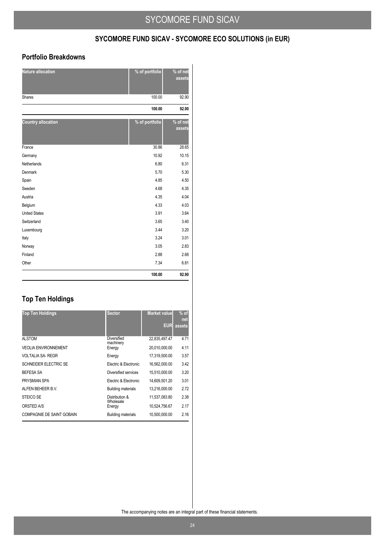## **SYCOMORE FUND SICAV - SYCOMORE ECO SOLUTIONS (in EUR)**

### **Portfolio Breakdowns**

| <b>Nature allocation</b>  | % of portfolio | % of net<br>assets |
|---------------------------|----------------|--------------------|
| <b>Shares</b>             | 100.00         | 92.90              |
|                           | 100.00         | 92.90              |
| <b>Country allocation</b> | % of portfolio | % of net<br>assets |
| France                    | 30.86          | 28.65              |
| Germany                   | 10.92          | 10.15              |
| Netherlands               | 6.80           | 6.31               |
| Denmark                   | 5.70           | 5.30               |
| Spain                     | 4.85           | 4.50               |
| Sweden                    | 4.68           | 4.35               |
| Austria                   | 4.35           | 4.04               |
| Belgium                   | 4.33           | 4.03               |
| <b>United States</b>      | 3.91           | 3.64               |
| Switzerland               | 3.65           | 3.40               |
| Luxembourg                | 3.44           | 3.20               |
| Italy                     | 3.24           | 3.01               |
| Norway                    | 3.05           | 2.83               |
| Finland                   | 2.88           | 2.68               |
| Other                     | 7.34           | 6.81               |
|                           | 100.00         | 92.90              |

## **Top Ten Holdings**

| <b>Top Ten Holdings</b>          | <b>Sector</b>               | <b>Market value</b> | $%$ of<br>net |
|----------------------------------|-----------------------------|---------------------|---------------|
|                                  |                             | <b>EUR</b>          | assets        |
| <b>ALSTOM</b>                    | Diversified<br>machinery    | 22,835,497.47       | 4.71          |
| <b>VEOLIA ENVIRONNEMENT</b>      | Energy                      | 20,010,000.00       | 4.11          |
| <b>VOLTALIA SA- REGR</b>         | Energy                      | 17,319,500.00       | 3.57          |
| SCHNEIDER ELECTRIC SE            | Electric & Electronic       | 16.562.000.00       | 3.42          |
| <b>BEFESA SA</b>                 | Diversified services        | 15,510,000.00       | 3.20          |
| PRYSMIAN SPA                     | Electric & Electronic       | 14.609.501.20       | 3.01          |
| ALFEN BEHEER B.V.                | <b>Building materials</b>   | 13,216,000.00       | 2.72          |
| STEICO SE                        | Distribution &<br>Wholesale | 11,537,083.80       | 2.38          |
| ORSTED A/S                       | Energy                      | 10,524,756.67       | 2.17          |
| <b>COMPAGNIE DE SAINT GOBAIN</b> | <b>Building materials</b>   | 10,500,000.00       | 2.16          |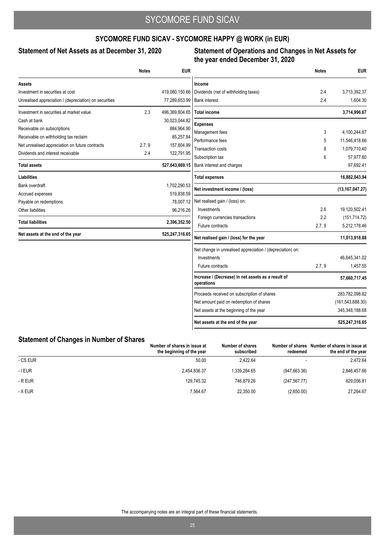## **SYCOMORE FUND SICAV - SYCOMORE HAPPY @ WORK (in EUR)**

### Statement of Net Assets as at December 31, 2020

### **Statement of Operations and Changes in Net Assets for the year ended December 31, 2020**

|                                                        | <b>Notes</b> | <b>EUR</b>     |                                                                  | <b>Notes</b> | <b>EUR</b>         |
|--------------------------------------------------------|--------------|----------------|------------------------------------------------------------------|--------------|--------------------|
| Assets                                                 |              |                | Income                                                           |              |                    |
| Investment in securities at cost                       |              | 419,080,150.66 | Dividends (net of withholding taxes)                             | 2.4          | 3,713,392.37       |
| Unrealised appreciation / (depreciation) on securities |              | 77,289,653.99  | <b>Bank interest</b>                                             | 2.4          | 1,604.30           |
| Investment in securities at market value               | 2.3          | 496,369,804.65 | <b>Total income</b>                                              |              | 3,714,996.67       |
| Cash at bank                                           |              | 30,023,044.82  | <b>Expenses</b>                                                  |              |                    |
| Receivable on subscriptions                            |              | 884,964.90     | Management fees                                                  | 3            | 4,100,244.87       |
| Receivable on withholding tax reclaim                  |              | 85,257.84      | Performance fees                                                 | 5            | 11,546,418.66      |
| Net unrealised appreciation on future contracts        | 2.7, 9       | 157,804.99     | <b>Transaction costs</b>                                         | 8            | 1,079,710.40       |
| Dividends and interest receivable                      | 2.4          | 122,791.95     | Subscription tax                                                 | 6            | 57,977.60          |
| <b>Total assets</b>                                    |              | 527,643,669.15 | Bank interest and charges                                        |              | 97,692.41          |
| <b>Liabilities</b>                                     |              |                | <b>Total expenses</b>                                            |              | 16,882,043.94      |
| Bank overdraft                                         |              | 1,702,290.53   | Net investment income / (loss)                                   |              | (13, 167, 047.27)  |
| Accrued expenses                                       |              | 519,838.59     |                                                                  |              |                    |
| Payable on redemptions                                 |              | 78,007.12      | Net realised gain / (loss) on:<br>Investments                    | 2.6          | 19,120,502.41      |
| Other liabilities                                      |              | 96,216.26      | Foreign currencies transactions                                  | 2.2          | (151, 714.72)      |
| <b>Total liabilities</b>                               |              | 2,396,352.50   | Future contracts                                                 | 2.7, 9       | 5,212,178.46       |
| Net assets at the end of the year                      |              | 525,247,316.65 | Net realised gain / (loss) for the year                          |              | 11,013,918.88      |
|                                                        |              |                | Net change in unrealised appreciation / (depreciation) on:       |              |                    |
|                                                        |              |                | Investments                                                      |              | 46,645,341.02      |
|                                                        |              |                | Future contracts                                                 | 2.7, 9       | 1,457.55           |
|                                                        |              |                | Increase / (Decrease) in net assets as a result of<br>operations |              | 57,660,717.45      |
|                                                        |              |                | Proceeds received on subscription of shares                      |              | 283,782,098.82     |
|                                                        |              |                | Net amount paid on redemption of shares                          |              | (161, 543, 688.30) |
|                                                        |              |                | Net assets at the beginning of the year                          |              | 345,348,188.68     |
|                                                        |              |                | Net assets at the end of the year                                |              | 525,247,316.65     |

### **Statement of Changes in Number of Shares**

|          | Number of shares in issue at<br>the beginning of the year | Number of shares<br>subscribed | Number of shares<br>redeemed | Number of shares in issue at<br>the end of the year |
|----------|-----------------------------------------------------------|--------------------------------|------------------------------|-----------------------------------------------------|
| - CS EUR | 50.00                                                     | 2.422.64                       |                              | 2,472.64                                            |
| - I EUR  | 2.454.836.37                                              | 1.339.284.65                   | (947, 663.36)                | 2,846,457.66                                        |
| - R EUR  | 129.745.32                                                | 746.879.26                     | (247, 567.77)                | 629,056.81                                          |
| - X EUR  | 7,564.67                                                  | 22,350.00                      | (2,650.00)                   | 27,264.67                                           |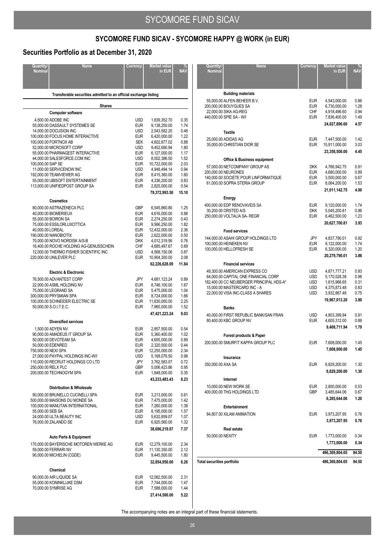# **SYCOMORE FUND SICAV - SYCOMORE HAPPY @ WORK (in EUR)**

### **Securities Portfolio as at December 31, 2020**

| Quantity/<br>Nominal | <b>Name</b>                                                      | Currency                 | Market value<br>in EUR         | <b>NAV</b>   |
|----------------------|------------------------------------------------------------------|--------------------------|--------------------------------|--------------|
|                      |                                                                  |                          |                                |              |
|                      | Transferable securities admitted to an official exchange listing |                          |                                |              |
|                      | <b>Shares</b>                                                    |                          |                                |              |
|                      | <b>Computer software</b>                                         |                          |                                |              |
|                      | 4,500.00 ADOBE INC                                               | USD                      | 1,839,352.70                   | 0.35         |
|                      | 55,000.00 DASSAULT SYSTEMES SE<br>14,000.00 DOCUSIGN INC         | <b>EUR</b><br><b>USD</b> | 9,138,250.00<br>2,543,582.20   | 1.74<br>0.48 |
|                      | 100,000.00 FOCUS HOME INTERACTIVE                                | <b>EUR</b>               | 6,420,000.00                   | 1.22         |
|                      | 100,000.00 FORTNOX AB                                            | <b>SEK</b>               | 4,602,677.02                   | 0.88         |
|                      | 52,000.00 MICROSOFT CORP<br>55,000.00 PHARMAGEST INTERACTIVE     | <b>USD</b><br><b>EUR</b> | 9,452,690.94<br>6,127,000.00   | 1.80<br>1.17 |
|                      | 44,000.00 SALESFORCE.COM INC                                     | <b>USD</b>               | 8,002,386.50                   | 1.52         |
| 100,000.00 SAP SE    |                                                                  | <b>EUR</b>               | 10,722,000.00                  | 2.03         |
|                      | 11,000.00 SERVICENOW INC<br>192,000.00 TEAMVIEWER AG             | USD<br><b>EUR</b>        | 4,948,494.14<br>8,415,360.00   | 0.94<br>1.60 |
|                      | 55,000.00 UBISOFT ENTERTAINMENT                                  | <b>EUR</b>               | 4,336,200.00                   | 0.83         |
|                      | 113,000.00 UNIFIEDPOST GROUP SA                                  | <b>EUR</b>               | 2,825,000.00                   | 0.54         |
|                      |                                                                  |                          | 79,372,993.50                  | 15.10        |
|                      | Cosmetics                                                        |                          |                                |              |
|                      | 80,000.00 ASTRAZENECA PLC                                        | GBP                      | 6,545,860.80                   | 1.25         |
|                      | 40,000.00 BIOMERIEUX<br>55,000.00 BOIRON SA                      | <b>EUR</b><br><b>EUR</b> | 4,616,000.00<br>2,274,250.00   | 0.88<br>0.43 |
|                      | 75,000.00 ESSILORLUXOTTICA                                       | <b>EUR</b>               | 9,566,250.00                   | 1.82         |
| 40,000.00 LOREAL     |                                                                  | <b>EUR</b>               | 12,432,000.00                  | 2.36         |
|                      | 190,000.00 NANOBIOTIX<br>70,000.00 NOVO NORDISK A/S-B            | <b>EUR</b><br><b>DKK</b> | 2,622,000.00<br>4,012,319.56   | 0.50<br>0.76 |
|                      | 16,400.00 ROCHE HOLDING AG-GENUSSCHEIN                           | <b>CHF</b>               | 4,685,497.67                   | 0.89         |
|                      | 12,000.00 THERMO FISHER SCIENTIFIC INC                           | <b>USD</b>               | 4,568,150.06                   | 0.87         |
|                      | 220,000.00 UNILEVER PLC                                          | EUR                      | 10,904,300.00                  | 2.08         |
|                      |                                                                  |                          | 62,226,628.09                  | 11.84        |
|                      | <b>Electric &amp; Electronic</b>                                 |                          |                                |              |
|                      | 76,500.00 ADVANTEST CORP<br>22,000.00 ASML HOLDING NV            | JPY<br><b>EUR</b>        | 4,681,123.24<br>8,746,100.00   | 0.89<br>1.67 |
|                      | 75,000.00 LEGRAND SA                                             | <b>EUR</b>               | 5,475,000.00                   | 1.04         |
|                      | 300,000.00 PRYSMIAN SPA                                          | <b>EUR</b>               | 8,724,000.00                   | 1.66         |
|                      | 100,000.00 SCHNEIDER ELECTRIC SE<br>50,000.00 S.O.I.T.E.C.       | <b>EUR</b><br><b>EUR</b> | 11,830,000.00<br>7,965,000.00  | 2.25<br>1.52 |
|                      |                                                                  |                          | 47,421,223.24                  | 9.03         |
|                      | <b>Diversified services</b>                                      |                          |                                |              |
|                      | 1.500.00 ADYEN NV                                                | EUR                      | 2,857,500.00                   | 0.54         |
|                      | 90,000.00 AMADEUS IT GROUP SA                                    | <b>EUR</b>               | 5,360,400.00                   | 1.02         |
|                      | 50,000.00 DEVOTEAM SA<br>50,000.00 EDENRED                       | <b>EUR</b><br><b>EUR</b> | 4,655,000.00<br>2,320,500.00   | 0.89<br>0.44 |
| 750,000.00 NEXI SPA  |                                                                  | <b>EUR</b>               | 12,255,000.00                  | 2.34         |
|                      | 27,000.00 PAYPAL HOLDINGS INC-W/I                                | USD                      | 5,168,076.50                   | 0.98         |
| 250,000.00 RELX PLC  | 110,000.00 RECRUIT HOLDINGS CO LTD                               | JPY                      | 3,762,583.07<br>5,006,423.86   | 0.72<br>0.95 |
|                      | 200,000.00 TECHNOGYM SPA                                         | GBP<br><b>EUR</b>        | 1,848,000.00                   | 0.35         |
|                      |                                                                  |                          | 43,233,483.43                  | 8.23         |
|                      | <b>Distribution &amp; Wholesale</b>                              |                          |                                |              |
|                      | 90,000.00 BRUNELLO CUCINELLI SPA                                 | <b>EUR</b>               | 3,213,000.00                   | 0.61         |
|                      | 500,000.00 MAISONS DU MONDE SA                                   | <b>EUR</b>               | 7,475,000.00                   | 1.42         |
| 55,000.00 SEB SA     | 100,000.00 MANUTAN INTERNATIONAL                                 | <b>EUR</b><br><b>EUR</b> | 7,260,000.00<br>8,195,000.00   | 1.38<br>1.57 |
|                      | 24,000.00 ULTA BEAUTY INC                                        | <b>USD</b>               | 5,632,659.07                   | 1.07         |
|                      | 76,000.00 ZALANDO SE                                             | <b>EUR</b>               | 6,920,560.00                   | 1.32         |
|                      |                                                                  |                          | 38,696,219.07                  | 7.37         |
|                      | <b>Auto Parts &amp; Equipment</b>                                |                          |                                |              |
|                      | 170,000.00 BAYERISCHE MOTOREN WERKE AG<br>59,000.00 FERRARI NV   | <b>EUR</b><br><b>EUR</b> | 12,279,100.00<br>11,130,350.00 | 2.34<br>2.12 |
|                      | 90,000.00 MICHELIN (CGDE)                                        | <b>EUR</b>               | 9,445,500.00                   | 1.80         |
|                      |                                                                  |                          | 32,854,950.00                  | 6.26         |
|                      | Chemical                                                         |                          |                                |              |
|                      | 90,000.00 AIR LIQUIDE SA                                         | <b>EUR</b>               | 12,082,500.00                  | 2.31         |
|                      | 55,000.00 KONINKLIJKE DSM                                        | <b>EUR</b>               | 7,744,000.00                   | 1.47         |
|                      | 70,000.00 SYMRISE AG                                             | <b>EUR</b>               | 7,588,000.00<br>27,414,500.00  | 1.44<br>5.22 |
|                      |                                                                  |                          |                                |              |

| Quantity/<br><b>Nominal</b> | Name                                                                                                                                                                                   | Currency                                                    | <b>Market value</b><br>in EUR                                                                 | NA\                                          |
|-----------------------------|----------------------------------------------------------------------------------------------------------------------------------------------------------------------------------------|-------------------------------------------------------------|-----------------------------------------------------------------------------------------------|----------------------------------------------|
|                             |                                                                                                                                                                                        |                                                             |                                                                                               |                                              |
|                             | <b>Building materials</b><br>55,000.00 ALFEN BEHEER B.V.<br>200.000.00 BOUYGUES SA<br>22,000.00 SIKA AG-REG<br>440,000.00 SPIE SA - W/I                                                | <b>EUR</b><br><b>EUR</b><br><b>CHF</b><br><b>EUR</b>        | 4,543,000.00<br>6,730,000.00<br>4,918,496.60<br>7,836,400.00<br>24,027,896.60                 | 0.86<br>1.28<br>0.94<br>1.49<br>4.57         |
|                             | <b>Textile</b>                                                                                                                                                                         |                                                             |                                                                                               |                                              |
|                             | 25,000.00 ADIDAS AG<br>35,000.00 CHRISTIAN DIOR SE                                                                                                                                     | <b>EUR</b><br><b>EUR</b>                                    | 7,447,500.00<br>15,911,000.00<br>23,358,500.00                                                | 1.42<br>3.03<br>4.45                         |
|                             | <b>Office &amp; Business equipment</b>                                                                                                                                                 |                                                             |                                                                                               |                                              |
|                             | 57,000.00 NETCOMPANY GROUP AS<br>200,000.00 NEURONES<br>140,000.00 SOCIETE POUR LINFORMATIQUE<br>61,000.00 SOPRA STERIA GROUP                                                          | <b>DKK</b><br><b>EUR</b><br><b>EUR</b><br><b>EUR</b>        | 4,766,942.75<br>4,680,000.00<br>3,500,000.00<br>8,064,200.00<br>21,011,142.75                 | 0.91<br>0.89<br>0.67<br>1.53<br>4.00         |
|                             | Energy                                                                                                                                                                                 |                                                             |                                                                                               |                                              |
|                             | 400,000.00 EDP RENOVAVEIS SA<br>30,200.00 ORSTED A/S<br>250,000.00 VOLTALIA SA- REGR                                                                                                   | <b>EUR</b><br><b>DKK</b><br><b>EUR</b>                      | 9,120,000.00<br>5,045,200.81<br>6,462,500.00<br>20,627,700.81                                 | 1.74<br>0.96<br>1.23<br>3.93                 |
|                             | <b>Food services</b>                                                                                                                                                                   |                                                             |                                                                                               |                                              |
|                             | 144,000.00 ASAHI GROUP HOLDINGS LTD<br>100,000.00 HEINEKEN NV<br>100,000.00 HELLOFRESH SE                                                                                              | JPY<br><b>EUR</b><br><b>EUR</b>                             | 4,837,790.01<br>9,122,000.00<br>6,320,000.00<br>20,279,790.01                                 | 0.92<br>1.74<br>1.20<br>3.86                 |
|                             | <b>Financial services</b>                                                                                                                                                              |                                                             |                                                                                               |                                              |
|                             | 49,300.00 AMERICAN EXPRESS CO<br>64,000.00 CAPITAL ONE FINANCIAL CORP<br>182,400.00 CC NEUBERGER PRINCIPAL HDS-A*<br>15,000.00 MASTERCARD INC - A<br>22,000.00 VISA INC-CLASS A SHARES | USD<br><b>USD</b><br><b>USD</b><br><b>USD</b><br><b>USD</b> | 4,871,777.21<br>5,170,528.38<br>1,615,966.65<br>4,375,873.48<br>3,932,867.48<br>19,967,013.20 | 0.93<br>0.98<br>0.31<br>0.83<br>0.75<br>3.80 |
|                             | Banks                                                                                                                                                                                  |                                                             |                                                                                               |                                              |
|                             | 40,000.00 FIRST REPUBLIC BANK/SAN FRAN<br>80,400.00 KBC GROUP NV                                                                                                                       | <b>USD</b><br><b>EUR</b>                                    | 4,803,399.94<br>4,605,312.00<br>9,408,711.94                                                  | 0.91<br>0.88<br>1.79                         |
|                             | Forest products & Paper                                                                                                                                                                |                                                             |                                                                                               |                                              |
|                             | 200,000.00 SMURFIT KAPPA GROUP PLC                                                                                                                                                     | <b>EUR</b>                                                  | 7,608,000.00<br>7,608,000.00                                                                  | 1.45<br>1.45                                 |
|                             | Insurance                                                                                                                                                                              |                                                             |                                                                                               |                                              |
| 350,000,00 AXA SA           |                                                                                                                                                                                        | <b>EUR</b>                                                  | 6,829,200.00<br>6,829,200.00                                                                  | 1.30<br>1.30                                 |
|                             | Internet                                                                                                                                                                               |                                                             |                                                                                               |                                              |
|                             | 10,000.00 NEW WORK SE<br>400,000.00 THG HOLDINGS LTD                                                                                                                                   | <b>EUR</b><br><b>GBP</b>                                    | 2,800,000.00<br>3,485,644.06                                                                  | 0.53<br>0.67                                 |
|                             |                                                                                                                                                                                        |                                                             | 6,285,644.06                                                                                  | 1.20                                         |
|                             | Entertainment<br>84,807.00 XILAM ANIMATION                                                                                                                                             | <b>EUR</b>                                                  | 3,973,207.95<br>3,973,207.95                                                                  | 0.76<br>0.76                                 |
|                             | Real estate                                                                                                                                                                            |                                                             |                                                                                               |                                              |
| 50,000.00 NEXITY            |                                                                                                                                                                                        | <b>EUR</b>                                                  | 1,773,000.00<br>1,773,000.00                                                                  | 0.34<br>0.34                                 |
|                             |                                                                                                                                                                                        |                                                             | 496,369,804.65                                                                                | 94.50                                        |
| Total securities portfolio  |                                                                                                                                                                                        |                                                             | 496,369,804.65                                                                                | 94.50                                        |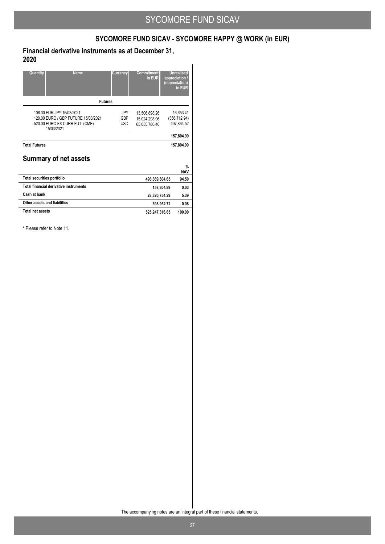# **SYCOMORE FUND SICAV - SYCOMORE HAPPY @ WORK (in EUR)**

### **Financial derivative instruments as at December 31, 2020**

| Quantity<br><b>Name</b>                                                                                         | Currency                        | <b>Commitment</b><br>in EUR                     | <b>Unrealised</b><br>appreciation /<br>(depreciation) | in EUR                      |
|-----------------------------------------------------------------------------------------------------------------|---------------------------------|-------------------------------------------------|-------------------------------------------------------|-----------------------------|
| <b>Futures</b>                                                                                                  |                                 |                                                 |                                                       |                             |
| 108.00 EUR-JPY 15/03/2021<br>120.00 EURO / GBP FUTURE 15/03/2021<br>520.00 EURO FX CURR FUT (CME)<br>15/03/2021 | JPY<br><b>GBP</b><br><b>USD</b> | 13,506,898.26<br>15,024,298.96<br>65,055,780.40 | 16.653.41<br>(356, 712.94)<br>497,864.52              |                             |
|                                                                                                                 |                                 |                                                 | 157,804.99                                            |                             |
| <b>Total Futures</b><br><b>Summary of net assets</b>                                                            |                                 |                                                 | 157.804.99                                            |                             |
|                                                                                                                 |                                 |                                                 |                                                       | $\frac{9}{6}$<br><b>NAV</b> |
| <b>Total securities portfolio</b>                                                                               |                                 | 496,369,804.65                                  |                                                       | 94.50                       |
| Total financial derivative instruments                                                                          |                                 | 157,804.99                                      |                                                       | 0.03                        |
| Cash at bank                                                                                                    |                                 | 28,320,754.29                                   |                                                       | 5.39                        |
| Other assets and liabilities                                                                                    |                                 | 398.952.72                                      |                                                       | 0.08                        |
| Total net assets                                                                                                |                                 | 525,247,316.65                                  |                                                       | 100.00                      |

\* Please refer to Note 11.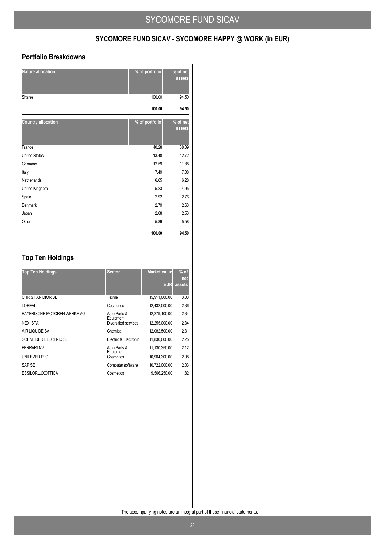## **SYCOMORE FUND SICAV - SYCOMORE HAPPY @ WORK (in EUR)**

### **Portfolio Breakdowns**

| <b>Nature allocation</b>  | % of portfolio | % of net<br>assets |
|---------------------------|----------------|--------------------|
| <b>Shares</b>             | 100.00         | 94.50              |
|                           | 100.00         | 94.50              |
| <b>Country allocation</b> | % of portfolio | % of net<br>assets |
| France                    | 40.28          | 38.09              |
| <b>United States</b>      | 13.48          | 12.72              |
| Germany                   | 12.59          | 11.88              |
| Italy                     | 7.49           | 7.08               |
| Netherlands               | 6.65           | 6.28               |
| United Kingdom            | 5.23           | 4.95               |
| Spain                     | 2.92           | 2.76               |
| Denmark                   | 2.79           | 2.63               |
| Japan                     | 2.68           | 2.53               |
| Other                     | 5.89           | 5.58               |
|                           | 100.00         | 94.50              |

## **Top Ten Holdings**

| <b>Top Ten Holdings</b>     | <b>Sector</b>                     | <b>Market value</b><br>EUR | $%$ of<br>net<br>assets |
|-----------------------------|-----------------------------------|----------------------------|-------------------------|
| CHRISTIAN DIOR SE           | Textile                           | 15,911,000.00              | 3.03                    |
| LOREAL                      | Cosmetics                         | 12,432,000.00              | 2.36                    |
| BAYERISCHE MOTOREN WERKE AG | Auto Parts &                      | 12,279,100.00              | 2.34                    |
| <b>NEXI SPA</b>             | Equipment<br>Diversified services |                            | 2.34                    |
| AIR LIQUIDE SA              | Chemical                          | 12,082,500.00              | 2.31                    |
| SCHNEIDER ELECTRIC SE       | Electric & Electronic             | 11,830,000.00              | 2.25                    |
| <b>FFRRARINV</b>            | Auto Parts &<br>Equipment         | 11.130.350.00              | 2.12                    |
| UNILEVER PLC                | Cosmetics                         | 10,904,300.00              | 2.08                    |
| SAP SE                      | Computer software                 | 10,722,000.00              | 2.03                    |
| <b>ESSILORLUXOTTICA</b>     | Cosmetics                         | 9,566,250.00               | 1.82                    |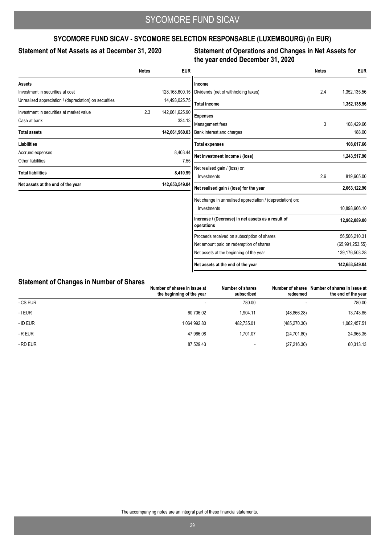## **SYCOMORE FUND SICAV - SYCOMORE SELECTION RESPONSABLE (LUXEMBOURG) (in EUR)**

### Statement of Net Assets as at December 31, 2020

### **Statement of Operations and Changes in Net Assets for the year ended December 31, 2020**

|                                                        | <b>Notes</b> | <b>EUR</b>     |                                                                  | <b>Notes</b> | <b>EUR</b>        |
|--------------------------------------------------------|--------------|----------------|------------------------------------------------------------------|--------------|-------------------|
| Assets                                                 |              |                | Income                                                           |              |                   |
| Investment in securities at cost                       |              | 128,168,600.15 | Dividends (net of withholding taxes)                             | 2.4          | 1,352,135.56      |
| Unrealised appreciation / (depreciation) on securities |              | 14,493,025.75  | <b>Total income</b>                                              |              | 1,352,135.56      |
| Investment in securities at market value               | 2.3          | 142,661,625.90 | <b>Expenses</b>                                                  |              |                   |
| Cash at bank                                           |              | 334.13         | Management fees                                                  | 3            | 108,429.66        |
| <b>Total assets</b>                                    |              | 142,661,960.03 | Bank interest and charges                                        |              | 188.00            |
| <b>Liabilities</b>                                     |              |                | <b>Total expenses</b>                                            |              | 108,617.66        |
| Accrued expenses                                       |              | 8,403.44       | Net investment income / (loss)                                   |              | 1,243,517.90      |
| Other liabilities                                      |              | 7.55           |                                                                  |              |                   |
| <b>Total liabilities</b>                               |              | 8,410.99       | Net realised gain / (loss) on:<br>Investments                    | 2.6          | 819,605.00        |
| Net assets at the end of the year                      |              | 142,653,549.04 | Net realised gain / (loss) for the year                          |              | 2,063,122.90      |
|                                                        |              |                | Net change in unrealised appreciation / (depreciation) on:       |              |                   |
|                                                        |              |                | Investments                                                      |              | 10,898,966.10     |
|                                                        |              |                | Increase / (Decrease) in net assets as a result of<br>operations |              | 12,962,089.00     |
|                                                        |              |                | Proceeds received on subscription of shares                      |              | 56,506,210.31     |
|                                                        |              |                | Net amount paid on redemption of shares                          |              | (65,991,253.55)   |
|                                                        |              |                | Net assets at the beginning of the year                          |              | 139, 176, 503. 28 |
|                                                        |              |                | Net assets at the end of the year                                |              | 142,653,549.04    |

### **Statement of Changes in Number of Shares**

| . .       | Number of shares in issue at<br>the beginning of the year | Number of shares<br>subscribed | redeemed      | Number of shares Number of shares in issue at<br>the end of the year |
|-----------|-----------------------------------------------------------|--------------------------------|---------------|----------------------------------------------------------------------|
| - CS EUR  | $\overline{\phantom{0}}$                                  | 780.00                         |               | 780.00                                                               |
| $-$ I EUR | 60.706.02                                                 | 1.904.11                       | (48, 866.28)  | 13,743.85                                                            |
| - ID EUR  | 1.064.992.80                                              | 482.735.01                     | (485, 270.30) | 1.062.457.51                                                         |
| - R EUR   | 47.966.08                                                 | 1.701.07                       | (24, 701.80)  | 24,965.35                                                            |
| - RD EUR  | 87,529.43                                                 | -                              | (27, 216.30)  | 60,313.13                                                            |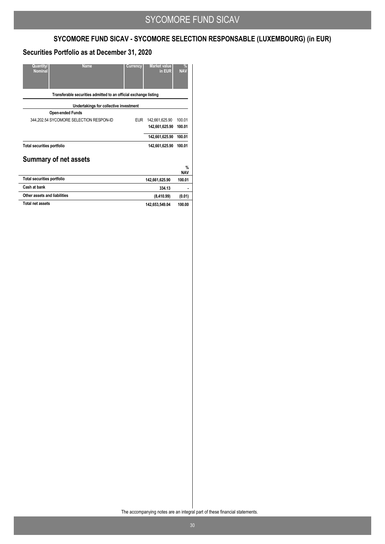# **SYCOMORE FUND SICAV - SYCOMORE SELECTION RESPONSABLE (LUXEMBOURG) (in EUR)**

### **Securities Portfolio as at December 31, 2020**

| Quantity/<br><b>Name</b><br><b>Nominal</b>                       | Currency   | <b>Market value</b><br>in EUR | %<br><b>NAV</b>    |
|------------------------------------------------------------------|------------|-------------------------------|--------------------|
| Transferable securities admitted to an official exchange listing |            |                               |                    |
| Undertakings for collective investment                           |            |                               |                    |
| <b>Open-ended Funds</b>                                          |            |                               |                    |
| 344,202.54 SYCOMORE SELECTION RESPON-ID                          | <b>EUR</b> | 142,661,625.90                | 100.01             |
|                                                                  |            | 142,661,625.90                | 100.01             |
|                                                                  |            | 142,661,625.90                | 100.01             |
| <b>Total securities portfolio</b>                                |            | 142,661,625.90                | 100.01             |
| <b>Summary of net assets</b>                                     |            |                               |                    |
|                                                                  |            |                               | $\%$<br><b>NAV</b> |
| <b>Total securities portfolio</b>                                |            | 142,661,625.90                | 100.01             |
| Cash at bank                                                     |            | 334.13                        |                    |
| Other assets and liabilities                                     |            | (8,410.99)                    | (0.01)             |
| <b>Total net assets</b>                                          |            | 142,653,549.04                | 100.00             |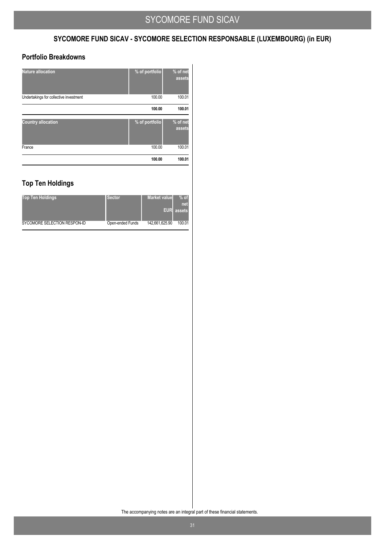## **SYCOMORE FUND SICAV - SYCOMORE SELECTION RESPONSABLE (LUXEMBOURG) (in EUR)**

### **Portfolio Breakdowns**

| <b>Nature allocation</b>               | % of portfolio | % of net<br>assets |
|----------------------------------------|----------------|--------------------|
| Undertakings for collective investment | 100.00         | 100.01             |
|                                        | 100.00         | 100.01             |
| <b>Country allocation</b>              | % of portfolio | % of net<br>assets |
| France                                 | 100.00         | 100.01             |
|                                        | 100.00         | 100.01             |

## **Top Ten Holdings**

| <b>Top Ten Holdings</b>      | Sector.          | <b>Market value</b> | $%$ of<br>net.<br><b>EUR</b> assets |
|------------------------------|------------------|---------------------|-------------------------------------|
| SYCOMORE SELECTION RESPON-ID | Open-ended Funds | 142,661,625.90      | 100.01                              |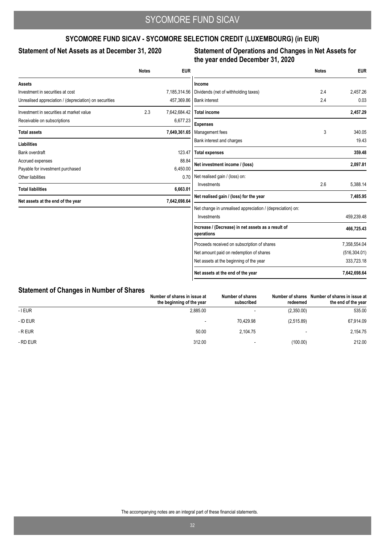## **SYCOMORE FUND SICAV - SYCOMORE SELECTION CREDIT (LUXEMBOURG) (in EUR)**

### Statement of Net Assets as at December 31, 2020

### **Statement of Operations and Changes in Net Assets for the year ended December 31, 2020**

|                                                        | <b>Notes</b> | <b>EUR</b>   |                                                                  | <b>Notes</b> | <b>EUR</b>    |
|--------------------------------------------------------|--------------|--------------|------------------------------------------------------------------|--------------|---------------|
| <b>Assets</b>                                          |              |              | Income                                                           |              |               |
| Investment in securities at cost                       |              | 7,185,314.56 | Dividends (net of withholding taxes)                             | 2.4          | 2.457.26      |
| Unrealised appreciation / (depreciation) on securities |              | 457,369.86   | <b>Bank</b> interest                                             | 2.4          | 0.03          |
| Investment in securities at market value               | 2.3          | 7,642,684.42 | <b>Total income</b>                                              |              | 2,457.29      |
| Receivable on subscriptions                            |              | 6,677.23     | <b>Expenses</b>                                                  |              |               |
| <b>Total assets</b>                                    |              | 7,649,361.65 | Management fees                                                  | 3            | 340.05        |
| <b>Liabilities</b>                                     |              |              | Bank interest and charges                                        |              | 19.43         |
| <b>Bank overdraft</b>                                  |              | 123.47       | <b>Total expenses</b>                                            |              | 359.48        |
| Accrued expenses                                       |              | 88.84        | Net investment income / (loss)                                   |              | 2,097.81      |
| Payable for investment purchased                       |              | 6,450.00     |                                                                  |              |               |
| Other liabilities                                      |              | 0.70         | Net realised gain / (loss) on:                                   |              |               |
| <b>Total liabilities</b>                               |              | 6,663.01     | Investments                                                      | 2.6          | 5,388.14      |
| Net assets at the end of the year                      |              | 7,642,698.64 | Net realised gain / (loss) for the year                          |              | 7,485.95      |
|                                                        |              |              | Net change in unrealised appreciation / (depreciation) on:       |              |               |
|                                                        |              |              | Investments                                                      |              | 459,239.48    |
|                                                        |              |              | Increase / (Decrease) in net assets as a result of<br>operations |              | 466,725.43    |
|                                                        |              |              | Proceeds received on subscription of shares                      |              | 7,358,554.04  |
|                                                        |              |              | Net amount paid on redemption of shares                          |              | (516, 304.01) |
|                                                        |              |              | Net assets at the beginning of the year                          |              | 333,723.18    |
|                                                        |              |              | Net assets at the end of the year                                |              | 7,642,698.64  |

### **Statement of Changes in Number of Shares**

|           | Number of shares in issue at<br>the beginning of the year | <b>Number of shares</b><br>subscribed | redeemed   | Number of shares Number of shares in issue at<br>the end of the year |
|-----------|-----------------------------------------------------------|---------------------------------------|------------|----------------------------------------------------------------------|
| $-$ I EUR | 2.885.00                                                  |                                       | (2,350.00) | 535.00                                                               |
| - ID EUR  | -                                                         | 70.429.98                             | (2,515.89) | 67,914.09                                                            |
| - R EUR   | 50.00                                                     | 2.104.75                              |            | 2,154.75                                                             |
| - RD EUR  | 312.00                                                    |                                       | (100.00)   | 212.00                                                               |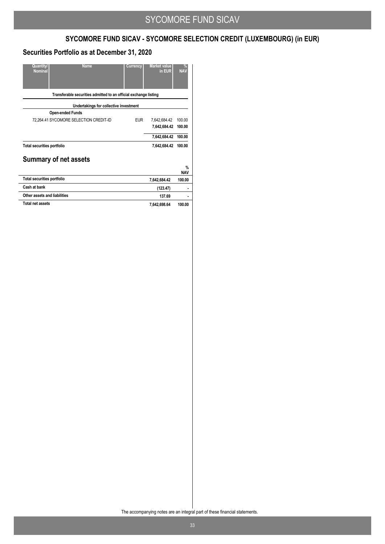# **SYCOMORE FUND SICAV - SYCOMORE SELECTION CREDIT (LUXEMBOURG) (in EUR)**

### **Securities Portfolio as at December 31, 2020**

| Quantity/<br><b>Name</b><br><b>Nominal</b>                       |                                        | Currency   | <b>Market value</b><br>in EUR | %<br><b>NAV</b>             |
|------------------------------------------------------------------|----------------------------------------|------------|-------------------------------|-----------------------------|
| Transferable securities admitted to an official exchange listing |                                        |            |                               |                             |
|                                                                  | Undertakings for collective investment |            |                               |                             |
| <b>Open-ended Funds</b>                                          |                                        |            |                               |                             |
| 72,264.41 SYCOMORE SELECTION CREDIT-ID                           |                                        | <b>EUR</b> | 7,642,684.42                  | 100.00                      |
|                                                                  |                                        |            | 7,642,684.42                  | 100.00                      |
|                                                                  |                                        |            | 7,642,684.42                  | 100.00                      |
| <b>Total securities portfolio</b>                                |                                        |            | 7,642,684.42                  | 100.00                      |
| <b>Summary of net assets</b>                                     |                                        |            |                               |                             |
|                                                                  |                                        |            |                               | $\frac{0}{n}$<br><b>NAV</b> |
| <b>Total securities portfolio</b>                                |                                        |            | 7,642,684.42                  | 100.00                      |
| Cash at bank                                                     |                                        |            | (123.47)                      |                             |
| Other assets and liabilities                                     |                                        |            | 137.69                        | ٠                           |
| <b>Total net assets</b>                                          |                                        |            | 7,642,698.64                  | 100.00                      |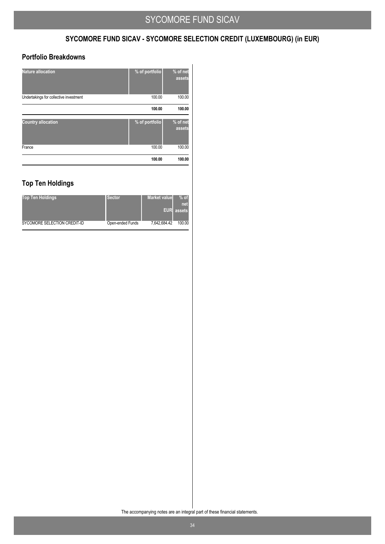## **SYCOMORE FUND SICAV - SYCOMORE SELECTION CREDIT (LUXEMBOURG) (in EUR)**

### **Portfolio Breakdowns**

| <b>Nature allocation</b>               | % of portfolio | % of net<br>assets |
|----------------------------------------|----------------|--------------------|
| Undertakings for collective investment | 100.00         | 100.00             |
|                                        | 100.00         | 100.00             |
| <b>Country allocation</b>              | % of portfolio | % of net<br>assets |
| France                                 | 100.00         | 100.00             |
|                                        | 100.00         | 100.00             |

## **Top Ten Holdings**

| <b>Top Ten Holdings</b>      | <b>Sector</b>    | <b>Market value</b> | $%$ of<br>net<br><b>EUR</b> assets |
|------------------------------|------------------|---------------------|------------------------------------|
| SYCOMORE SELECTION CREDIT-ID | Open-ended Funds | 7,642,684.42        | 100.00                             |
|                              |                  |                     |                                    |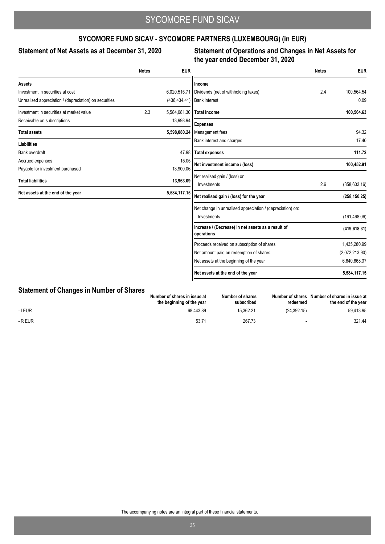## **SYCOMORE FUND SICAV - SYCOMORE PARTNERS (LUXEMBOURG) (in EUR)**

### Statement of Net Assets as at December 31, 2020

### **Statement of Operations and Changes in Net Assets for the year ended December 31, 2020**

|                                                        | <b>Notes</b> | <b>EUR</b>     |                                                                  | <b>Notes</b> | <b>EUR</b>     |
|--------------------------------------------------------|--------------|----------------|------------------------------------------------------------------|--------------|----------------|
| <b>Assets</b>                                          |              |                | Income                                                           |              |                |
| Investment in securities at cost                       |              | 6,020,515.71   | Dividends (net of withholding taxes)                             | 2.4          | 100,564.54     |
| Unrealised appreciation / (depreciation) on securities |              | (436, 434, 41) | <b>Bank interest</b>                                             |              | 0.09           |
| Investment in securities at market value               | 2.3          | 5,584,081.30   | <b>Total income</b>                                              |              | 100,564.63     |
| Receivable on subscriptions                            |              | 13,998.94      | <b>Expenses</b>                                                  |              |                |
| <b>Total assets</b>                                    |              | 5,598,080.24   | Management fees                                                  |              | 94.32          |
| <b>Liabilities</b>                                     |              |                | Bank interest and charges                                        |              | 17.40          |
| Bank overdraft                                         |              | 47.98          | <b>Total expenses</b>                                            |              | 111.72         |
| Accrued expenses                                       |              | 15.05          | Net investment income / (loss)                                   |              | 100,452.91     |
| Payable for investment purchased                       |              | 13,900.06      |                                                                  |              |                |
| <b>Total liabilities</b>                               |              | 13,963.09      | Net realised gain / (loss) on:<br>Investments                    | 2.6          | (358, 603.16)  |
| Net assets at the end of the year                      |              | 5,584,117.15   | Net realised gain / (loss) for the year                          |              | (258, 150.25)  |
|                                                        |              |                | Net change in unrealised appreciation / (depreciation) on:       |              |                |
|                                                        |              |                | Investments                                                      |              | (161, 468.06)  |
|                                                        |              |                | Increase / (Decrease) in net assets as a result of<br>operations |              | (419, 618.31)  |
|                                                        |              |                | Proceeds received on subscription of shares                      |              | 1,435,280.99   |
|                                                        |              |                | Net amount paid on redemption of shares                          |              | (2,072,213.90) |
|                                                        |              |                | Net assets at the beginning of the year                          |              | 6,640,668.37   |
|                                                        |              |                | Net assets at the end of the year                                |              | 5,584,117.15   |

## **Statement of Changes in Number of Shares**

|         | Number of shares in issue at<br>the beginning of the year | Number of shares<br>subscribed | Number of shares<br>redeemed | Number of shares in issue at<br>the end of the vear |
|---------|-----------------------------------------------------------|--------------------------------|------------------------------|-----------------------------------------------------|
| - I EUR | 68.443.89                                                 | 15.362.21                      | (24.392.15)                  | 59.413.95                                           |
| - R EUR | 53.7'                                                     | 267.73                         |                              | 321.44                                              |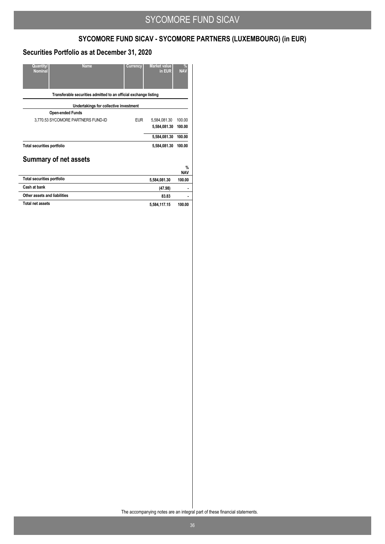# **SYCOMORE FUND SICAV - SYCOMORE PARTNERS (LUXEMBOURG) (in EUR)**

### **Securities Portfolio as at December 31, 2020**

| Quantity/<br><b>Name</b><br><b>Nominal</b>                       | Currency                               | <b>Market value</b><br>in EUR | $\frac{9}{6}$<br><b>NAV</b> |
|------------------------------------------------------------------|----------------------------------------|-------------------------------|-----------------------------|
| Transferable securities admitted to an official exchange listing |                                        |                               |                             |
|                                                                  | Undertakings for collective investment |                               |                             |
| <b>Open-ended Funds</b>                                          |                                        |                               |                             |
| 3,770.53 SYCOMORE PARTNERS FUND-ID                               | <b>EUR</b>                             | 5,584,081.30                  | 100.00                      |
|                                                                  |                                        | 5,584,081.30                  | 100.00                      |
|                                                                  |                                        | 5,584,081.30                  | 100.00                      |
| <b>Total securities portfolio</b>                                |                                        | 5,584,081.30                  | 100.00                      |
| <b>Summary of net assets</b>                                     |                                        |                               |                             |
|                                                                  |                                        |                               | $\%$<br><b>NAV</b>          |
| <b>Total securities portfolio</b>                                |                                        | 5,584,081.30                  | 100.00                      |
| Cash at bank                                                     |                                        | (47.98)                       |                             |
| Other assets and liabilities                                     |                                        | 83.83                         |                             |
| <b>Total net assets</b>                                          |                                        | 5,584,117.15                  | 100.00                      |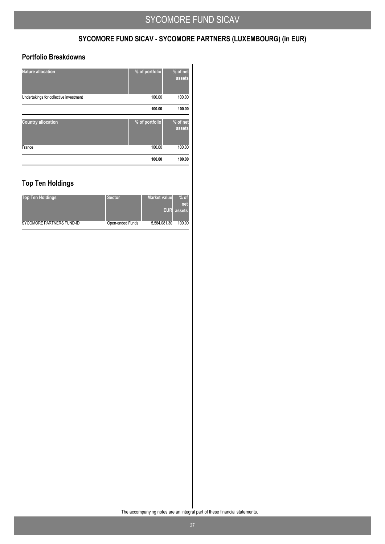# **SYCOMORE FUND SICAV - SYCOMORE PARTNERS (LUXEMBOURG) (in EUR)**

### **Portfolio Breakdowns**

|                                        |                | assets             |
|----------------------------------------|----------------|--------------------|
| <b>Country allocation</b>              | % of portfolio | % of net           |
|                                        | 100.00         | 100.00             |
| Undertakings for collective investment | 100.00         | 100.00             |
| <b>Nature allocation</b>               | % of portfolio | % of net<br>assets |

## **Top Ten Holdings**

| <b>Top Ten Holdings</b>   | <b>Sector</b>    | <b>Market value</b> | $%$ of<br>net     |
|---------------------------|------------------|---------------------|-------------------|
|                           |                  |                     | <b>EUR</b> assets |
| SYCOMORE PARTNERS FUND-ID | Open-ended Funds | 5,584,081.30        | 100.00            |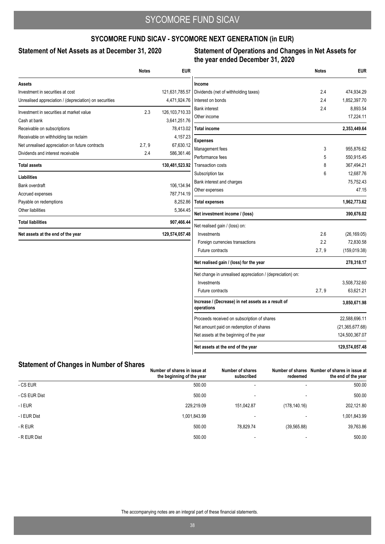### **SYCOMORE FUND SICAV - SYCOMORE NEXT GENERATION (in EUR)**

### Statement of Net Assets as at December 31, 2020

### **Statement of Operations and Changes in Net Assets for the year ended December 31, 2020**

|                                                        | <b>Notes</b> | <b>EUR</b>        |                                                                  | <b>Notes</b> | <b>EUR</b>        |
|--------------------------------------------------------|--------------|-------------------|------------------------------------------------------------------|--------------|-------------------|
| <b>Assets</b>                                          |              |                   | Income                                                           |              |                   |
| Investment in securities at cost                       |              | 121,631,785.57    | Dividends (net of withholding taxes)                             | 2.4          | 474,934.29        |
| Unrealised appreciation / (depreciation) on securities |              | 4,471,924.76      | Interest on bonds                                                | 2.4          | 1,852,397.70      |
| Investment in securities at market value               | 2.3          | 126, 103, 710. 33 | <b>Bank interest</b>                                             | 2.4          | 8,893.54          |
| Cash at bank                                           |              | 3,641,251.76      | Other income                                                     |              | 17,224.11         |
| Receivable on subscriptions                            |              | 78,413.02         | <b>Total income</b>                                              |              | 2,353,449.64      |
| Receivable on withholding tax reclaim                  |              | 4,157.23          |                                                                  |              |                   |
| Net unrealised appreciation on future contracts        | 2.7, 9       | 67,630.12         | <b>Expenses</b>                                                  | 3            | 955,876.62        |
| Dividends and interest receivable                      | 2.4          | 586,361.46        | Management fees<br>Performance fees                              | 5            | 550,915.45        |
| <b>Total assets</b>                                    |              | 130,481,523.92    | <b>Transaction costs</b>                                         | 8            | 367,494.21        |
|                                                        |              |                   | Subscription tax                                                 | 6            | 12,687.76         |
| Liabilities                                            |              |                   | Bank interest and charges                                        |              | 75,752.43         |
| Bank overdraft                                         |              | 106,134.94        | Other expenses                                                   |              | 47.15             |
| Accrued expenses                                       |              | 787,714.19        |                                                                  |              |                   |
| Payable on redemptions                                 |              | 8,252.86          | <b>Total expenses</b>                                            |              | 1,962,773.62      |
| Other liabilities                                      |              | 5,364.45          | Net investment income / (loss)                                   |              | 390,676.02        |
| <b>Total liabilities</b>                               |              | 907,466.44        | Net realised gain / (loss) on:                                   |              |                   |
| Net assets at the end of the year                      |              | 129,574,057.48    | Investments                                                      | 2.6          | (26, 169.05)      |
|                                                        |              |                   | Foreign currencies transactions                                  | 2.2          | 72,830.58         |
|                                                        |              |                   | Future contracts                                                 | 2.7, 9       | (159, 019.38)     |
|                                                        |              |                   | Net realised gain / (loss) for the year                          |              | 278,318.17        |
|                                                        |              |                   | Net change in unrealised appreciation / (depreciation) on:       |              |                   |
|                                                        |              |                   | Investments                                                      |              | 3,508,732.60      |
|                                                        |              |                   | Future contracts                                                 | 2.7, 9       | 63,621.21         |
|                                                        |              |                   | Increase / (Decrease) in net assets as a result of<br>operations |              | 3,850,671.98      |
|                                                        |              |                   | Proceeds received on subscription of shares                      |              | 22,588,696.11     |
|                                                        |              |                   | Net amount paid on redemption of shares                          |              | (21, 365, 677.68) |
|                                                        |              |                   | Net assets at the beginning of the year                          |              | 124,500,367.07    |
|                                                        |              |                   | Net assets at the end of the year                                |              | 129,574,057.48    |

### **Statement of Changes in Number of Shares**

|               | Number of shares in issue at<br>the beginning of the year | Number of shares<br>subscribed | redeemed      | Number of shares Number of shares in issue at<br>the end of the year |
|---------------|-----------------------------------------------------------|--------------------------------|---------------|----------------------------------------------------------------------|
| - CS EUR      | 500.00                                                    | $\overline{\phantom{a}}$       |               | 500.00                                                               |
| - CS EUR Dist | 500.00                                                    | -                              |               | 500.00                                                               |
| $-$ I EUR     | 229.219.09                                                | 151.042.87                     | (178, 140.16) | 202,121.80                                                           |
| - I EUR Dist  | 1,001,843.99                                              |                                |               | 1,001,843.99                                                         |
| - R EUR       | 500.00                                                    | 78.829.74                      | (39, 565.88)  | 39,763.86                                                            |
| - R EUR Dist  | 500.00                                                    |                                |               | 500.00                                                               |

 $\mathbf{I}$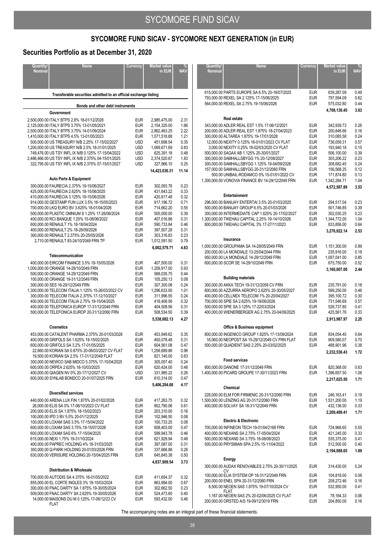### **Securities Portfolio as at December 31, 2020**

| Quantity/<br><b>Name</b><br><b>Nominal</b>                                                                                                                                                                                                                                                                                                                                                                                                                                                            | Currency                                                                                                                                               | Market value<br>in EUR                                                                                                                                                   | <b>NAV</b>                                                                                   |  |  |  |
|-------------------------------------------------------------------------------------------------------------------------------------------------------------------------------------------------------------------------------------------------------------------------------------------------------------------------------------------------------------------------------------------------------------------------------------------------------------------------------------------------------|--------------------------------------------------------------------------------------------------------------------------------------------------------|--------------------------------------------------------------------------------------------------------------------------------------------------------------------------|----------------------------------------------------------------------------------------------|--|--|--|
| Transferable securities admitted to an official exchange listing                                                                                                                                                                                                                                                                                                                                                                                                                                      |                                                                                                                                                        |                                                                                                                                                                          |                                                                                              |  |  |  |
| Bonds and other debt instruments                                                                                                                                                                                                                                                                                                                                                                                                                                                                      |                                                                                                                                                        |                                                                                                                                                                          |                                                                                              |  |  |  |
| Government<br>2,500,000.00 ITALY BTPS 2.8% 18-01/12/2028<br>2,125,000.00 ITALY BTPS 3.75% 13-01/05/2021<br>2,500,000.00 ITALY BTPS 3.75% 14-01/09/2024<br>1,410,000.00 ITALY BTPS 4.5% 13-01/05/2023<br>500,000.00 US TREASURY N/B 2.25% 17-15/02/2027<br>1.200.000.00 US TREASURY N/B 2.5% 18-31/01/2025<br>749,476.00 US TSY INFL IX N/B 0.125% 17-15/04/2022<br>2,486,466.00 US TSY INFL IX N/B 2.375% 04-15/01/2025<br>322,795.00 US TSY INFL IX N/B 2.375% 07-15/01/2027                         | <b>EUR</b><br><b>EUR</b><br><b>EUR</b><br><b>EUR</b><br><b>USD</b><br><b>USD</b><br><b>USD</b><br><b>USD</b><br><b>USD</b>                             | 2,985,475.00<br>2,154,325.00<br>2,862,463.25<br>1,571,518.88<br>451,698.54<br>1,069,671.69<br>625,391.18<br>2,374,520.67<br>327,966.10<br>14,423,030.31                  | 2.31<br>1.66<br>2.22<br>1.21<br>0.35<br>0.83<br>0.48<br>1.83<br>0.25<br>11.14                |  |  |  |
| <b>Auto Parts &amp; Equipment</b>                                                                                                                                                                                                                                                                                                                                                                                                                                                                     |                                                                                                                                                        |                                                                                                                                                                          |                                                                                              |  |  |  |
| 300,000.00 FAURECIA 2.375% 19-15/06/2027<br>425,000.00 FAURECIA 2.625% 18-15/06/2025<br>410,000.00 FAURECIA 3.125% 19-15/06/2026<br>914,000.00 GESTAMP FUN LUX 3.5% 16-15/05/2023<br>700,000.00 LKQ EURO BV 3.625% 18-01/04/2026<br>500,000.00 PLASTIC OMNIUM S 1.25% 17-26/06/2024<br>400,000.00 RCI BANQUE 1.25% 15-08/06/2022<br>600,000.00 RENAULT 1% 18-18/04/2024<br>400,000.00 RENAULT 2% 18-28/09/2026<br>300.000.00 RENAULT 2.375% 20-25/05/2026<br>2,710.00 RENAULT 83-24/10/2049 FRN TP    | <b>EUR</b><br><b>EUR</b><br><b>EUR</b><br><b>EUR</b><br><b>EUR</b><br><b>EUR</b><br><b>EUR</b><br><b>EUR</b><br><b>EUR</b><br><b>EUR</b><br><b>EUR</b> | 302,093.76<br>431,643.22<br>420,817.48<br>917,196.72<br>714,662.20<br>505,000.00<br>407,016.88<br>590,733.84<br>397,507.28<br>303,316.83<br>1,012,591.50<br>6,002,579.71 | 0.23<br>0.33<br>0.32<br>0.71<br>0.55<br>0.39<br>0.31<br>0.46<br>0.31<br>0.23<br>0.79<br>4.63 |  |  |  |
| Telecommunication                                                                                                                                                                                                                                                                                                                                                                                                                                                                                     |                                                                                                                                                        |                                                                                                                                                                          |                                                                                              |  |  |  |
| 400,000.00 EIRCOM FINANCE 3.5% 19-15/05/2026<br>1,000,000.00 ORANGE 14-29/10/2049 FRN<br>500,000.00 ORANGE 14-29/12/2049 FRN<br>100,000.00 ORANGE 19-31/12/2049 FRN<br>300,000.00 SES 16-29/12/2049 FRN<br>1,300,000.00 TELECOM ITALIA 1.125% 15-26/03/2022 CV<br>300,000.00 TELECOM ITALIA 2.375% 17-12/10/2027<br>400,000.00 TELECOM ITALIA 2.75% 19-15/04/2025<br>400,000.00 TELEFONICA EUROP 17-31/12/2049 FRN<br>500,000.00 TELEFONICA EUROP 20-31/12/2060 FRN                                   | <b>EUR</b><br><b>EUR</b><br><b>EUR</b><br><b>EUR</b><br><b>EUR</b><br><b>EUR</b><br><b>EUR</b><br><b>EUR</b><br><b>EUR</b><br><b>EUR</b>               | 407,500.00<br>1,209,917.00<br>568,035.75<br>105,250.13<br>307,300.08<br>1,296,633.00<br>311,996.55<br>418,406.56<br>404,508.56<br>508,534.50<br>5,538,082.13             | 0.31<br>0.93<br>0.44<br>0.08<br>0.24<br>1.01<br>0.24<br>0.32<br>0.31<br>0.39<br>4.27         |  |  |  |
| <b>Cosmetics</b>                                                                                                                                                                                                                                                                                                                                                                                                                                                                                      |                                                                                                                                                        |                                                                                                                                                                          |                                                                                              |  |  |  |
| 453,000.00 CATALENT PHARMA 2.375% 20-01/03/2028<br>400,000.00 GRIFOLS SA 1.625% 19-15/02/2025<br>600,000.00 GRIFOLS SA 3.2% 17-01/05/2025<br>22,660.00 KORIAN SA 0.875% 20-06/03/2027 CV FLAT<br>19,500.00 KORIAN SA 2.5% 17-31/12/2049 FLAT<br>300,000.00 NEWCO SAB MIDCO 5.375% 17-15/04/2025<br>600,000.00 ORPEA 2.625% 18-10/03/2025<br>400,000.00 QIAGEN NV 0% 20-17/12/2027 CV<br>600,000.00 SYNLAB BONDCO 20-01/07/2025 FRN                                                                    | <b>EUR</b><br><b>EUR</b><br><b>EUR</b><br><b>EUR</b><br><b>EUR</b><br><b>EUR</b><br><b>EUR</b><br><b>USD</b><br><b>EUR</b>                             | 453,949.62<br>400,078.48<br>604,561.08<br>1,258,689.88<br>821,145.00<br>305,057.40<br>620,424.00<br>331,985.22<br>610,314.00<br>5,406,204.68                             | 0.35<br>0.31<br>0.47<br>0.96<br>0.63<br>0.24<br>0.48<br>0.26<br>0.47<br>4.17                 |  |  |  |
| <b>Diversified services</b>                                                                                                                                                                                                                                                                                                                                                                                                                                                                           |                                                                                                                                                        |                                                                                                                                                                          |                                                                                              |  |  |  |
| 440,000.00 ARENA LUX FIN 1.875% 20-01/02/2028<br>26,000.00 ELIS SA 0% 17-06/10/2023 CV FLAT<br>200,000.00 ELIS SA 1.875% 18-15/02/2023<br>100,000.00 IPD 3 BV 5.5% 20-01/12/2025<br>100,000.00 LOXAM SAS 3.5% 17-15/04/2022<br>600,000.00 LOXAM SAS 3.75% 19-15/07/2026<br>600,000.00 LOXAM SAS 6% 17-15/04/2025<br>615,000.00 NEXI 1.75% 19-31/10/2024<br>400,000.00 PAPREC HOLDING 4% 18-31/03/2025<br>350,000.00 Q-PARK HOLDING 20-01/03/2026 FRN<br>630,000.00 VERISURE HOLDING 20-15/04/2025 FRN | <b>EUR</b><br><b>EUR</b><br><b>EUR</b><br><b>EUR</b><br><b>EUR</b><br><b>EUR</b><br><b>EUR</b><br><b>EUR</b><br><b>EUR</b><br><b>EUR</b><br><b>EUR</b> | 417,263.75<br>802,780.06<br>203.310.00<br>102,946.50<br>100,733.25<br>608.403.00<br>599,943.78<br>621,929.94<br>397,087.00<br>337,666.88<br>645,845.38<br>4,837,909.54   | 0.32<br>0.61<br>0.16<br>0.08<br>0.08<br>0.47<br>0.46<br>0.48<br>0.31<br>0.26<br>0.50<br>3.73 |  |  |  |
| <b>Distribution &amp; Wholesale</b>                                                                                                                                                                                                                                                                                                                                                                                                                                                                   |                                                                                                                                                        |                                                                                                                                                                          |                                                                                              |  |  |  |
| 700,000.00 AUTODIS SA 4.375% 16-01/05/2022<br>855,000.00 EL CORTE INGLES 3% 18-15/03/2024<br>300,000.00 FNAC DARTY SA 1.875% 19-30/05/2024<br>509,000.00 FNAC DARTY SA 2.625% 19-30/05/2026<br>14,000.00 MAISONS DU M 0.125% 17-06/12/23 CV<br><b>FLAT</b>                                                                                                                                                                                                                                            | <b>EUR</b><br><b>EUR</b><br><b>EUR</b><br><b>EUR</b><br><b>EUR</b>                                                                                     | 411,654.37<br>863,994.00<br>302,662.50<br>524,473.60<br>593,432.00                                                                                                       | 0.32<br>0.67<br>0.23<br>0.40<br>0.46                                                         |  |  |  |

| Quantity/<br><b>Nominal</b> | <b>Name</b>                                                                                                                                                                                                                                                                                                                                                                                                                                                                                                                                             | Currency                                                                                                                                               | <b>Market value</b><br>in EUR                                                                                                                                            | <b>NAV</b>                                                                                   |
|-----------------------------|---------------------------------------------------------------------------------------------------------------------------------------------------------------------------------------------------------------------------------------------------------------------------------------------------------------------------------------------------------------------------------------------------------------------------------------------------------------------------------------------------------------------------------------------------------|--------------------------------------------------------------------------------------------------------------------------------------------------------|--------------------------------------------------------------------------------------------------------------------------------------------------------------------------|----------------------------------------------------------------------------------------------|
|                             | 615,000.00 PARTS EUROPE SA 6.5% 20-16/07/2025<br>793,000.00 REXEL SA 2.125% 17-15/06/2025<br>564,000.00 REXEL SA 2.75% 19-15/06/2026                                                                                                                                                                                                                                                                                                                                                                                                                    | <b>EUR</b><br><b>EUR</b><br><b>EUR</b>                                                                                                                 | 639,287.09<br>797,594.09<br>575,032.80<br>4,708,130.45                                                                                                                   | 0.49<br>0.62<br>0.44<br>3.63                                                                 |
|                             | <b>Real estate</b><br>343,000.00 ADLER REAL EST 1.5% 17-06/12/2021<br>200,000.00 ADLER REAL EST 1.875% 18-27/04/2023<br>300,000.00 ALTAREA 1.875% 19-17/01/2028<br>12.000.00 NEXITY 0.125% 16-01/01/2023 CV FLAT<br>3,000.00 NEXITY 0.25% 18-02/03/2025 CV FLAT<br>500,000.00 SAGAX AB 1.125% 20-30/01/2027<br>300,000.00 SAMHALLSBYGG 1% 20-12/08/2027<br>300,000.00 SAMHALLSBYGG 1.125% 19-04/09/2026<br>157,000.00 SAMHALLSBYGG 20-31/12/2060 FRN<br>500.00 UNIBAIL-RODAMCO 0% 15-01/01/2022 CV<br>1,300,000.00 VONOVIA FINANCE BV 14-29/12/2049 FRN | <b>EUR</b><br><b>EUR</b><br><b>EUR</b><br><b>EUR</b><br><b>EUR</b><br><b>EUR</b><br><b>EUR</b><br><b>EUR</b><br><b>EUR</b><br><b>EUR</b><br><b>EUR</b> | 342.939.73<br>200.846.66<br>310,085.58<br>736,059.31<br>193,940.18<br>506,100.00<br>303,206.22<br>308,682.45<br>156,568.25<br>171,874.80<br>1,342,284.71<br>4,572,587.89 | 0.26<br>0.16<br>0.24<br>0.57<br>0.15<br>0.39<br>0.23<br>0.24<br>0.12<br>0.13<br>1.04<br>3.53 |
|                             | Entertainment<br>296.000.00 BANIJAY ENTERTAI 3.5% 20-01/03/2025<br>500.000.00 BANIJAY GROUP 6.5% 20-01/03/2026<br>300,000.00 INTERMEDIATE CAP 1.625% 20-17/02/2027<br>1,300,000.00 TIKEHAU CAPITAL 2.25% 19-14/10/2026<br>800,000.00 TIKEHAU CAPITAL 3% 17-27/11/2023                                                                                                                                                                                                                                                                                   | <b>EUR</b><br><b>EUR</b><br><b>EUR</b><br><b>EUR</b><br><b>EUR</b>                                                                                     | 294,517.04<br>501,746.85<br>302.030.25<br>1,344,772.00<br>833,856.00<br>3,276,922.14                                                                                     | 0.23<br>0.39<br>0.23<br>1.04<br>0.64<br>2.53                                                 |
|                             | Insurance<br>1,000,000.00 GROUPAMA SA 14-28/05/2049 FRN<br>200,000.00 LA MONDIALE 13-25/04/2044 FRN<br>950,000.00 LA MONDIALE 14-29/12/2049 FRN<br>600,000.00 SCOR SE 14-29/10/2049 FRN                                                                                                                                                                                                                                                                                                                                                                 | <b>EUR</b><br><b>EUR</b><br><b>EUR</b><br><b>EUR</b>                                                                                                   | 1,151,300.00<br>235,916.00<br>1,097,041.00<br>675,750.00<br>3,160,007.00                                                                                                 | 0.89<br>0.18<br>0.85<br>0.52<br>2.44                                                         |
|                             | <b>Building materials</b><br>300,000.00 AKKA TECH 19-31/12/2059 CV FRN<br>600,000.00 AZZURRA AEROPO 2.625% 20-30/05/2027<br>400,000.00 CELLNEX TELECOM 1% 20-20/04/2027<br>700,000.00 SPIE SA 2.625% 19-18/06/2026<br>500,000.00 SPIE SA 3.125% 17-22/03/2024<br>400,000.00 WIENERBERGER AG 2.75% 20-04/06/2025                                                                                                                                                                                                                                         | <b>EUR</b><br><b>EUR</b><br><b>EUR</b><br><b>EUR</b><br><b>EUR</b><br><b>EUR</b>                                                                       | 235,791.00<br>599,250.00<br>395,100.72<br>731,546.69<br>526,737.80<br>425,561.76<br>2,913,987.97                                                                         | 0.18<br>0.46<br>0.30<br>0.57<br>0.41<br>0.33<br>2.25                                         |
|                             | <b>Office &amp; Business equipment</b><br>800.000.00 INGENICO GROUP 1.625% 17-13/09/2024<br>16,060.00 NEOPOST SA 15-29/12/2049 CV FRN FLAT<br>500,000.00 QUADIENT SAS 2.25% 20-03/02/2025<br><b>Food services</b>                                                                                                                                                                                                                                                                                                                                       | <b>EUR</b><br><b>EUR</b><br><b>EUR</b>                                                                                                                 | 834,054.40<br>909,580.07<br>488,901.96<br>2,232,536.43                                                                                                                   | 0.64<br>0.70<br>0.38<br>1.72                                                                 |
|                             | 800,000.00 DANONE 17-31/12/2049 FRN<br>1,400,000.00 PICARD GROUPE 17-30/11/2023 FRN                                                                                                                                                                                                                                                                                                                                                                                                                                                                     | <b>EUR</b><br>EUR                                                                                                                                      | 820,368.00<br>1,396,657.50<br>2,217,025.50                                                                                                                               | 0.63<br>1.08<br>1.71                                                                         |
|                             | Chemical<br>228,000.00 ELM FOR FIRMENIC 20-31/12/2060 FRN<br>1,500,000.00 LENZING AG 20-31/12/2060 FRN<br>400,000.00 SOLVAY SA 18-31/12/2049 FRN                                                                                                                                                                                                                                                                                                                                                                                                        | <b>EUR</b><br><b>EUR</b><br><b>EUR</b>                                                                                                                 | 246,163.41<br>1,531,200.00<br>432,136.00<br>2.209.499.41                                                                                                                 | 0.19<br>1.19<br>0.33<br>1.71                                                                 |
|                             | <b>Electric &amp; Electronic</b><br>700,000.00 INFINEON TECH 19-01/04/2168 FRN<br>400,000.00 NEXANS SA 2.75% 17-05/04/2024<br>500,000.00 NEXANS SA 3.75% 18-08/08/2023<br>500,000.00 PRYSMIAN SPA 2.5% 15-11/04/2022                                                                                                                                                                                                                                                                                                                                    | EUR<br><b>EUR</b><br><b>EUR</b><br><b>EUR</b>                                                                                                          | 724,968.65<br>421,245.00<br>535,375.00<br>512,500.00<br>2,194,088.65                                                                                                     | 0.55<br>0.33<br>0.41<br>0.40<br>1.69                                                         |
|                             | Energy<br>300,000.00 AUDAX RENOVABLES 2.75% 20-30/11/2025<br>СV<br>100,000.00 ELIA SYSTEM OP 18-31/12/2049 FRN<br>200,000.00 ENEL SPA 20-31/12/2060 FRN<br>8,500.00 NEOEN SAS 1.875% 19-07/10/2024 CV<br><b>FLAT</b><br>1,167.00 NEOEN SAS 2% 20-02/06/2025 CV FLAT                                                                                                                                                                                                                                                                                     | <b>EUR</b><br><b>EUR</b><br><b>EUR</b><br><b>EUR</b><br><b>EUR</b>                                                                                     | 314,430.00<br>104,818.00<br>208,272.46<br>532,950.00<br>78,184.33                                                                                                        | 0.24<br>0.08<br>0.16<br>0.41<br>0.06                                                         |
|                             | 200,000.00 ORSTED A/S 19-09/12/3019 FRN                                                                                                                                                                                                                                                                                                                                                                                                                                                                                                                 | <b>EUR</b>                                                                                                                                             | 204,850.00                                                                                                                                                               | 0.16                                                                                         |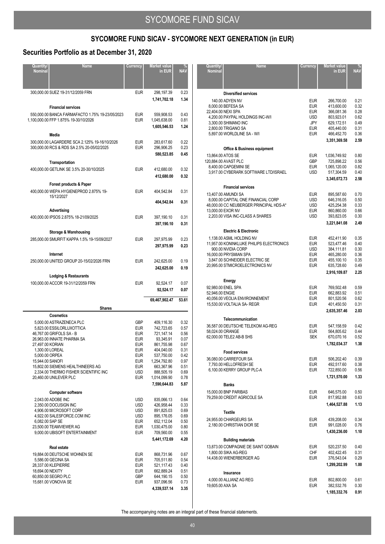### **Securities Portfolio as at December 31, 2020**

| Quantity/<br><b>Nominal</b>                            | <b>Name</b>                                                                                                                                                                                                                                                    | Currency                                                                                                                                        | <b>Market value</b><br>in EUR                                                                                                                             | <b>NAV</b>                                                                           |
|--------------------------------------------------------|----------------------------------------------------------------------------------------------------------------------------------------------------------------------------------------------------------------------------------------------------------------|-------------------------------------------------------------------------------------------------------------------------------------------------|-----------------------------------------------------------------------------------------------------------------------------------------------------------|--------------------------------------------------------------------------------------|
|                                                        | 300,000.00 SUEZ 19-31/12/2059 FRN<br><b>Financial services</b>                                                                                                                                                                                                 | <b>EUR</b>                                                                                                                                      | 298,197.39<br>1,741,702.18                                                                                                                                | 0.23<br>1.34                                                                         |
|                                                        | 550,000.00 BANCA FARMAFACTO 1.75% 19-23/05/2023<br>1,100,000.00 FFP 1.875% 19-30/10/2026<br>Media                                                                                                                                                              | <b>EUR</b><br><b>EUR</b>                                                                                                                        | 559,908.53<br>1,045,638.00<br>1,605,546.53                                                                                                                | 0.43<br>0.81<br>1.24                                                                 |
|                                                        | 300,000.00 LAGARDERE SCA 2.125% 19-16/10/2026<br>300,000.00 RCS & RDS SA 2.5% 20-05/02/2025                                                                                                                                                                    | <b>EUR</b><br><b>EUR</b>                                                                                                                        | 283,617.60<br>296,906.25<br>580,523.85                                                                                                                    | 0.22<br>0.23<br>0.45                                                                 |
|                                                        | Transportation<br>400,000.00 GETLINK SE 3.5% 20-30/10/2025                                                                                                                                                                                                     | <b>EUR</b>                                                                                                                                      | 412,680.00<br>412,680.00                                                                                                                                  | 0.32<br>0.32                                                                         |
|                                                        | Forest products & Paper<br>400,000.00 WEPA HYGIENEPROD 2.875% 19-<br>15/12/2027                                                                                                                                                                                | <b>EUR</b>                                                                                                                                      | 404,542.84<br>404.542.84                                                                                                                                  | 0.31<br>0.31                                                                         |
|                                                        |                                                                                                                                                                                                                                                                |                                                                                                                                                 |                                                                                                                                                           |                                                                                      |
|                                                        | Advertising<br>400,000.00 IPSOS 2.875% 18-21/09/2025                                                                                                                                                                                                           | <b>EUR</b>                                                                                                                                      | 397,190.10<br>397,190.10                                                                                                                                  | 0.31<br>0.31                                                                         |
|                                                        | <b>Storage &amp; Warehousing</b><br>285,000.00 SMURFIT KAPPA 1.5% 19-15/09/2027                                                                                                                                                                                | <b>EUR</b>                                                                                                                                      | 297,975.99<br>297,975.99                                                                                                                                  | 0.23<br>0.23                                                                         |
|                                                        | Internet<br>250,000.00 UNITED GROUP 20-15/02/2026 FRN                                                                                                                                                                                                          | <b>EUR</b>                                                                                                                                      | 242,625.00<br>242,625.00                                                                                                                                  | 0.19<br>0.19                                                                         |
|                                                        | <b>Lodging &amp; Restaurants</b><br>100,000.00 ACCOR 19-31/12/2059 FRN                                                                                                                                                                                         | <b>EUR</b>                                                                                                                                      |                                                                                                                                                           |                                                                                      |
|                                                        |                                                                                                                                                                                                                                                                |                                                                                                                                                 | 92,524.17<br>92,524.17                                                                                                                                    | 0.07<br>0.07                                                                         |
|                                                        |                                                                                                                                                                                                                                                                |                                                                                                                                                 | 69,467,902.47                                                                                                                                             | 53.61                                                                                |
|                                                        | <b>Shares</b>                                                                                                                                                                                                                                                  |                                                                                                                                                 |                                                                                                                                                           |                                                                                      |
| 27,497.00 KORIAN<br>5,000.00 ORPEA<br>15,944.00 SANOFI | <b>Cosmetics</b><br>5,000.00 ASTRAZENECA PLC<br>5,823.00 ESSILORLUXOTTICA<br>46,767.00 GRIFOLS SA - B<br>26,963.00 INNATE PHARMA SA<br>1,300.00 LOREAL<br>15,802.00 SIEMENS HEALTHINEERS AG<br>2,334.00 THERMO FISHER SCIENTIFIC INC<br>20,460.00 UNILEVER PLC | GBP<br><b>EUR</b><br><b>EUR</b><br><b>EUR</b><br><b>EUR</b><br><b>EUR</b><br><b>EUR</b><br><b>EUR</b><br><b>EUR</b><br><b>USD</b><br><b>EUR</b> | 409,116.30<br>742,723.65<br>721,147.14<br>93,345.91<br>861,755.98<br>404,040.00<br>537,750.00<br>1,254,792.80<br>663,367.96<br>888,505.19<br>1,014,099.90 | 0.32<br>0.57<br>0.56<br>0.07<br>0.67<br>0.31<br>0.42<br>0.97<br>0.51<br>0.69<br>0.78 |
|                                                        |                                                                                                                                                                                                                                                                |                                                                                                                                                 | 7.590.644.83                                                                                                                                              | 5.87                                                                                 |
| 6,082.00 SAP SE                                        | <b>Computer software</b><br>2,043.00 ADOBE INC<br>2,350.00 DOCUSIGN INC<br>4,906.00 MICROSOFT CORP<br>4,922.00 SALESFORCE.COM INC<br>23,500.00 TEAMVIEWER AG<br>9,000.00 UBISOFT ENTERTAINMENT<br>Real estate                                                  | <b>USD</b><br><b>USD</b><br><b>USD</b><br><b>USD</b><br><b>EUR</b><br><b>EUR</b><br><b>EUR</b>                                                  | 835,066.13<br>426,958.44<br>891,825.03<br>895,176.05<br>652,112.04<br>1,030,475.00<br>709,560.00<br>5,441,172.69                                          | 0.64<br>0.33<br>0.69<br>0.69<br>0.50<br>0.80<br>0.55<br>4.20                         |

| Quantity/        | <b>Name</b>                                                     | Currency                 | <b>Market value</b>        |              |
|------------------|-----------------------------------------------------------------|--------------------------|----------------------------|--------------|
| <b>Nominal</b>   |                                                                 |                          | in EUR                     | <b>NAV</b>   |
|                  |                                                                 |                          |                            |              |
|                  | <b>Diversified services</b>                                     |                          |                            |              |
|                  | 140.00 ADYEN NV                                                 | <b>EUR</b>               | 266,700.00                 | 0.21         |
|                  | 8,000.00 BEFESA SA                                              | <b>EUR</b>               | 413,600.00                 | 0.32         |
|                  | 22,404.00 NEXI SPA                                              | <b>EUR</b>               | 366,081.36                 | 0.28         |
|                  | 4,200.00 PAYPAL HOLDINGS INC-W/I<br>3,300.00 SHIMANO INC        | <b>USD</b><br>JPY        | 803,923.01<br>629,172.51   | 0.62<br>0.49 |
|                  | 2,800.00 TRIGANO SA                                             | <b>EUR</b>               | 405,440.00                 | 0.31         |
|                  | 5,897.00 WORLDLINE SA - W/I                                     | <b>EUR</b>               | 466,452.70                 | 0.36         |
|                  |                                                                 |                          | 3,351,369.58               | 2.59         |
|                  | <b>Office &amp; Business equipment</b>                          |                          |                            |              |
|                  | 13.864.00 ATOS SE                                               | <b>EUR</b>               | 1,036,749.92               | 0.80         |
|                  | 120,884.00 AVAST PLC                                            | GBP                      | 725,898.22                 | 0.56         |
|                  | 8,400.00 CAPGEMINI SE<br>3,917.00 CYBERARK SOFTWARE LTD/ISRAEL  | <b>EUR</b><br><b>USD</b> | 1,065,120.00<br>517,304.59 | 0.82<br>0.40 |
|                  |                                                                 |                          | 3,345,072.73               | 2.58         |
|                  |                                                                 |                          |                            |              |
|                  | <b>Financial services</b>                                       |                          |                            |              |
|                  | 13,407.00 AMUNDI SA<br>8,000.00 CAPITAL ONE FINANCIAL CORP      | <b>EUR</b><br><b>USD</b> | 895,587.60<br>646,316.05   | 0.70<br>0.50 |
|                  | 48,000.00 CC NEUBERGER PRINCIPAL HDS-A*                         | <b>USD</b>               | 425,254.38                 | 0.33         |
|                  | 13,000.00 EXOR NV                                               | <b>EUR</b>               | 860,860.00                 | 0.66         |
|                  | 2,203.00 VISA INC-CLASS A SHARES                                | <b>USD</b>               | 393,823.05                 | 0.30         |
|                  |                                                                 |                          | 3,221,841.08               | 2.49         |
|                  | <b>Electric &amp; Electronic</b>                                |                          |                            |              |
|                  | 1,138.00 ASML HOLDING NV                                        | <b>EUR</b>               | 452,411.90                 | 0.35         |
|                  | 11,957.00 KONINKLIJKE PHILIPS ELECTRONICS<br>900.00 NVIDIA CORP | <b>EUR</b><br><b>USD</b> | 523.477.46<br>384,111.81   | 0.40<br>0.30 |
|                  | 16,000.00 PRYSMIAN SPA                                          | <b>EUR</b>               | 465,280.00                 | 0.36         |
|                  | 3,847.00 SCHNEIDER ELECTRIC SE                                  | <b>EUR</b>               | 455,100.10                 | 0.35         |
|                  | 20,995.00 STMICROELECTRONICS NV                                 | <b>EUR</b>               | 635,728.60                 | 0.49         |
|                  |                                                                 |                          | 2,916,109.87               | 2.25         |
|                  | Energy                                                          |                          |                            |              |
|                  | 92,980.00 ENEL SPA                                              | <b>EUR</b>               | 769,502.48                 | 0.59         |
| 52,946.00 ENGIE  | 40,056.00 VEOLIA ENVIRONNEMENT                                  | <b>EUR</b><br><b>EUR</b> | 662,883.92<br>801,520.56   | 0.51<br>0.62 |
|                  | 15,530.00 VOLTALIA SA- REGR                                     | <b>EUR</b>               | 401,450.50                 | 0.31         |
|                  |                                                                 |                          | 2,635,357.46               | 2.03         |
|                  | Telecommunication                                               |                          |                            |              |
|                  | 36,587.00 DEUTSCHE TELEKOM AG-REG                               | <b>EUR</b>               | 547,158.59                 | 0.42         |
| 58,024.00 ORANGE |                                                                 | <b>EUR</b>               | 564,805.62                 | 0.44         |
|                  | 62,000.00 TELE2 AB-B SHS                                        | <b>SEK</b>               | 670,070.16                 | 0.52         |
|                  |                                                                 |                          | 1,782,034.37               | 1.38         |
|                  | <b>Food services</b>                                            |                          |                            |              |
|                  | 36,080.00 CARREFOUR SA                                          | <b>EUR</b>               | 506,202.40                 | 0.39         |
|                  | 7,793.00 HELLOFRESH SE                                          | <b>EUR</b><br><b>EUR</b> | 492,517.60<br>722,850.00   | 0.38         |
|                  | 6,100.00 KERRY GROUP PLC-A                                      |                          | 1,721,570.00               | 0.56<br>1.33 |
|                  |                                                                 |                          |                            |              |
|                  | Banks<br>15,000.00 BNP PARIBAS                                  |                          | 646,575.00                 |              |
|                  | 79,259.00 CREDIT AGRICOLE SA                                    | <b>EUR</b><br><b>EUR</b> | 817,952.88                 | 0.50<br>0.63 |
|                  |                                                                 |                          | 1,464,527.88               | 1.13         |
|                  | <b>Textile</b>                                                  |                          |                            |              |
|                  | 24,955.00 CHARGEURS SA                                          | EUR                      | 439,208.00                 | 0.34         |
|                  | 2,180.00 CHRISTIAN DIOR SE                                      | <b>EUR</b>               | 991,028.00                 | 0.76         |
|                  |                                                                 |                          | 1,430,236.00               | 1.10         |
|                  | <b>Building materials</b>                                       |                          |                            |              |
|                  | 13,873.00 COMPAGNIE DE SAINT GOBAIN                             | <b>EUR</b>               | 520,237.50                 | 0.40         |
|                  | 1,800.00 SIKA AG-REG                                            | CHF                      | 402,422.45                 | 0.31         |
|                  | 14,438.00 WIENERBERGER AG                                       | <b>EUR</b>               | 376,543.04                 | 0.29         |
|                  |                                                                 |                          | 1,299,202.99               | 1.00         |
|                  | Insurance                                                       |                          |                            |              |
|                  | 4,000.00 ALLIANZ AG REG                                         | EUR                      | 802,800.00                 | 0.61         |
| 19,605.00 AXA SA |                                                                 | <b>EUR</b>               | 382,532.76                 | 0.30<br>0.91 |
|                  |                                                                 |                          | 1,185,332.76               |              |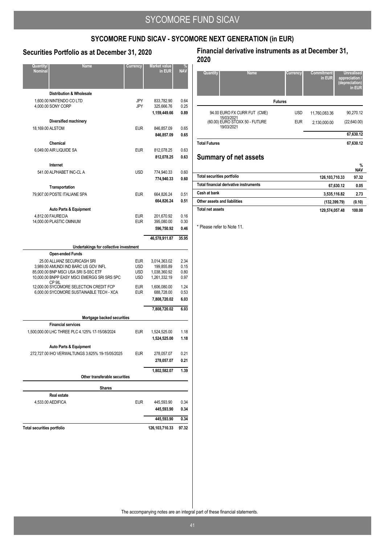### **Securities Portfolio as at December 31, 2020**

| Quantity/<br><b>Nominal</b>       | <b>Name</b>                                                                                                                                                 | Currency                                      | Market value<br>in EUR                                     | NA۱                          |
|-----------------------------------|-------------------------------------------------------------------------------------------------------------------------------------------------------------|-----------------------------------------------|------------------------------------------------------------|------------------------------|
|                                   | <b>Distribution &amp; Wholesale</b>                                                                                                                         |                                               |                                                            |                              |
|                                   | 1.600.00 NINTENDO CO LTD<br>4,000.00 SONY CORP                                                                                                              | JPY<br>JPY                                    | 833,782.90<br>325,666.76<br>1,159,449.66                   | 0.64<br>0.25<br>0.89         |
|                                   |                                                                                                                                                             |                                               |                                                            |                              |
| 18,169.00 ALSTOM                  | Diversified machinery                                                                                                                                       | <b>EUR</b>                                    | 846,857.09<br>846,857.09                                   | 0.65<br>0.65                 |
|                                   | Chemical                                                                                                                                                    |                                               |                                                            |                              |
|                                   | 6,049.00 AIR LIQUIDE SA                                                                                                                                     | <b>EUR</b>                                    | 812,078.25<br>812,078.25                                   | 0.63<br>0.63                 |
|                                   | Internet                                                                                                                                                    |                                               |                                                            |                              |
|                                   | 541.00 ALPHABET INC-CL A                                                                                                                                    | <b>USD</b>                                    | 774,940.33<br>774,940.33                                   | 0.60<br>0.60                 |
|                                   | Transportation                                                                                                                                              |                                               |                                                            |                              |
|                                   | 79,907.00 POSTE ITALIANE SPA                                                                                                                                | <b>EUR</b>                                    | 664,826.24<br>664.826.24                                   | 0.51<br>0.51                 |
|                                   | <b>Auto Parts &amp; Equipment</b>                                                                                                                           |                                               |                                                            |                              |
|                                   | 4,812.00 FAURECIA<br>14,000.00 PLASTIC OMNIUM                                                                                                               | <b>EUR</b><br><b>EUR</b>                      | 201,670.92<br>395,080.00<br>596,750.92                     | 0.16<br>0.30<br>0.46         |
|                                   |                                                                                                                                                             |                                               |                                                            |                              |
|                                   |                                                                                                                                                             |                                               | 46,578,911.87                                              | 35.95                        |
|                                   | Undertakings for collective investment                                                                                                                      |                                               |                                                            |                              |
|                                   | <b>Open-ended Funds</b>                                                                                                                                     |                                               |                                                            |                              |
|                                   | 25.00 ALLIANZ SECURICASH SRI<br>3,989.00 AMUNDI IND BARC US GOV INFL<br>85,000.00 BNP MSCI USA SRI S-S5C ETF<br>10,000.00 BNPP EASY MSCI EMERGG SRI SRS 5PC | EUR<br><b>USD</b><br><b>USD</b><br><b>USD</b> | 3,014,363.02<br>199,855.89<br>1,038,360.92<br>1,261,332.19 | 2.34<br>0.15<br>0.80<br>0.97 |
|                                   | CP 9IL<br>12,000.00 SYCOMORE SELECTION CREDIT FCP<br>6,000.00 SYCOMORE SUSTAINABLE TECH - XCA                                                               | <b>EUR</b><br><b>EUR</b>                      | 1,606,080.00<br>688,728.00<br>7,808,720.02                 | 1.24<br>0.53<br>6.03         |
|                                   |                                                                                                                                                             |                                               | 7,808,720.02                                               | 6.03                         |
|                                   |                                                                                                                                                             |                                               |                                                            |                              |
|                                   | Mortgage backed securities<br><b>Financial services</b>                                                                                                     |                                               |                                                            |                              |
|                                   | 1,500,000.00 LHC THREE PLC 4.125% 17-15/08/2024                                                                                                             | <b>EUR</b>                                    | 1,524,525.00<br>1,524,525.00                               | 1.18<br>1.18                 |
|                                   | <b>Auto Parts &amp; Equipment</b>                                                                                                                           |                                               |                                                            |                              |
|                                   | 272,727.00 IHO VERWALTUNGS 3.625% 19-15/05/2025                                                                                                             | EUR                                           | 278,057.07                                                 | 0.21                         |
|                                   |                                                                                                                                                             |                                               | 278,057.07                                                 | 0.21                         |
|                                   |                                                                                                                                                             |                                               | 1,802,582.07                                               | 1.39                         |
|                                   | Other transferable securities                                                                                                                               |                                               |                                                            |                              |
|                                   | <b>Shares</b>                                                                                                                                               |                                               |                                                            |                              |
|                                   | Real estate                                                                                                                                                 |                                               |                                                            |                              |
|                                   | 4,533.00 AEDIFICA                                                                                                                                           | <b>EUR</b>                                    | 445,593.90                                                 | 0.34                         |
|                                   |                                                                                                                                                             |                                               | 445,593.90                                                 | 0.34                         |
|                                   |                                                                                                                                                             |                                               | 445,593.90                                                 | 0.34                         |
| <b>Total securities portfolio</b> |                                                                                                                                                             |                                               | 126,103,710.33                                             | 97.32                        |

### **Financial derivative instruments as at December 31, 2020**

| Quantity<br><b>Name</b>                      | Currency       | <b>Commitment</b><br>in EUR | <b>Unrealised</b><br>appreciation /<br>(depreciation)<br>in EUR |
|----------------------------------------------|----------------|-----------------------------|-----------------------------------------------------------------|
|                                              | <b>Futures</b> |                             |                                                                 |
| 94.00 EURO FX CURR FUT (CME)<br>15/03/2021   | <b>USD</b>     | 11,760,083.36               | 90,270.12                                                       |
| (60.00) EURO STOXX 50 - FUTURE<br>19/03/2021 | <b>EUR</b>     | 2,130,000.00                | (22,640.00)                                                     |
|                                              |                |                             | 67,630.12                                                       |
| <b>Total Futures</b>                         |                |                             | 67.630.12                                                       |

## **Summary of net assets**

|                                        |                | 70<br><b>NAV</b> |
|----------------------------------------|----------------|------------------|
| Total securities portfolio             | 126,103,710.33 | 97.32            |
| Total financial derivative instruments | 67.630.12      | 0.05             |
| Cash at bank                           | 3.535.116.82   | 2.73             |
| Other assets and liabilities           | (132, 399.79)  | (0.10)           |
| Total net assets                       | 129.574.057.48 | 100.00           |

**%**

\* Please refer to Note 11.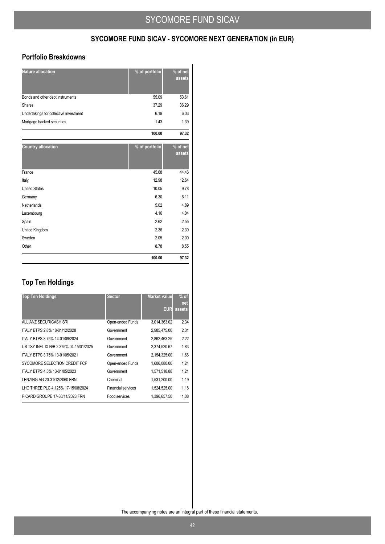### **Portfolio Breakdowns**

| <b>Nature allocation</b>               | % of portfolio | % of net<br>assets |
|----------------------------------------|----------------|--------------------|
| Bonds and other debt instruments       | 55.09          | 53.61              |
| Shares                                 | 37.29          | 36.29              |
| Undertakings for collective investment | 6.19           | 6.03               |
| Mortgage backed securities             | 1.43           | 1.39               |
|                                        | 100.00         | 97.32              |
| <b>Country allocation</b>              | % of portfolio | % of net<br>assets |
| France                                 | 45.68          | 44.46              |
| Italy                                  | 12.98          | 12.64              |
| <b>United States</b>                   | 10.05          | 9.78               |
| Germany                                | 6.30           | 6.11               |
| Netherlands                            | 5.02           | 4.89               |
| Luxembourg                             | 4.16           | 4.04               |
| Spain                                  | 2.62           | 2.55               |
| United Kingdom                         | 2.36           | 2.30               |
| Sweden                                 | 2.05           | 2.00               |
| Other                                  | 8.78           | 8.55               |
|                                        | 100.00         | 97.32              |

## **Top Ten Holdings**

| <b>Top Ten Holdings</b>                 | <b>Sector</b>             | <b>Market value</b> | $%$ of |
|-----------------------------------------|---------------------------|---------------------|--------|
|                                         |                           |                     | net    |
|                                         |                           | <b>EUR</b>          | assets |
| ALLIANZ SECURICASH SRI                  | Open-ended Funds          | 3,014,363.02        | 2.34   |
| ITALY BTPS 2.8% 18-01/12/2028           | Government                | 2,985,475.00        | 2.31   |
| ITALY BTPS 3.75% 14-01/09/2024          | Government                | 2,862,463.25        | 2.22   |
| US TSY INFL IX N/B 2.375% 04-15/01/2025 | Government                | 2,374,520.67        | 1.83   |
| ITALY BTPS 3.75% 13-01/05/2021          | Government                | 2,154,325.00        | 1.66   |
| SYCOMORE SELECTION CREDIT FCP           | Open-ended Funds          | 1,606,080.00        | 1.24   |
| ITALY BTPS 4.5% 13-01/05/2023           | Government                | 1,571,518.88        | 1.21   |
| LENZING AG 20-31/12/2060 FRN            | Chemical                  | 1,531,200.00        | 1.19   |
| LHC THREE PLC 4.125% 17-15/08/2024      | <b>Financial services</b> | 1.524.525.00        | 1.18   |
| PICARD GROUPE 17-30/11/2023 FRN         | Food services             | 1.396.657.50        | 1.08   |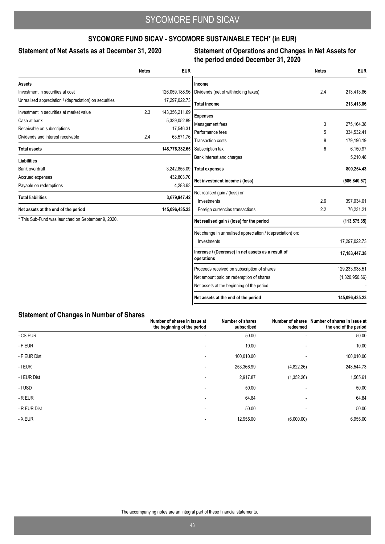### **SYCOMORE FUND SICAV - SYCOMORE SUSTAINABLE TECH\* (in EUR)**

### Statement of Net Assets as at December 31, 2020

### **Statement of Operations and Changes in Net Assets for the period ended December 31, 2020**

|                                                        | <b>Notes</b> | <b>EUR</b>     |                                                                  | <b>Notes</b> | <b>EUR</b>     |
|--------------------------------------------------------|--------------|----------------|------------------------------------------------------------------|--------------|----------------|
| <b>Assets</b>                                          |              |                | Income                                                           |              |                |
| Investment in securities at cost                       |              | 126,059,188.96 | Dividends (net of withholding taxes)                             | 2.4          | 213,413.86     |
| Unrealised appreciation / (depreciation) on securities |              | 17,297,022.73  | <b>Total income</b>                                              |              | 213,413.86     |
| Investment in securities at market value               | 2.3          | 143,356,211.69 | <b>Expenses</b>                                                  |              |                |
| Cash at bank                                           |              | 5,339,052.89   | Management fees                                                  | 3            | 275,164.38     |
| Receivable on subscriptions                            |              | 17,546.31      | Performance fees                                                 | 5            | 334,532.41     |
| Dividends and interest receivable                      | 2.4          | 63,571.76      | Transaction costs                                                | 8            | 179,196.19     |
| <b>Total assets</b>                                    |              | 148,776,382.65 | Subscription tax                                                 | 6            | 6,150.97       |
| <b>Liabilities</b>                                     |              |                | Bank interest and charges                                        |              | 5,210.48       |
| Bank overdraft                                         |              | 3,242,855.09   | <b>Total expenses</b>                                            |              | 800,254.43     |
| Accrued expenses                                       |              | 432,803.70     | Net investment income / (loss)                                   |              | (586, 840.57)  |
| Payable on redemptions                                 |              | 4,288.63       |                                                                  |              |                |
| <b>Total liabilities</b>                               |              | 3,679,947.42   | Net realised gain / (loss) on:<br>Investments                    | 2.6          | 397,034.01     |
| Net assets at the end of the period                    |              | 145,096,435.23 | Foreign currencies transactions                                  | 2.2          | 76,231.21      |
| * This Sub-Fund was launched on September 9, 2020.     |              |                | Net realised gain / (loss) for the period                        |              | (113, 575.35)  |
|                                                        |              |                | Net change in unrealised appreciation / (depreciation) on:       |              |                |
|                                                        |              |                | Investments                                                      |              | 17,297,022.73  |
|                                                        |              |                | Increase / (Decrease) in net assets as a result of<br>operations |              | 17,183,447.38  |
|                                                        |              |                | Proceeds received on subscription of shares                      |              | 129,233,938.51 |
|                                                        |              |                | Net amount paid on redemption of shares                          |              | (1,320,950.66) |
|                                                        |              |                | Net assets at the beginning of the period                        |              |                |
|                                                        |              |                | Net assets at the end of the period                              |              | 145,096,435.23 |

### **Statement of Changes in Number of Shares**

|              | Number of shares in issue at<br>the beginning of the period | Number of shares<br>subscribed | Number of shares<br>redeemed | Number of shares in issue at<br>the end of the period |
|--------------|-------------------------------------------------------------|--------------------------------|------------------------------|-------------------------------------------------------|
| - CS EUR     | $\overline{\phantom{a}}$                                    | 50.00                          |                              | 50.00                                                 |
| - F EUR      | $\overline{\phantom{a}}$                                    | 10.00                          |                              | 10.00                                                 |
| - F EUR Dist | $\overline{\phantom{a}}$                                    | 100.010.00                     |                              | 100,010.00                                            |
| - I EUR      | $\overline{\phantom{a}}$                                    | 253,366.99                     | (4,822.26)                   | 248,544.73                                            |
| - I EUR Dist | $\overline{\phantom{a}}$                                    | 2,917.87                       | (1,352.26)                   | 1,565.61                                              |
| - I USD      |                                                             | 50.00                          |                              | 50.00                                                 |
| - R EUR      |                                                             | 64.84                          |                              | 64.84                                                 |
| - R EUR Dist | $\overline{\phantom{a}}$                                    | 50.00                          | $\overline{\phantom{a}}$     | 50.00                                                 |
| - X EUR      | $\overline{\phantom{a}}$                                    | 12,955.00                      | (6,000.00)                   | 6,955.00                                              |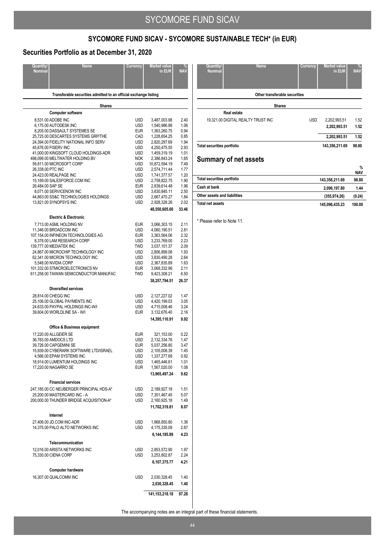### **SYCOMORE FUND SICAV - SYCOMORE SUSTAINABLE TECH\* (in EUR)**

### **Securities Portfolio as at December 31, 2020**

| Quantity/         | <b>Name</b>                                                          | Currency                 | <b>Market value</b>           |              |
|-------------------|----------------------------------------------------------------------|--------------------------|-------------------------------|--------------|
| <b>Nominal</b>    |                                                                      |                          | in EUR                        | <b>NAV</b>   |
|                   |                                                                      |                          |                               |              |
|                   | Transferable securities admitted to an official exchange listing     |                          |                               |              |
|                   | <b>Shares</b>                                                        |                          |                               |              |
|                   | <b>Computer software</b>                                             |                          |                               |              |
|                   | 8,531.00 ADOBE INC                                                   | <b>USD</b>               | 3,487,003.98                  | 2.40         |
|                   | 6,175.00 AUTODESK INC                                                | <b>USD</b>               | 1,540,986.88                  | 1.06         |
|                   | 8,205.00 DASSAULT SYSTEMES SE<br>25,725.00 DESCARTES SYSTEMS GRP/THE | <b>EUR</b><br>CAD        | 1,363,260.75<br>1,228,654.25  | 0.94<br>0.85 |
|                   | 24,394.00 FIDELITY NATIONAL INFO SERV                                | <b>USD</b>               | 2,820,297.69                  | 1.94         |
|                   | 45,676.00 FISERV INC                                                 | <b>USD</b>               | 4,250,475.55                  | 2.93         |
|                   | 41,000.00 KINGSOFT CLOUD HOLDINGS-ADR                                | <b>USD</b>               | 1,459,319.19                  | 1.01         |
|                   | 498,099.00 MELTWATER HOLDING BV                                      | <b>NOK</b>               | 2,386,843.24                  | 1.65         |
| 26,338.00 PTC INC | 59,811.00 MICROSOFT CORP                                             | <b>USD</b><br><b>USD</b> | 10,872,594.19<br>2,574,711.44 | 7.49<br>1.77 |
|                   | 24,423.00 REALPAGE INC                                               | <b>USD</b>               | 1,741,377.57                  | 1.20         |
|                   | 15,169.00 SALESFORCE.COM INC                                         | <b>USD</b>               | 2,758,822.75                  | 1.90         |
| 26,484.00 SAP SE  |                                                                      | <b>EUR</b>               | 2,839,614.48                  | 1.96         |
|                   | 8,071.00 SERVICENOW INC                                              | <b>USD</b>               | 3,630,845.11                  | 2.50         |
|                   | 44,863.00 SS&C TECHNOLOGIES HOLDINGS<br>13,821.00 SYNOPSYS INC       | <b>USD</b><br><b>USD</b> | 2,667,470.27<br>2,928,328.26  | 1.84<br>2.02 |
|                   |                                                                      |                          | 48,550,605.60                 | 33.46        |
|                   |                                                                      |                          |                               |              |
|                   | <b>Electric &amp; Electronic</b>                                     |                          |                               |              |
|                   | 7,713.00 ASML HOLDING NV                                             | <b>EUR</b>               | 3,066,303.15                  | 2.11         |
|                   | 11,346.00 BROADCOM INC<br>107,154.00 INFINEON TECHNOLOGIES AG        | <b>USD</b><br><b>EUR</b> | 4,060,190.51<br>3,363,564.06  | 2.81<br>2.32 |
|                   | 8,378.00 LAM RESEARCH CORP                                           | <b>USD</b>               | 3,233,769.00                  | 2.23         |
|                   | 139,777.00 MEDIATEK INC                                              | TWD                      | 3,037,101.37                  | 2.09         |
|                   | 24,867.00 MICROCHIP TECHNOLOGY INC                                   | <b>USD</b>               | 2,806,899.08                  | 1.93         |
|                   | 62,341.00 MICRON TECHNOLOGY INC                                      | <b>USD</b>               | 3,830,490.28                  | 2.64         |
|                   | 5,548.00 NVIDIA CORP<br>101,332.00 STMICROELECTRONICS NV             | <b>USD</b><br><b>EUR</b> | 2,367,835.89<br>3,068,332.96  | 1.63<br>2.11 |
|                   | 611,258.00 TAIWAN SEMICONDUCTOR MANUFAC                              | twd                      | 9,423,308.21                  | 6.50         |
|                   |                                                                      |                          | 38,257,794.51                 | 26.37        |
|                   | <b>Diversified services</b>                                          |                          |                               |              |
|                   | 28,814.00 CHEGG INC                                                  | <b>USD</b>               | 2,127,227.02                  | 1.47         |
|                   | 25,106.00 GLOBAL PAYMENTS INC                                        | <b>USD</b>               | 4,420,199.03                  | 3.05         |
|                   | 24,633.00 PAYPAL HOLDINGS INC-W/I                                    | <b>USD</b>               | 4,715,008.46                  | 3.24         |
|                   | 39,604.00 WORLDLINE SA - W/I                                         | <b>EUR</b>               | 3,132,676.40                  | 2.16         |
|                   |                                                                      |                          | 14,395,110.91                 | 9.92         |
|                   | Office & Business equipment                                          |                          |                               |              |
|                   | 17,220.00 ALLGEIER SE                                                | <b>EUR</b>               | 321,153.00                    | 0.22         |
|                   | 36,783.00 AMDOCS LTD                                                 | <b>USD</b>               | 2,132,334.76                  | 1.47         |
|                   | 39,726.00 CAPGEMINI SE                                               | <b>EUR</b>               | 5,037,256.80                  | 3.47         |
|                   | 15,939.00 CYBERARK SOFTWARE LTD/ISRAEL<br>4,566.00 EPAM SYSTEMS INC  | <b>USD</b><br><b>USD</b> | 2,105,008.39<br>1,337,277.68  | 1.45<br>0.92 |
|                   | 18,914.00 LUMENTUM HOLDINGS INC                                      | <b>USD</b>               | 1,465,446.61                  | 1.01         |
|                   | 17,220.00 NAGARRO SE                                                 | <b>EUR</b>               | 1,567,020.00                  | 1.08         |
|                   |                                                                      |                          | 13,965,497.24                 | 9.62         |
|                   | <b>Financial services</b>                                            |                          |                               |              |
|                   | 247,185.00 CC NEUBERGER PRINCIPAL HDS-A*                             | <b>USD</b>               | 2,189,927.18                  | 1.51         |
|                   | 25,200.00 MASTERCARD INC - A                                         | USD                      | 7,351,467.45                  | 5.07         |
|                   | 200,000.00 THUNDER BRIDGE ACQUISITION-A*                             | USD                      | 2,160,925.18                  | 1.49         |
|                   |                                                                      |                          | 11,702,319.81                 | 8.07         |
|                   | Internet                                                             |                          |                               |              |
|                   | 27,406.00 JD.COM INC-ADR                                             | <b>USD</b>               | 1,968,850.80                  | 1.36         |
|                   | 14,375.00 PALO ALTO NETWORKS INC                                     | <b>USD</b>               | 4,175,335.09                  | 2.87         |
|                   |                                                                      |                          | 6,144,185.89                  | 4.23         |
|                   | Telecommunication                                                    |                          |                               |              |
|                   | 12,016.00 ARISTA NETWORKS INC                                        | <b>USD</b>               | 2,853,572.90                  | 1.97         |
|                   | 75,330.00 CIENA CORP                                                 | USD                      | 3,253,802.87                  | 2.24         |
|                   |                                                                      |                          | 6,107,375.77                  | 4.21         |
|                   | <b>Computer hardware</b>                                             |                          |                               |              |
|                   | 16,307.00 QUALCOMM INC                                               | <b>USD</b>               | 2,030,328.45                  | 1.40         |
|                   |                                                                      |                          | 2,030,328.45                  | 1.40         |
|                   |                                                                      |                          |                               | 97.28        |
|                   |                                                                      |                          | 141, 153, 218. 18             |              |

| Quantity/                         | <b>Name</b>                        | Currency   | <b>Market value</b> | %          |
|-----------------------------------|------------------------------------|------------|---------------------|------------|
| <b>Nominal</b>                    |                                    |            | in EUR              | <b>NAV</b> |
|                                   |                                    |            |                     |            |
|                                   |                                    |            |                     |            |
|                                   |                                    |            |                     |            |
|                                   | Other transferable securities      |            |                     |            |
|                                   | <b>Shares</b>                      |            |                     |            |
|                                   |                                    |            |                     |            |
|                                   | Real estate                        |            |                     |            |
|                                   | 19,321.00 DIGITAL REALTY TRUST INC | <b>USD</b> | 2,202,993.51        | 1.52       |
|                                   |                                    |            | 2,202,993.51        | 1.52       |
|                                   |                                    |            | 2,202,993.51        | 1.52       |
| <b>Total securities portfolio</b> |                                    |            | 143,356,211.69      | 98.80      |
|                                   |                                    |            |                     |            |
|                                   | <b>Summary of net assets</b>       |            |                     |            |

|                              |                | $\%$<br><b>NAV</b> |
|------------------------------|----------------|--------------------|
| Total securities portfolio   | 143.356.211.69 | 98.80              |
| Cash at bank                 | 2.096.197.80   | 1.44               |
| Other assets and liabilities | (355, 974.26)  | (0.24)             |
| <b>Total net assets</b>      | 145,096,435.23 | 100.00             |

\* Please refer to Note 11.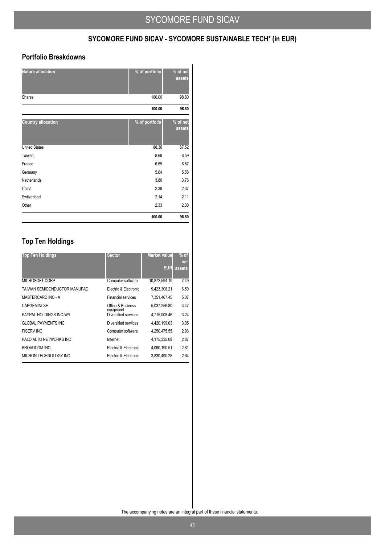## **SYCOMORE FUND SICAV - SYCOMORE SUSTAINABLE TECH\* (in EUR)**

### **Portfolio Breakdowns**

| <b>Nature allocation</b>  | % of portfolio | % of net<br>assets |
|---------------------------|----------------|--------------------|
| <b>Shares</b>             | 100.00         | 98.80              |
|                           | 100.00         | 98.80              |
| <b>Country allocation</b> | % of portfolio | % of net<br>assets |
| <b>United States</b>      | 68.36          | 67.52              |
| Taiwan                    | 8.69           | 8.59               |
| France                    | 6.65           | 6.57               |
| Germany                   | 5.64           | 5.58               |
| Netherlands               | 3.80           | 3.76               |
| China                     | 2.39           | 2.37               |
| Switzerland               | 2.14           | 2.11               |
| Other                     | 2.33           | 2.30               |
|                           | 100.00         | 98.80              |

## **Top Ten Holdings**

| <b>Top Ten Holdings</b>      | <b>Sector</b>                  | <b>Market value</b> | $%$ of |
|------------------------------|--------------------------------|---------------------|--------|
|                              |                                |                     | net    |
|                              |                                | <b>EUR</b>          | assets |
| MICROSOFT CORP               | Computer software              | 10,872,594.19       | 7.49   |
| TAIWAN SEMICONDUCTOR MANUFAC | Electric & Electronic          | 9,423,308.21        | 6.50   |
| MASTERCARD INC - A           | <b>Financial services</b>      | 7,351,467.45        | 5.07   |
| <b>CAPGEMINI SE</b>          | Office & Business<br>equipment | 5.037.256.80        | 3.47   |
| PAYPAL HOLDINGS INC-W/I      | Diversified services           | 4.715.008.46        | 3.24   |
| <b>GLOBAL PAYMENTS INC</b>   | Diversified services           | 4.420.199.03        | 3.05   |
| <b>FISERV INC</b>            | Computer software              | 4,250,475.55        | 2.93   |
| PALO ALTO NETWORKS INC       | Internet                       | 4.175.335.09        | 2.87   |
| BROADCOM INC                 | Electric & Electronic          | 4.060.190.51        | 2.81   |
| MICRON TECHNOLOGY INC        | Electric & Electronic          | 3,830,490.28        | 2.64   |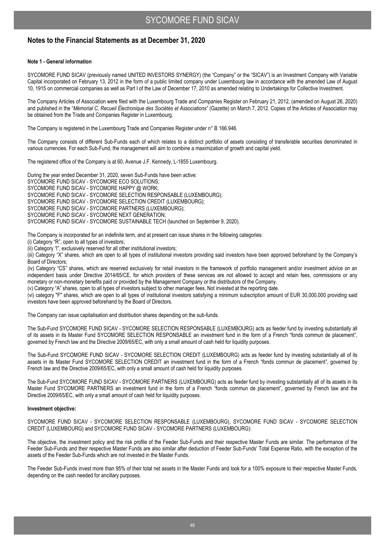### **Notes to the Financial Statements as at December 31, 2020**

### **Note 1 - General information**

SYCOMORE FUND SICAV (previously named UNITED INVESTORS SYNERGY) (the "Company" or the "SICAV") is an Investment Company with Variable Capital incorporated on February 13, 2012 in the form of a public limited company under Luxembourg law in accordance with the amended Law of August 10, 1915 on commercial companies as well as Part I of the Law of December 17, 2010 as amended relating to Undertakings for Collective Investment.

The Company Articles of Association were filed with the Luxembourg Trade and Companies Register on February 21, 2012, (amended on August 26, 2020) and published in the "*Mémorial C, Recueil Électronique des Sociétés et Associations*" (Gazette) on March 7, 2012. Copies of the Articles of Association may be obtained from the Trade and Companies Register in Luxembourg.

The Company is registered in the Luxembourg Trade and Companies Register under n° B 166.946.

The Company consists of different Sub-Funds each of which relates to a distinct portfolio of assets consisting of transferable securities denominated in various currencies. For each Sub-Fund, the management will aim to combine a maximization of growth and capital yield.

The registered office of the Company is at 60, Avenue J.F. Kennedy, L-1855 Luxembourg.

During the year ended December 31, 2020, seven Sub-Funds have been active: SYCOMORE FUND SICAV - SYCOMORE ECO SOLUTIONS; SYCOMORE FUND SICAV - SYCOMORE HAPPY @ WORK; SYCOMORE FUND SICAV - SYCOMORE SELECTION RESPONSABLE (LUXEMBOURG); SYCOMORE FUND SICAV - SYCOMORE SELECTION CREDIT (LUXEMBOURG); SYCOMORE FUND SICAV - SYCOMORE PARTNERS (LUXEMBOURG); SYCOMORE FUND SICAV - SYCOMORE NEXT GENERATION; SYCOMORE FUND SICAV - SYCOMORE SUSTAINABLE TECH (launched on September 9, 2020).

The Company is incorporated for an indefinite term, and at present can issue shares in the following categories:

(i) Category "R", open to all types of investors;

(ii) Category "l", exclusively reserved for all other institutional investors;

(iii) Category "X" shares, which are open to all types of institutional investors providing said investors have been approved beforehand by the Company's Board of Directors;

(iv) Category "CS" shares, which are reserved exclusively for retail investors in the framework of portfolio management and/or investment advice on an independent basis under Directive 2014/65/CE, for which providers of these services are not allowed to accept and retain fees, commissions or any monetary or non-monetary benefits paid or provided by the Management Company or the distributors of the Company.

(v) Category "A" shares, open to all types of investors subject to other manager fees. Not invested at the reporting date.

(vi) category "F" shares, which are open to all types of institutional investors satisfying a minimum subscription amount of EUR 30,000,000 providing said investors have been approved beforehand by the Board of Directors.

The Company can issue capitalisation and distribution shares depending on the sub-funds.

The Sub-Fund SYCOMORE FUND SICAV - SYCOMORE SELECTION RESPONSABLE (LUXEMBOURG) acts as feeder fund by investing substantially all of its assets in its Master Fund SYCOMORE SELECTION RESPONSABLE an investment fund in the form of a French "fonds commun de placement", governed by French law and the Directive 2009/65/EC, with only a small amount of cash held for liquidity purposes.

The Sub-Fund SYCOMORE FUND SICAV - SYCOMORE SELECTION CREDIT (LUXEMBOURG) acts as feeder fund by investing substantially all of its assets in its Master Fund SYCOMORE SELECTION CREDIT an investment fund in the form of a French "fonds commun de placement", governed by French law and the Directive 2009/65/EC, with only a small amount of cash held for liquidity purposes.

The Sub-Fund SYCOMORE FUND SICAV - SYCOMORE PARTNERS (LUXEMBOURG) acts as feeder fund by investing substantially all of its assets in its Master Fund SYCOMORE PARTNERS an investment fund in the form of a French "fonds commun de placement", governed by French law and the Directive 2009/65/EC, with only a small amount of cash held for liquidity purposes.

### **Investment objective:**

SYCOMORE FUND SICAV - SYCOMORE SELECTION RESPONSABLE (LUXEMBOURG), SYCOMORE FUND SICAV - SYCOMORE SELECTION CREDIT (LUXEMBOURG) and SYCOMORE FUND SICAV - SYCOMORE PARTNERS (LUXEMBOURG):

The objective, the investment policy and the risk profile of the Feeder Sub-Funds and their respective Master Funds are similar. The performance of the Feeder Sub-Funds and their respective Master Funds are also similar after deduction of Feeder Sub-Funds' Total Expense Ratio, with the exception of the assets of the Feeder Sub-Funds which are not invested in the Master Funds.

The Feeder Sub-Funds invest more than 95% of their total net assets in the Master Funds and look for a 100% exposure to their respective Master Funds, depending on the cash needed for ancillary purposes.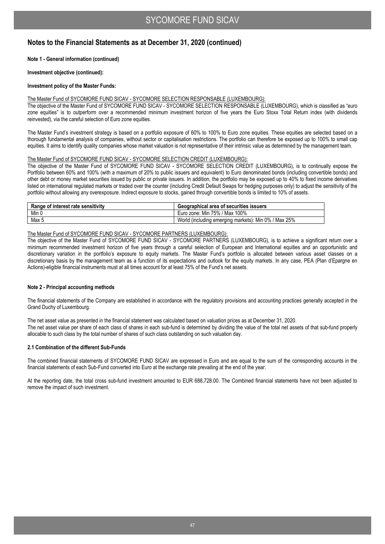### **Note 1 - General information (continued)**

**Investment objective (continued):** 

### **Investment policy of the Master Funds:**

### The Master Fund of SYCOMORE FUND SICAV - SYCOMORE SELECTION RESPONSABLE (LUXEMBOURG):

The objective of the Master Fund of SYCOMORE FUND SICAV - SYCOMORE SELECTION RESPONSABLE (LUXEMBOURG), which is classified as "euro zone equities" is to outperform over a recommended minimum investment horizon of five years the Euro Stoxx Total Return index (with dividends reinvested), via the careful selection of Euro zone equities.

The Master Fund's investment strategy is based on a portfolio exposure of 60% to 100% to Euro zone equities. These equities are selected based on a thorough fundamental analysis of companies, without sector or capitalisation restrictions. The portfolio can therefore be exposed up to 100% to small cap equities. It aims to identify quality companies whose market valuation is not representative of their intrinsic value as determined by the management team.

### The Master Fund of SYCOMORE FUND SICAV - SYCOMORE SELECTION CREDIT (LUXEMBOURG):

The objective of the Master Fund of SYCOMORE FUND SICAV - SYCOMORE SELECTION CREDIT (LUXEMBOURG), is to continually expose the Portfolio between 60% and 100% (with a maximum of 20% to public issuers and equivalent) to Euro denominated bonds (including convertible bonds) and other debt or money market securities issued by public or private issuers. In addition, the portfolio may be exposed up to 40% to fixed income derivatives listed on international regulated markets or traded over the counter (including Credit Default Swaps for hedging purposes only) to adjust the sensitivity of the portfolio without allowing any overexposure. Indirect exposure to stocks, gained through convertible bonds is limited to 10% of assets.

| Range of interest rate sensitivity | Geographical area of securities issuers              |  |  |
|------------------------------------|------------------------------------------------------|--|--|
| Min 0                              | Euro zone: Min 75% / Max 100%                        |  |  |
| Max 5                              | World (including emerging markets): Min 0% / Max 25% |  |  |

### The Master Fund of SYCOMORE FUND SICAV - SYCOMORE PARTNERS (LUXEMBOURG):

The objective of the Master Fund of SYCOMORE FUND SICAV - SYCOMORE PARTNERS (LUXEMBOURG), is to achieve a significant return over a minimum recommended investment horizon of five years through a careful selection of European and International equities and an opportunistic and discretionary variation in the portfolio's exposure to equity markets. The Master Fund's portfolio is allocated between various asset classes on a discretionary basis by the management team as a function of its expectations and outlook for the equity markets. In any case, PEA (Plan d'Epargne en Actions)-eligible financial instruments must at all times account for at least 75% of the Fund's net assets.

### **Note 2 - Principal accounting methods**

The financial statements of the Company are established in accordance with the regulatory provisions and accounting practices generally accepted in the Grand Duchy of Luxembourg.

The net asset value as presented in the financial statement was calculated based on valuation prices as at December 31, 2020. The net asset value per share of each class of shares in each sub-fund is determined by dividing the value of the total net assets of that sub-fund properly allocable to such class by the total number of shares of such class outstanding on such valuation day.

### **2.1 Combination of the different Sub-Funds**

The combined financial statements of SYCOMORE FUND SICAV are expressed in Euro and are equal to the sum of the corresponding accounts in the financial statements of each Sub-Fund converted into Euro at the exchange rate prevailing at the end of the year.

At the reporting date, the total cross sub-fund investment amounted to EUR 688,728.00. The Combined financial statements have not been adjusted to remove the impact of such investment.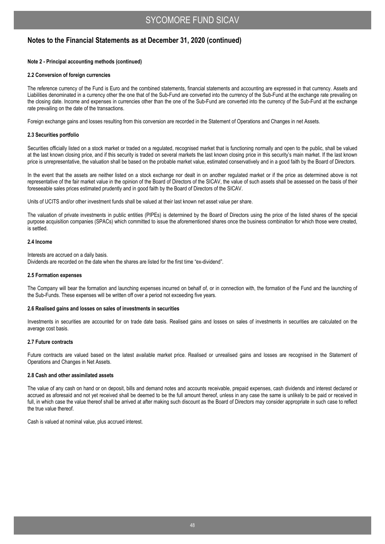### **Note 2 - Principal accounting methods (continued)**

### **2.2 Conversion of foreign currencies**

The reference currency of the Fund is Euro and the combined statements, financial statements and accounting are expressed in that currency. Assets and Liabilities denominated in a currency other the one that of the Sub-Fund are converted into the currency of the Sub-Fund at the exchange rate prevailing on the closing date. Income and expenses in currencies other than the one of the Sub-Fund are converted into the currency of the Sub-Fund at the exchange rate prevailing on the date of the transactions.

Foreign exchange gains and losses resulting from this conversion are recorded in the Statement of Operations and Changes in net Assets.

### **2.3 Securities portfolio**

Securities officially listed on a stock market or traded on a regulated, recognised market that is functioning normally and open to the public, shall be valued at the last known closing price, and if this security is traded on several markets the last known closing price in this security's main market. If the last known price is unrepresentative, the valuation shall be based on the probable market value, estimated conservatively and in a good faith by the Board of Directors.

In the event that the assets are neither listed on a stock exchange nor dealt in on another regulated market or if the price as determined above is not representative of the fair market value in the opinion of the Board of Directors of the SICAV, the value of such assets shall be assessed on the basis of their foreseeable sales prices estimated prudently and in good faith by the Board of Directors of the SICAV.

Units of UCITS and/or other investment funds shall be valued at their last known net asset value per share.

The valuation of private investments in public entities (PIPEs) is determined by the Board of Directors using the price of the listed shares of the special purpose acquisition companies (SPACs) which committed to issue the aforementioned shares once the business combination for which those were created, is settled.

### **2.4 Income**

Interests are accrued on a daily basis. Dividends are recorded on the date when the shares are listed for the first time "ex-dividend".

### **2.5 Formation expenses**

The Company will bear the formation and launching expenses incurred on behalf of, or in connection with, the formation of the Fund and the launching of the Sub-Funds. These expenses will be written off over a period not exceeding five years.

### **2.6 Realised gains and losses on sales of investments in securities**

Investments in securities are accounted for on trade date basis. Realised gains and losses on sales of investments in securities are calculated on the average cost basis.

### **2.7 Future contracts**

Future contracts are valued based on the latest available market price. Realised or unrealised gains and losses are recognised in the Statement of Operations and Changes in Net Assets.

### **2.8 Cash and other assimilated assets**

The value of any cash on hand or on deposit, bills and demand notes and accounts receivable, prepaid expenses, cash dividends and interest declared or accrued as aforesaid and not yet received shall be deemed to be the full amount thereof, unless in any case the same is unlikely to be paid or received in full, in which case the value thereof shall be arrived at after making such discount as the Board of Directors may consider appropriate in such case to reflect the true value thereof.

Cash is valued at nominal value, plus accrued interest.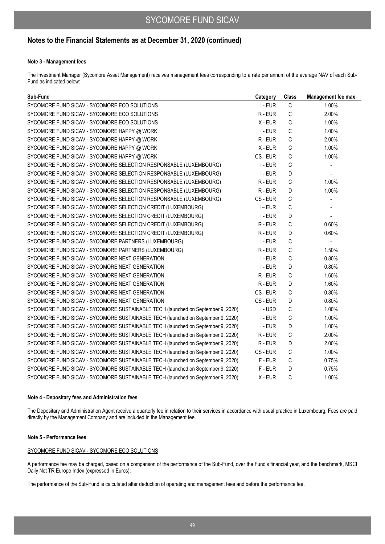### **Note 3 - Management fees**

The Investment Manager (Sycomore Asset Management) receives management fees corresponding to a rate per annum of the average NAV of each Sub-Fund as indicated below:

| Sub-Fund                                                                        | Category  | <b>Class</b> | Management fee max       |
|---------------------------------------------------------------------------------|-----------|--------------|--------------------------|
| SYCOMORE FUND SICAV - SYCOMORE ECO SOLUTIONS                                    | I-EUR     | C            | 1.00%                    |
| SYCOMORE FUND SICAV - SYCOMORE ECO SOLUTIONS                                    | R-EUR     | $\mathsf C$  | 2.00%                    |
| SYCOMORE FUND SICAV - SYCOMORE ECO SOLUTIONS                                    | X - EUR   | $\mathsf C$  | 1.00%                    |
| SYCOMORE FUND SICAV - SYCOMORE HAPPY @ WORK                                     | I-EUR     | $\mathsf C$  | 1.00%                    |
| SYCOMORE FUND SICAV - SYCOMORE HAPPY @ WORK                                     | R-EUR     | C            | 2.00%                    |
| SYCOMORE FUND SICAV - SYCOMORE HAPPY @ WORK                                     | X - EUR   | C            | 1.00%                    |
| SYCOMORE FUND SICAV - SYCOMORE HAPPY @ WORK                                     | CS - EUR  | C            | 1.00%                    |
| SYCOMORE FUND SICAV - SYCOMORE SELECTION RESPONSABLE (LUXEMBOURG)               | I-EUR     | $\mathsf C$  |                          |
| SYCOMORE FUND SICAV - SYCOMORE SELECTION RESPONSABLE (LUXEMBOURG)               | I-EUR     | D            | $\overline{\phantom{a}}$ |
| SYCOMORE FUND SICAV - SYCOMORE SELECTION RESPONSABLE (LUXEMBOURG)               | R-EUR     | C            | 1.00%                    |
| SYCOMORE FUND SICAV - SYCOMORE SELECTION RESPONSABLE (LUXEMBOURG)               | R-EUR     | D            | 1.00%                    |
| SYCOMORE FUND SICAV - SYCOMORE SELECTION RESPONSABLE (LUXEMBOURG)               | CS-EUR    | C            | $\overline{\phantom{a}}$ |
| SYCOMORE FUND SICAV - SYCOMORE SELECTION CREDIT (LUXEMBOURG)                    | $I$ – EUR | $\mathsf C$  |                          |
| SYCOMORE FUND SICAV - SYCOMORE SELECTION CREDIT (LUXEMBOURG)                    | I-EUR     | D            | $\overline{\phantom{a}}$ |
| SYCOMORE FUND SICAV - SYCOMORE SELECTION CREDIT (LUXEMBOURG)                    | R-EUR     | C            | 0.60%                    |
| SYCOMORE FUND SICAV - SYCOMORE SELECTION CREDIT (LUXEMBOURG)                    | R-EUR     | D            | 0.60%                    |
| SYCOMORE FUND SICAV - SYCOMORE PARTNERS (LUXEMBOURG)                            | I-EUR     | C            | $\blacksquare$           |
| SYCOMORE FUND SICAV - SYCOMORE PARTNERS (LUXEMBOURG)                            | $R$ - EUR | $\mathsf{C}$ | 1.50%                    |
| SYCOMORE FUND SICAV - SYCOMORE NEXT GENERATION                                  | I-EUR     | $\mathsf{C}$ | 0.80%                    |
| SYCOMORE FUND SICAV - SYCOMORE NEXT GENERATION                                  | I-EUR     | D            | 0.80%                    |
| SYCOMORE FUND SICAV - SYCOMORE NEXT GENERATION                                  | R-EUR     | C            | 1.60%                    |
| SYCOMORE FUND SICAV - SYCOMORE NEXT GENERATION                                  | R-EUR     | D            | 1.60%                    |
| SYCOMORE FUND SICAV - SYCOMORE NEXT GENERATION                                  | CS-EUR    | C            | 0.80%                    |
| SYCOMORE FUND SICAV - SYCOMORE NEXT GENERATION                                  | CS-EUR    | D            | 0.80%                    |
| SYCOMORE FUND SICAV - SYCOMORE SUSTAINABLE TECH (launched on September 9, 2020) | I-USD     | C            | 1.00%                    |
| SYCOMORE FUND SICAV - SYCOMORE SUSTAINABLE TECH (launched on September 9, 2020) | I-EUR     | $\mathsf C$  | 1.00%                    |
| SYCOMORE FUND SICAV - SYCOMORE SUSTAINABLE TECH (launched on September 9, 2020) | I-EUR     | D            | 1.00%                    |
| SYCOMORE FUND SICAV - SYCOMORE SUSTAINABLE TECH (launched on September 9, 2020) | R-EUR     | C            | 2.00%                    |
| SYCOMORE FUND SICAV - SYCOMORE SUSTAINABLE TECH (launched on September 9, 2020) | R-EUR     | D            | 2.00%                    |
| SYCOMORE FUND SICAV - SYCOMORE SUSTAINABLE TECH (launched on September 9, 2020) | CS-EUR    | C            | 1.00%                    |
| SYCOMORE FUND SICAV - SYCOMORE SUSTAINABLE TECH (launched on September 9, 2020) | F-EUR     | $\mathsf C$  | 0.75%                    |
| SYCOMORE FUND SICAV - SYCOMORE SUSTAINABLE TECH (launched on September 9, 2020) | F-EUR     | D            | 0.75%                    |
| SYCOMORE FUND SICAV - SYCOMORE SUSTAINABLE TECH (launched on September 9, 2020) | X - EUR   | C            | 1.00%                    |

### **Note 4 - Depositary fees and Administration fees**

The Depositary and Administration Agent receive a quarterly fee in relation to their services in accordance with usual practice in Luxembourg. Fees are paid directly by the Management Company and are included in the Management fee.

### **Note 5 - Performance fees**

### SYCOMORE FUND SICAV - SYCOMORE ECO SOLUTIONS

A performance fee may be charged, based on a comparison of the performance of the Sub-Fund, over the Fund's financial year, and the benchmark, MSCI Daily Net TR Europe Index (expressed in Euros).

The performance of the Sub-Fund is calculated after deduction of operating and management fees and before the performance fee.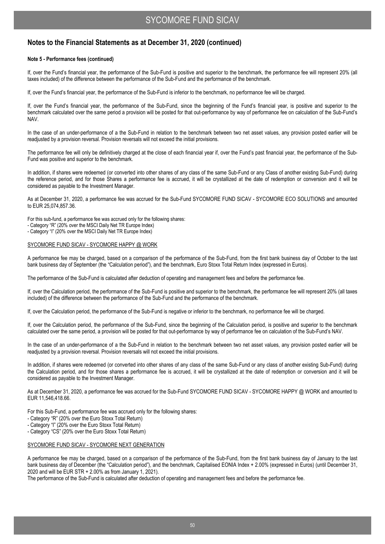### **Notes to the Financial Statements as at December 31, 2020 (continued)**

### **Note 5 - Performance fees (continued)**

If, over the Fund's financial year, the performance of the Sub-Fund is positive and superior to the benchmark, the performance fee will represent 20% (all taxes included) of the difference between the performance of the Sub-Fund and the performance of the benchmark.

If, over the Fund's financial year, the performance of the Sub-Fund is inferior to the benchmark, no performance fee will be charged.

If, over the Fund's financial year, the performance of the Sub-Fund, since the beginning of the Fund's financial year, is positive and superior to the benchmark calculated over the same period a provision will be posted for that out-performance by way of performance fee on calculation of the Sub-Fund's NAV.

In the case of an under-performance of a the Sub-Fund in relation to the benchmark between two net asset values, any provision posted earlier will be readjusted by a provision reversal. Provision reversals will not exceed the initial provisions.

The performance fee will only be definitively charged at the close of each financial year if, over the Fund's past financial year, the performance of the Sub-Fund was positive and superior to the benchmark.

In addition, if shares were redeemed (or converted into other shares of any class of the same Sub-Fund or any Class of another existing Sub-Fund) during the reference period, and for those Shares a performance fee is accrued, it will be crystallized at the date of redemption or conversion and it will be considered as payable to the Investment Manager.

As at December 31, 2020, a performance fee was accrued for the Sub-Fund SYCOMORE FUND SICAV - SYCOMORE ECO SOLUTIONS and amounted to EUR 25,074,857.36.

For this sub-fund, a performance fee was accrued only for the following shares:

- Category "R" (20% over the MSCI Daily Net TR Europe Index)

- Category "I" (20% over the MSCI Daily Net TR Europe Index)

### SYCOMORE FUND SICAV - SYCOMORE HAPPY @ WORK

A performance fee may be charged, based on a comparison of the performance of the Sub-Fund, from the first bank business day of October to the last bank business day of September (the "Calculation period"), and the benchmark, Euro Stoxx Total Return Index (expressed in Euros).

The performance of the Sub-Fund is calculated after deduction of operating and management fees and before the performance fee.

If, over the Calculation period, the performance of the Sub-Fund is positive and superior to the benchmark, the performance fee will represent 20% (all taxes included) of the difference between the performance of the Sub-Fund and the performance of the benchmark.

If, over the Calculation period, the performance of the Sub-Fund is negative or inferior to the benchmark, no performance fee will be charged.

If, over the Calculation period, the performance of the Sub-Fund, since the beginning of the Calculation period, is positive and superior to the benchmark calculated over the same period, a provision will be posted for that out-performance by way of performance fee on calculation of the Sub-Fund's NAV.

In the case of an under-performance of a the Sub-Fund in relation to the benchmark between two net asset values, any provision posted earlier will be readjusted by a provision reversal. Provision reversals will not exceed the initial provisions.

In addition, if shares were redeemed (or converted into other shares of any class of the same Sub-Fund or any class of another existing Sub-Fund) during the Calculation period, and for those shares a performance fee is accrued, it will be crystallized at the date of redemption or conversion and it will be considered as payable to the Investment Manager.

As at December 31, 2020, a performance fee was accrued for the Sub-Fund SYCOMORE FUND SICAV - SYCOMORE HAPPY @ WORK and amounted to EUR 11,546,418.66.

For this Sub-Fund, a performance fee was accrued only for the following shares:

- Category "R" (20% over the Euro Stoxx Total Return)
- Category "I" (20% over the Euro Stoxx Total Return)

- Category "CS" (20% over the Euro Stoxx Total Return)

### SYCOMORE FUND SICAV - SYCOMORE NEXT GENERATION

A performance fee may be charged, based on a comparison of the performance of the Sub-Fund, from the first bank business day of January to the last bank business day of December (the "Calculation period"), and the benchmark, Capitalised EONIA Index + 2.00% (expressed in Euros) (until December 31, 2020 and will be EUR STR + 2.00% as from January 1, 2021).

The performance of the Sub-Fund is calculated after deduction of operating and management fees and before the performance fee.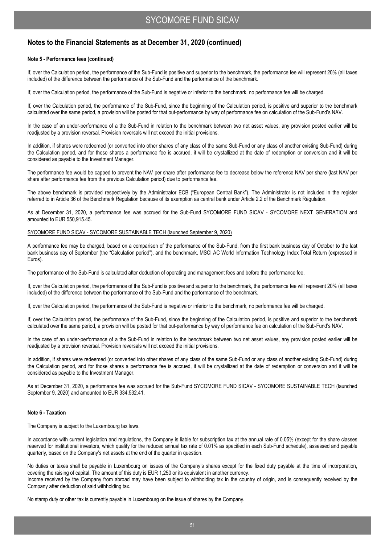### **Notes to the Financial Statements as at December 31, 2020 (continued)**

### **Note 5 - Performance fees (continued)**

If, over the Calculation period, the performance of the Sub-Fund is positive and superior to the benchmark, the performance fee will represent 20% (all taxes included) of the difference between the performance of the Sub-Fund and the performance of the benchmark.

If, over the Calculation period, the performance of the Sub-Fund is negative or inferior to the benchmark, no performance fee will be charged.

If, over the Calculation period, the performance of the Sub-Fund, since the beginning of the Calculation period, is positive and superior to the benchmark calculated over the same period, a provision will be posted for that out-performance by way of performance fee on calculation of the Sub-Fund's NAV.

In the case of an under-performance of a the Sub-Fund in relation to the benchmark between two net asset values, any provision posted earlier will be readjusted by a provision reversal. Provision reversals will not exceed the initial provisions.

In addition, if shares were redeemed (or converted into other shares of any class of the same Sub-Fund or any class of another existing Sub-Fund) during the Calculation period, and for those shares a performance fee is accrued, it will be crystallized at the date of redemption or conversion and it will be considered as payable to the Investment Manager.

The performance fee would be capped to prevent the NAV per share after performance fee to decrease below the reference NAV per share (last NAV per share after performance fee from the previous Calculation period) due to performance fee.

The above benchmark is provided respectively by the Administrator ECB ("European Central Bank"). The Administrator is not included in the register referred to in Article 36 of the Benchmark Regulation because of its exemption as central bank under Article 2.2 of the Benchmark Regulation.

As at December 31, 2020, a performance fee was accrued for the Sub-Fund SYCOMORE FUND SICAV - SYCOMORE NEXT GENERATION and amounted to EUR 550,915.45.

### SYCOMORE FUND SICAV - SYCOMORE SUSTAINABLE TECH (launched September 9, 2020)

A performance fee may be charged, based on a comparison of the performance of the Sub-Fund, from the first bank business day of October to the last bank business day of September (the "Calculation period"), and the benchmark, MSCI AC World Information Technology Index Total Return (expressed in Euros).

The performance of the Sub-Fund is calculated after deduction of operating and management fees and before the performance fee.

If, over the Calculation period, the performance of the Sub-Fund is positive and superior to the benchmark, the performance fee will represent 20% (all taxes included) of the difference between the performance of the Sub-Fund and the performance of the benchmark.

If, over the Calculation period, the performance of the Sub-Fund is negative or inferior to the benchmark, no performance fee will be charged.

If, over the Calculation period, the performance of the Sub-Fund, since the beginning of the Calculation period, is positive and superior to the benchmark calculated over the same period, a provision will be posted for that out-performance by way of performance fee on calculation of the Sub-Fund's NAV.

In the case of an under-performance of a the Sub-Fund in relation to the benchmark between two net asset values, any provision posted earlier will be readjusted by a provision reversal. Provision reversals will not exceed the initial provisions.

In addition, if shares were redeemed (or converted into other shares of any class of the same Sub-Fund or any class of another existing Sub-Fund) during the Calculation period, and for those shares a performance fee is accrued, it will be crystallized at the date of redemption or conversion and it will be considered as payable to the Investment Manager.

As at December 31, 2020, a performance fee was accrued for the Sub-Fund SYCOMORE FUND SICAV - SYCOMORE SUSTAINABLE TECH (launched September 9, 2020) and amounted to EUR 334,532.41.

### **Note 6 - Taxation**

The Company is subject to the Luxembourg tax laws.

In accordance with current legislation and regulations, the Company is liable for subscription tax at the annual rate of 0.05% (except for the share classes reserved for institutional investors, which qualify for the reduced annual tax rate of 0.01% as specified in each Sub-Fund schedule), assessed and payable quarterly, based on the Company's net assets at the end of the quarter in question.

No duties or taxes shall be payable in Luxembourg on issues of the Company's shares except for the fixed duty payable at the time of incorporation, covering the raising of capital. The amount of this duty is EUR 1,250 or its equivalent in another currency. Income received by the Company from abroad may have been subject to withholding tax in the country of origin, and is consequently received by the Company after deduction of said withholding tax.

No stamp duty or other tax is currently payable in Luxembourg on the issue of shares by the Company.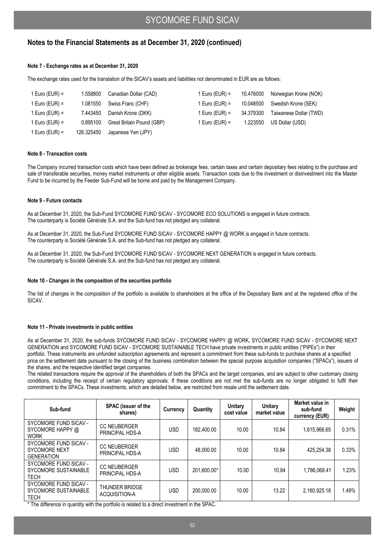### **Note 7 - Exchange rates as at December 31, 2020**

The exchange rates used for the translation of the SICAV's assets and liabilities not denominated in EUR are as follows:

| 1 Euro (EUR) = | 1.558800   | Canadian Dollar (CAD)     | 1 Euro (EUR) = | 10.476000 | Norwegian Krone (NOK)  |
|----------------|------------|---------------------------|----------------|-----------|------------------------|
| 1 Euro (EUR) = | 1.081550   | Swiss Franc (CHF)         | 1 Euro (EUR) = | 10.048500 | Swedish Krone (SEK)    |
| 1 Euro (EUR) = | 7.443450   | Danish Krone (DKK)        | 1 Euro (EUR) = | 34.379300 | Taiwanese Dollar (TWD) |
| 1 Euro (EUR) = | 0.895100   | Great Britain Pound (GBP) | 1 Euro (EUR) = | 1.223550  | US Dollar (USD)        |
| 1 Euro (EUR) = | 126.325450 | Japanese Yen (JPY)        |                |           |                        |

### **Note 8 - Transaction costs**

The Company incurred transaction costs which have been defined as brokerage fees, certain taxes and certain depositary fees relating to the purchase and sale of transferable securities, money market instruments or other eligible assets. Transaction costs due to the investment or disinvestment into the Master Fund to be incurred by the Feeder Sub-Fund will be borne and paid by the Management Company.

### **Note 9 - Future contacts**

As at December 31, 2020, the Sub-Fund SYCOMORE FUND SICAV - SYCOMORE ECO SOLUTIONS is engaged in future contracts. The counterparty is Société Générale S.A. and the Sub-fund has not pledged any collateral.

As at December 31, 2020, the Sub-Fund SYCOMORE FUND SICAV - SYCOMORE HAPPY @ WORK is engaged in future contracts. The counterparty is Société Générale S.A. and the Sub-fund has not pledged any collateral.

As at December 31, 2020, the Sub-Fund SYCOMORE FUND SICAV - SYCOMORE NEXT GENERATION is engaged in future contracts. The counterparty is Société Générale S.A. and the Sub-fund has not pledged any collateral.

### **Note 10 - Changes in the composition of the securities portfolio**

The list of changes in the composition of the portfolio is available to shareholders at the office of the Depositary Bank and at the registered office of the SICAV.

### **Note 11 - Private investments in public entities**

As at December 31, 2020, the sub-funds SYCOMORE FUND SICAV - SYCOMORE HAPPY @ WORK, SYCOMORE FUND SICAV - SYCOMORE NEXT GENERATION and SYCOMORE FUND SICAV - SYCOMORE SUSTAINABLE TECH have private investments in public entities ("PIPEs") in their portfolio. These instruments are unfunded subscription agreements and represent a commitment from these sub-funds to purchase shares at a specified price on the settlement date pursuant to the closing of the business combination between the special purpose acquisition companies ("SPACs"), issuers of the shares, and the respective identified target companies.

The related transactions require the approval of the shareholders of both the SPACs and the target companies, and are subject to other customary closing conditions, including the receipt of certain regulatory approvals. If these conditions are not met the sub-funds are no longer obligated to fulfil their commitment to the SPACs. These investments, which are detailed below, are restricted from resale until the settlement date.

| Sub-fund                                                           | <b>SPAC</b> (issuer of the<br>shares)  | Currency   | Quantity    | Unitary<br>cost value | Unitary<br>market value | Market value in<br>sub-fund<br>currency (EUR) | Weight |
|--------------------------------------------------------------------|----------------------------------------|------------|-------------|-----------------------|-------------------------|-----------------------------------------------|--------|
| SYCOMORE FUND SICAV -<br>SYCOMORE HAPPY @<br><b>WORK</b>           | <b>CC NEUBERGER</b><br>PRINCIPAL HDS-A | USD        | 182.400.00  | 10.00                 | 10.84                   | 1.615.966.65                                  | 0.31%  |
| SYCOMORE FUND SICAV -<br><b>SYCOMORE NEXT</b><br><b>GENERATION</b> | <b>CC NEUBERGER</b><br>PRINCIPAL HDS-A | <b>USD</b> | 48.000.00   | 10.00                 | 10.84                   | 425.254.38                                    | 0.33%  |
| SYCOMORE FUND SICAV -<br>SYCOMORE SUSTAINABLE<br><b>TECH</b>       | <b>CC NEUBERGER</b><br>PRINCIPAL HDS-A | <b>USD</b> | 201.600.00* | 10.00                 | 10.84                   | 1.786.068.41                                  | 1.23%  |
| SYCOMORE FUND SICAV -<br>SYCOMORE SUSTAINABLE<br><b>TECH</b>       | THUNDER BRIDGE<br>ACQUISITION-A        | <b>USD</b> | 200.000.00  | 10.00                 | 13.22                   | 2,160,925.18                                  | 1.49%  |

\* The difference in quantity with the portfolio is related to a direct investment in the SPAC.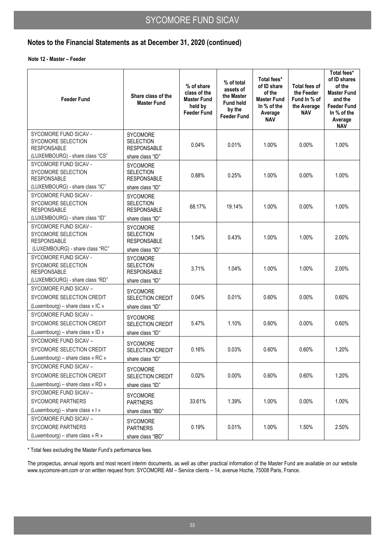**Note 12 - Master – Feeder** 

| <b>Feeder Fund</b>                                                                                          | Share class of the<br><b>Master Fund</b>                                      | % of share<br>class of the<br><b>Master Fund</b><br>held by<br><b>Feeder Fund</b> | % of total<br>assets of<br>the Master<br><b>Fund held</b><br>by the<br><b>Feeder Fund</b> | Total fees*<br>of ID share<br>of the<br><b>Master Fund</b><br>In % of the<br>Average<br><b>NAV</b> | Total fees of<br>the Feeder<br>Fund In % of<br>the Average<br><b>NAV</b> | Total fees*<br>of ID shares<br>of the<br><b>Master Fund</b><br>and the<br><b>Feeder Fund</b><br>In % of the<br>Average<br><b>NAV</b> |
|-------------------------------------------------------------------------------------------------------------|-------------------------------------------------------------------------------|-----------------------------------------------------------------------------------|-------------------------------------------------------------------------------------------|----------------------------------------------------------------------------------------------------|--------------------------------------------------------------------------|--------------------------------------------------------------------------------------------------------------------------------------|
| SYCOMORE FUND SICAV -<br>SYCOMORE SELECTION<br><b>RESPONSABLE</b><br>(LUXEMBOURG) - share class "CS"        | <b>SYCOMORE</b><br><b>SELECTION</b><br><b>RESPONSABLE</b><br>share class "ID" | 0.04%                                                                             | 0.01%                                                                                     | 1.00%                                                                                              | $0.00\%$                                                                 | 1.00%                                                                                                                                |
| SYCOMORE FUND SICAV -<br>SYCOMORE SELECTION<br><b>RESPONSABLE</b><br>(LUXEMBOURG) - share class "IC"        | <b>SYCOMORE</b><br><b>SELECTION</b><br><b>RESPONSABLE</b><br>share class "ID" | 0.88%                                                                             | 0.25%                                                                                     | 1.00%                                                                                              | $0.00\%$                                                                 | 1.00%                                                                                                                                |
| SYCOMORE FUND SICAV -<br>SYCOMORE SELECTION<br><b>RESPONSABLE</b><br>(LUXEMBOURG) - share class "ID"        | <b>SYCOMORE</b><br><b>SELECTION</b><br><b>RESPONSABLE</b><br>share class "ID" | 68.17%                                                                            | 19.14%                                                                                    | 1.00%                                                                                              | $0.00\%$                                                                 | 1.00%                                                                                                                                |
| SYCOMORE FUND SICAV -<br><b>SYCOMORE SELECTION</b><br><b>RESPONSABLE</b><br>(LUXEMBOURG) - share class "RC" | <b>SYCOMORE</b><br><b>SELECTION</b><br><b>RESPONSABLE</b><br>share class "ID" | 1.54%                                                                             | 0.43%                                                                                     | 1.00%                                                                                              | 1.00%                                                                    | 2.00%                                                                                                                                |
| SYCOMORE FUND SICAV -<br><b>SYCOMORE SELECTION</b><br><b>RESPONSABLE</b><br>(LUXEMBOURG) - share class "RD" | <b>SYCOMORE</b><br><b>SELECTION</b><br><b>RESPONSABLE</b><br>share class "ID" | 3.71%                                                                             | 1.04%                                                                                     | 1.00%                                                                                              | 1.00%                                                                    | 2.00%                                                                                                                                |
| SYCOMORE FUND SICAV -<br>SYCOMORE SELECTION CREDIT<br>(Luxembourg) – share class « IC »                     | <b>SYCOMORE</b><br>SELECTION CREDIT<br>share class "ID"                       | 0.04%                                                                             | 0.01%                                                                                     | 0.60%                                                                                              | $0.00\%$                                                                 | 0.60%                                                                                                                                |
| SYCOMORE FUND SICAV -<br>SYCOMORE SELECTION CREDIT<br>(Luxembourg) – share class « ID »                     | <b>SYCOMORE</b><br>SELECTION CREDIT<br>share class "ID"                       | 5.47%                                                                             | 1.10%                                                                                     | 0.60%                                                                                              | $0.00\%$                                                                 | 0.60%                                                                                                                                |
| SYCOMORE FUND SICAV -<br>SYCOMORE SELECTION CREDIT<br>(Luxembourg) - share class « RC »                     | <b>SYCOMORE</b><br>SELECTION CREDIT<br>share class "ID"                       | 0.16%                                                                             | 0.03%                                                                                     | 0.60%                                                                                              | 0.60%                                                                    | 1.20%                                                                                                                                |
| SYCOMORE FUND SICAV -<br>SYCOMORE SELECTION CREDIT<br>(Luxembourg) – share class « RD »                     | <b>SYCOMORE</b><br>SELECTION CREDIT<br>share class "ID"                       | 0.02%                                                                             | $0.00\%$                                                                                  | 0.60%                                                                                              | 0.60%                                                                    | 1.20%                                                                                                                                |
| SYCOMORE FUND SICAV -<br>SYCOMORE PARTNERS<br>(Luxembourg) – share class « I »                              | <b>SYCOMORE</b><br><b>PARTNERS</b><br>share class "IBD"                       | 33.61%                                                                            | 1.39%                                                                                     | 1.00%                                                                                              | $0.00\%$                                                                 | 1.00%                                                                                                                                |
| SYCOMORE FUND SICAV -<br><b>SYCOMORE PARTNERS</b><br>(Luxembourg) – share class $\kappa$ R $\kappa$         | <b>SYCOMORE</b><br><b>PARTNERS</b><br>share class "IBD"                       | 0.19%                                                                             | 0.01%                                                                                     | 1.00%                                                                                              | 1.50%                                                                    | 2.50%                                                                                                                                |

\* Total fees excluding the Master Fund's performance fees.

The prospectus, annual reports and most recent interim documents, as well as other practical information of the Master Fund are available on our website www.sycomore-am.com or on written request from: SYCOMORE AM – Service clients – 14, avenue Hoche, 75008 Paris, France.